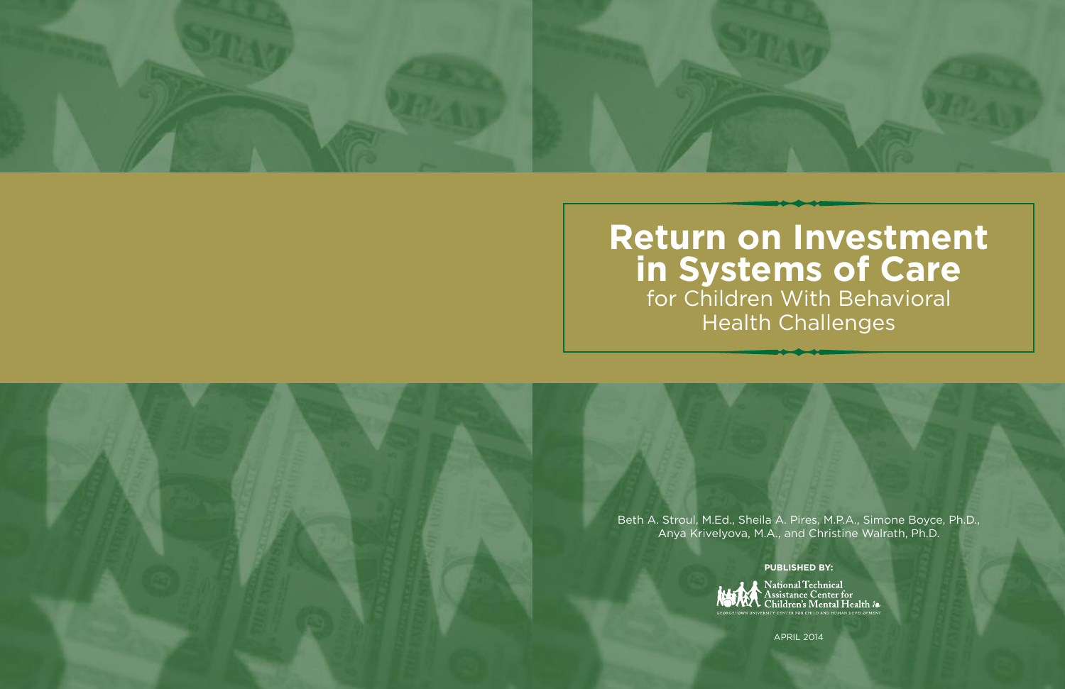

# **Return on Investment in Systems of Care** for Children With Behavioral Health Challenges

Beth A. Stroul, M.Ed., Sheila A. Pires, M.P.A., Simone Boyce, Ph.D., Anya Krivelyova, M.A., and Christine Walrath, Ph.D.

**PUBLISHED BY:**



APRIL 2014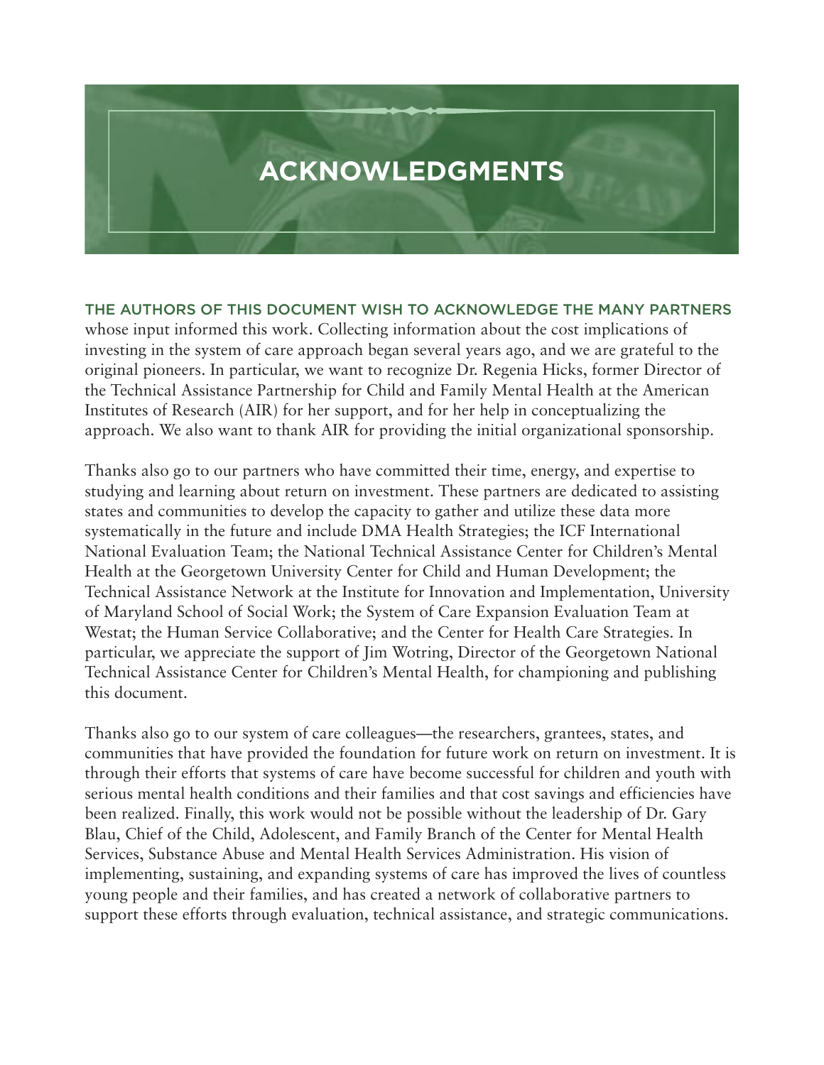

**THE AUTHORS OF THIS DOCUMENT WISH TO ACKNOWLEDGE THE MANY PARTNERS** whose input informed this work. Collecting information about the cost implications of investing in the system of care approach began several years ago, and we are grateful to the original pioneers. In particular, we want to recognize Dr. Regenia Hicks, former Director of the Technical Assistance Partnership for Child and Family Mental Health at the American Institutes of Research (AIR) for her support, and for her help in conceptualizing the approach. We also want to thank AIR for providing the initial organizational sponsorship.

Thanks also go to our partners who have committed their time, energy, and expertise to studying and learning about return on investment. These partners are dedicated to assisting states and communities to develop the capacity to gather and utilize these data more systematically in the future and include DMA Health Strategies; the ICF International National Evaluation Team; the National Technical Assistance Center for Children's Mental Health at the Georgetown University Center for Child and Human Development; the Technical Assistance Network at the Institute for Innovation and Implementation, University of Maryland School of Social Work; the System of Care Expansion Evaluation Team at Westat; the Human Service Collaborative; and the Center for Health Care Strategies. In particular, we appreciate the support of Jim Wotring, Director of the Georgetown National Technical Assistance Center for Children's Mental Health, for championing and publishing this document.

Thanks also go to our system of care colleagues—the researchers, grantees, states, and communities that have provided the foundation for future work on return on investment. It is through their efforts that systems of care have become successful for children and youth with serious mental health conditions and their families and that cost savings and efficiencies have been realized. Finally, this work would not be possible without the leadership of Dr. Gary Blau, Chief of the Child, Adolescent, and Family Branch of the Center for Mental Health Services, Substance Abuse and Mental Health Services Administration. His vision of implementing, sustaining, and expanding systems of care has improved the lives of countless young people and their families, and has created a network of collaborative partners to support these efforts through evaluation, technical assistance, and strategic communications.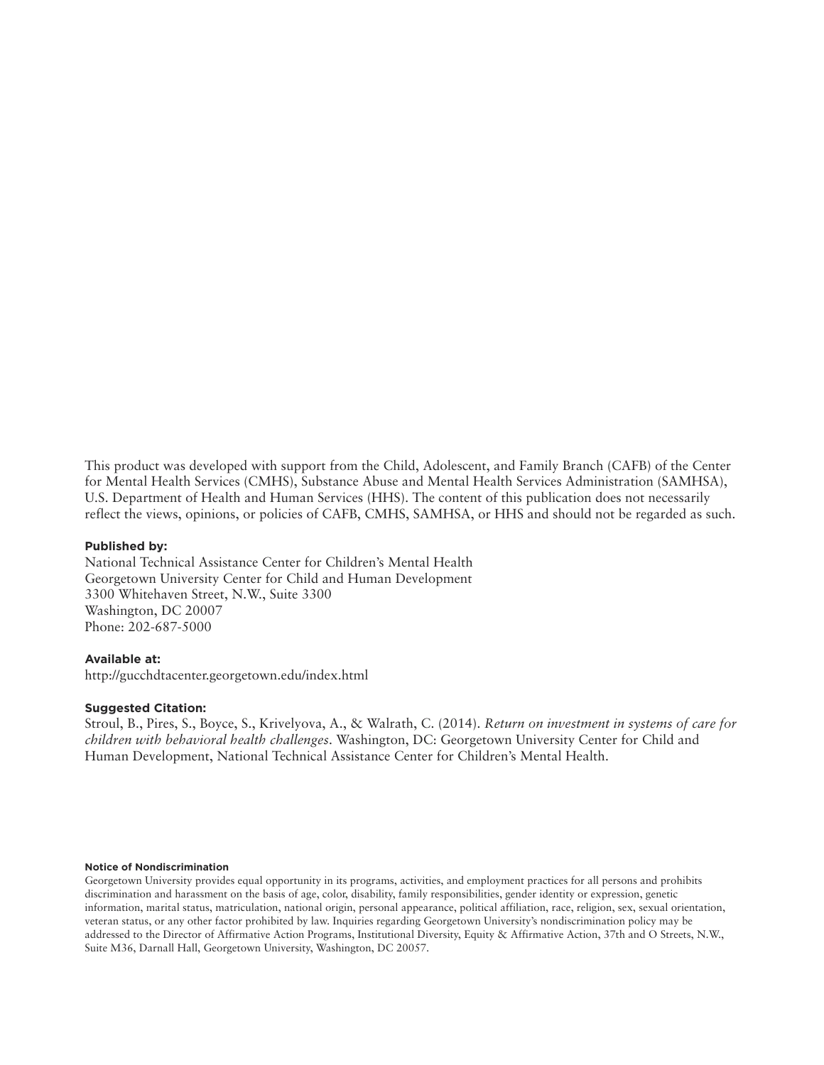This product was developed with support from the Child, Adolescent, and Family Branch (CAFB) of the Center for Mental Health Services (CMHS), Substance Abuse and Mental Health Services Administration (SAMHSA), U.S. Department of Health and Human Services (HHS). The content of this publication does not necessarily reflect the views, opinions, or policies of CAFB, CMHS, SAMHSA, or HHS and should not be regarded as such.

#### **Published by:**

National Technical Assistance Center for Children's Mental Health Georgetown University Center for Child and Human Development 3300 Whitehaven Street, N.W., Suite 3300 Washington, DC 20007 Phone: 202-687-5000

#### **Available at:**

http://gucchdtacenter.georgetown.edu/index.html

#### **Suggested Citation:**

Stroul, B., Pires, S., Boyce, S., Krivelyova, A., & Walrath, C. (2014). *Return on investment in systems of care for children with behavioral health challenges*. Washington, DC: Georgetown University Center for Child and Human Development, National Technical Assistance Center for Children's Mental Health.

#### **Notice of Nondiscrimination**

Georgetown University provides equal opportunity in its programs, activities, and employment practices for all persons and prohibits discrimination and harassment on the basis of age, color, disability, family responsibilities, gender identity or expression, genetic information, marital status, matriculation, national origin, personal appearance, political affiliation, race, religion, sex, sexual orientation, veteran status, or any other factor prohibited by law. Inquiries regarding Georgetown University's nondiscrimination policy may be addressed to the Director of Affirmative Action Programs, Institutional Diversity, Equity & Affirmative Action, 37th and O Streets, N.W., Suite M36, Darnall Hall, Georgetown University, Washington, DC 20057.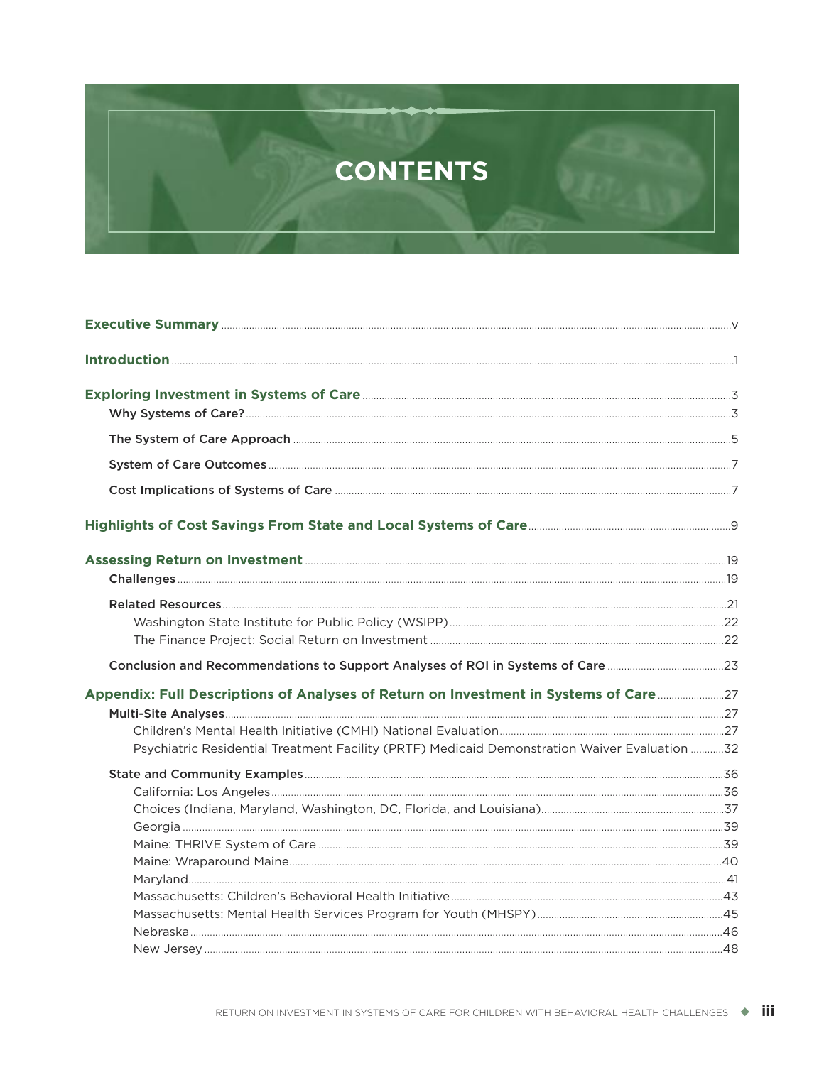# **CONTENTS**

| Conclusion and Recommendations to Support Analyses of ROI in Systems of Care 23               |  |
|-----------------------------------------------------------------------------------------------|--|
| Appendix: Full Descriptions of Analyses of Return on Investment in Systems of Care 27         |  |
|                                                                                               |  |
|                                                                                               |  |
| Psychiatric Residential Treatment Facility (PRTF) Medicaid Demonstration Waiver Evaluation 32 |  |
|                                                                                               |  |
|                                                                                               |  |
|                                                                                               |  |
|                                                                                               |  |
|                                                                                               |  |
|                                                                                               |  |
|                                                                                               |  |
|                                                                                               |  |
|                                                                                               |  |
|                                                                                               |  |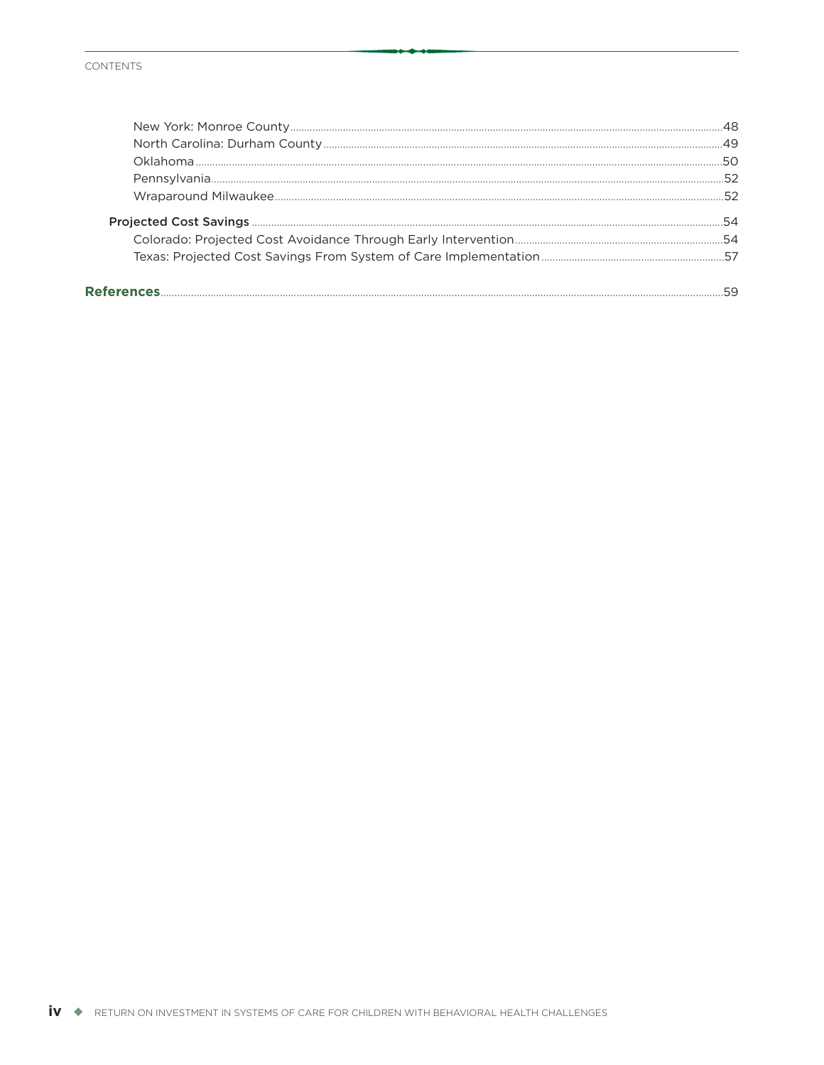#### CONTENTS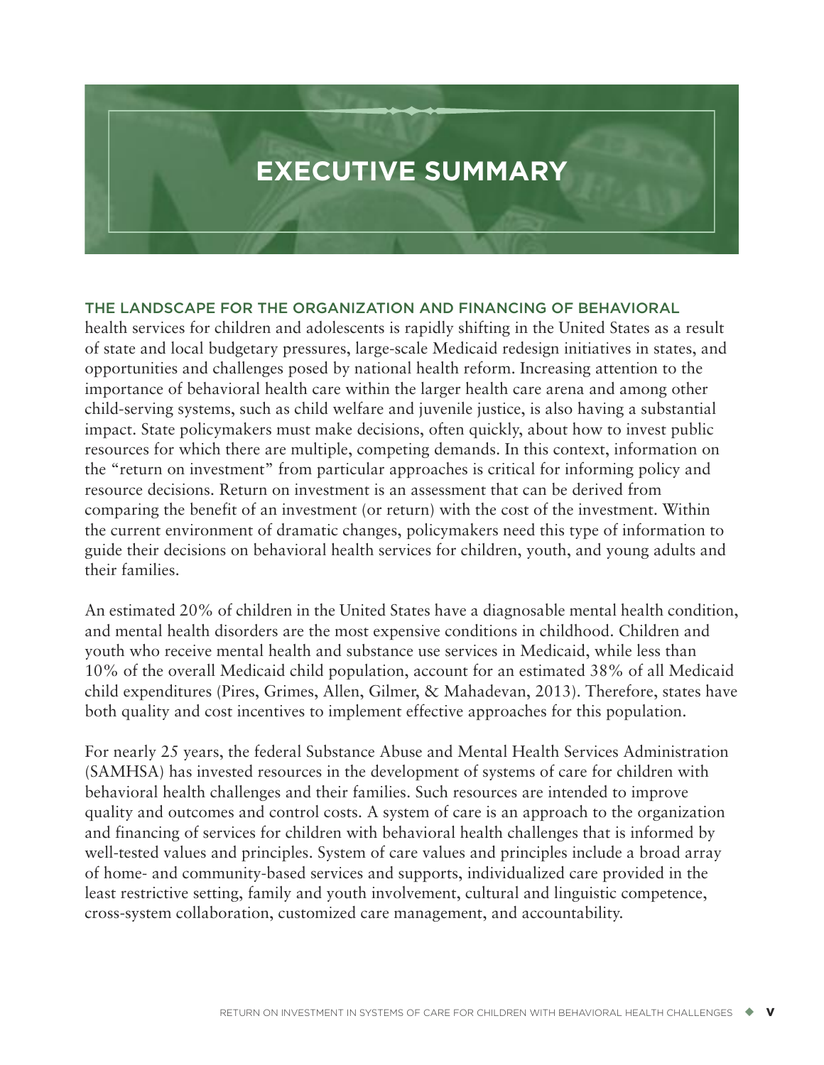# <span id="page-6-0"></span>**EXECUTIVE SUMMARY**

#### **THE LANDSCAPE FOR THE ORGANIZATION AND FINANCING OF BEHAVIORAL**

health services for children and adolescents is rapidly shifting in the United States as a result of state and local budgetary pressures, large-scale Medicaid redesign initiatives in states, and opportunities and challenges posed by national health reform. Increasing attention to the importance of behavioral health care within the larger health care arena and among other child-serving systems, such as child welfare and juvenile justice, is also having a substantial impact. State policymakers must make decisions, often quickly, about how to invest public resources for which there are multiple, competing demands. In this context, information on the "return on investment" from particular approaches is critical for informing policy and resource decisions. Return on investment is an assessment that can be derived from comparing the benefit of an investment (or return) with the cost of the investment. Within the current environment of dramatic changes, policymakers need this type of information to guide their decisions on behavioral health services for children, youth, and young adults and their families.

An estimated 20% of children in the United States have a diagnosable mental health condition, and mental health disorders are the most expensive conditions in childhood. Children and youth who receive mental health and substance use services in Medicaid, while less than 10% of the overall Medicaid child population, account for an estimated 38% of all Medicaid child expenditures (Pires, Grimes, Allen, Gilmer, & Mahadevan, 2013). Therefore, states have both quality and cost incentives to implement effective approaches for this population.

For nearly 25 years, the federal Substance Abuse and Mental Health Services Administration (SAMHSA) has invested resources in the development of systems of care for children with behavioral health challenges and their families. Such resources are intended to improve quality and outcomes and control costs. A system of care is an approach to the organization and financing of services for children with behavioral health challenges that is informed by well-tested values and principles. System of care values and principles include a broad array of home- and community-based services and supports, individualized care provided in the least restrictive setting, family and youth involvement, cultural and linguistic competence, cross-system collaboration, customized care management, and accountability.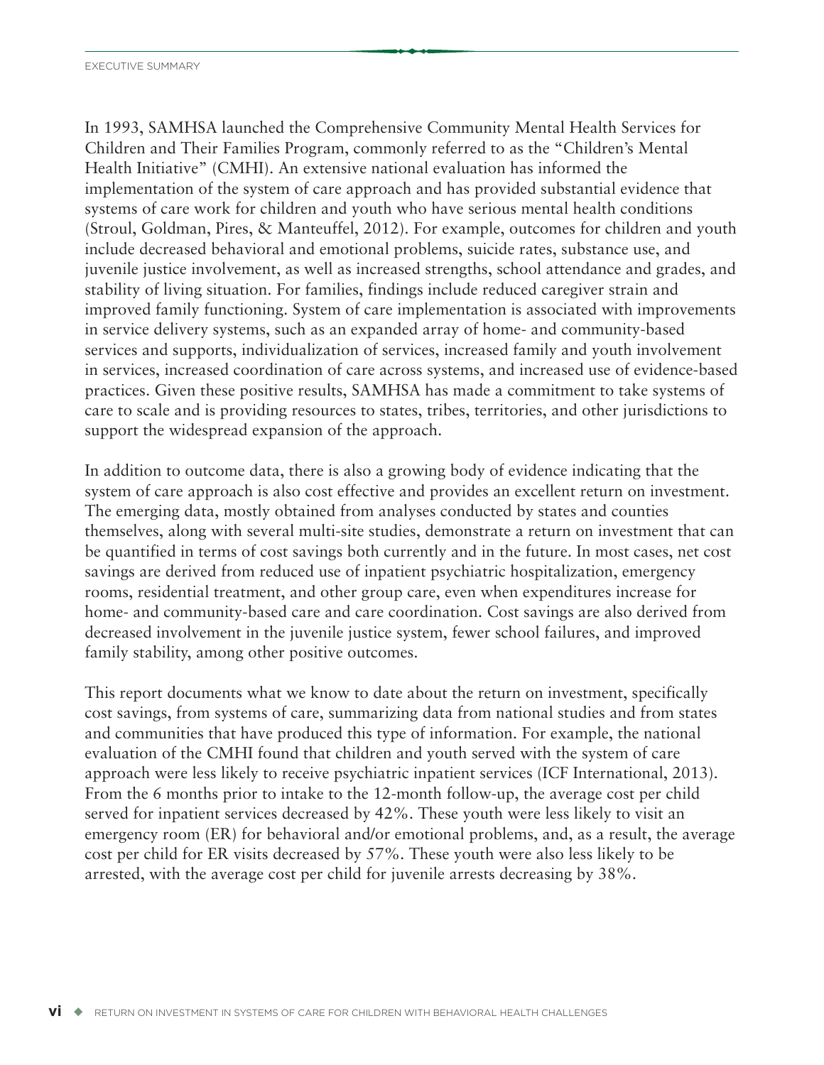In 1993, SAMHSA launched the Comprehensive Community Mental Health Services for Children and Their Families Program, commonly referred to as the "Children's Mental Health Initiative" (CMHI). An extensive national evaluation has informed the implementation of the system of care approach and has provided substantial evidence that systems of care work for children and youth who have serious mental health conditions (Stroul, Goldman, Pires, & Manteuffel, 2012). For example, outcomes for children and youth include decreased behavioral and emotional problems, suicide rates, substance use, and juvenile justice involvement, as well as increased strengths, school attendance and grades, and stability of living situation. For families, findings include reduced caregiver strain and improved family functioning. System of care implementation is associated with improvements in service delivery systems, such as an expanded array of home- and community-based services and supports, individualization of services, increased family and youth involvement in services, increased coordination of care across systems, and increased use of evidence-based practices. Given these positive results, SAMHSA has made a commitment to take systems of care to scale and is providing resources to states, tribes, territories, and other jurisdictions to support the widespread expansion of the approach.

In addition to outcome data, there is also a growing body of evidence indicating that the system of care approach is also cost effective and provides an excellent return on investment. The emerging data, mostly obtained from analyses conducted by states and counties themselves, along with several multi-site studies, demonstrate a return on investment that can be quantified in terms of cost savings both currently and in the future. In most cases, net cost savings are derived from reduced use of inpatient psychiatric hospitalization, emergency rooms, residential treatment, and other group care, even when expenditures increase for home- and community-based care and care coordination. Cost savings are also derived from decreased involvement in the juvenile justice system, fewer school failures, and improved family stability, among other positive outcomes.

This report documents what we know to date about the return on investment, specifically cost savings, from systems of care, summarizing data from national studies and from states and communities that have produced this type of information. For example, the national evaluation of the CMHI found that children and youth served with the system of care approach were less likely to receive psychiatric inpatient services (ICF International, 2013). From the 6 months prior to intake to the 12-month follow-up, the average cost per child served for inpatient services decreased by 42%. These youth were less likely to visit an emergency room (ER) for behavioral and/or emotional problems, and, as a result, the average cost per child for ER visits decreased by 57%. These youth were also less likely to be arrested, with the average cost per child for juvenile arrests decreasing by 38%.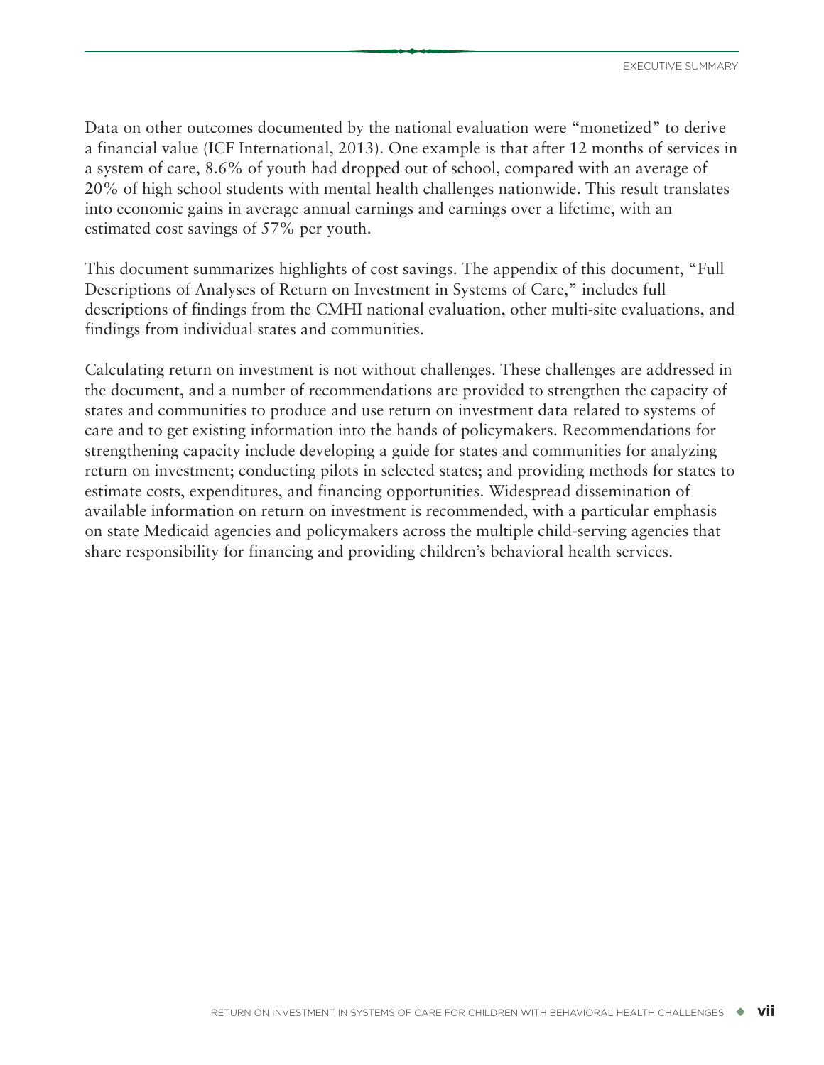Data on other outcomes documented by the national evaluation were "monetized" to derive a financial value (ICF International, 2013). One example is that after 12 months of services in a system of care, 8.6% of youth had dropped out of school, compared with an average of 20% of high school students with mental health challenges nationwide. This result translates into economic gains in average annual earnings and earnings over a lifetime, with an estimated cost savings of 57% per youth.

This document summarizes highlights of cost savings. The appendix of this document, "Full Descriptions of Analyses of Return on Investment in Systems of Care," includes full descriptions of findings from the CMHI national evaluation, other multi-site evaluations, and findings from individual states and communities.

Calculating return on investment is not without challenges. These challenges are addressed in the document, and a number of recommendations are provided to strengthen the capacity of states and communities to produce and use return on investment data related to systems of care and to get existing information into the hands of policymakers. Recommendations for strengthening capacity include developing a guide for states and communities for analyzing return on investment; conducting pilots in selected states; and providing methods for states to estimate costs, expenditures, and financing opportunities. Widespread dissemination of available information on return on investment is recommended, with a particular emphasis on state Medicaid agencies and policymakers across the multiple child-serving agencies that share responsibility for financing and providing children's behavioral health services.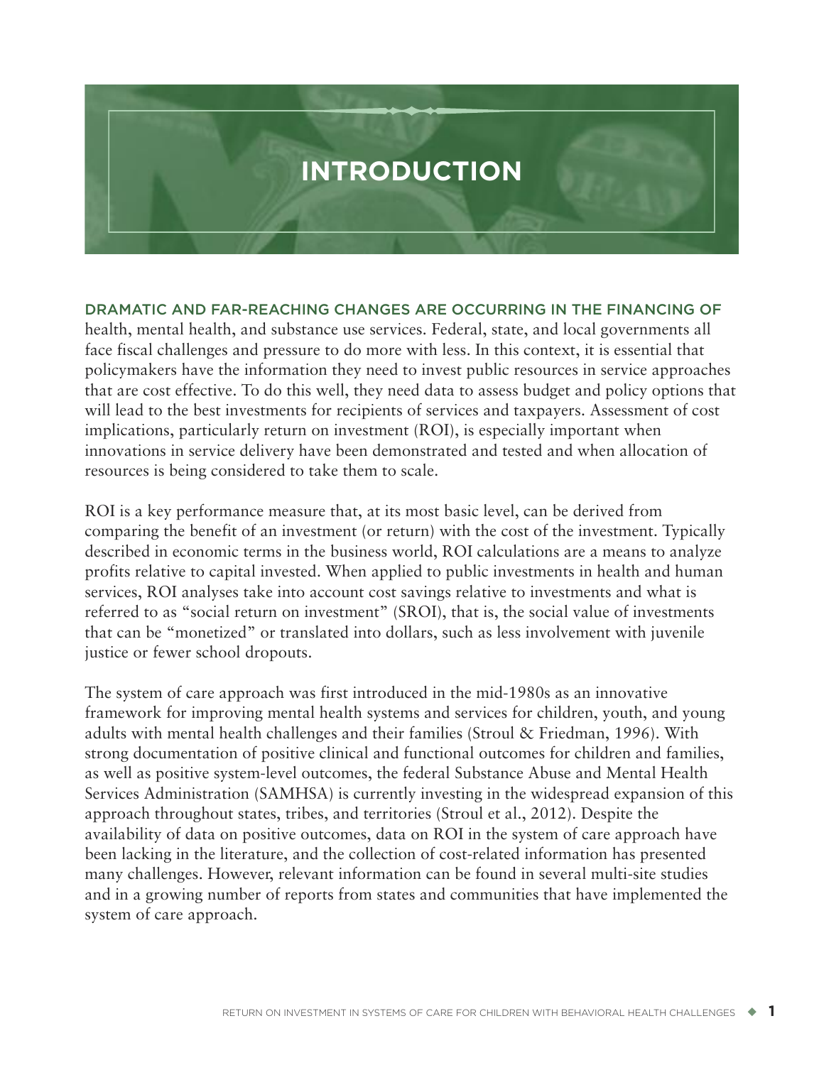<span id="page-10-0"></span>

**DRAMATIC AND FAR-REACHING CHANGES ARE OCCURRING IN THE FINANCING OF** health, mental health, and substance use services. Federal, state, and local governments all face fiscal challenges and pressure to do more with less. In this context, it is essential that policymakers have the information they need to invest public resources in service approaches that are cost effective. To do this well, they need data to assess budget and policy options that will lead to the best investments for recipients of services and taxpayers. Assessment of cost implications, particularly return on investment (ROI), is especially important when innovations in service delivery have been demonstrated and tested and when allocation of resources is being considered to take them to scale.

ROI is a key performance measure that, at its most basic level, can be derived from comparing the benefit of an investment (or return) with the cost of the investment. Typically described in economic terms in the business world, ROI calculations are a means to analyze profits relative to capital invested. When applied to public investments in health and human services, ROI analyses take into account cost savings relative to investments and what is referred to as "social return on investment" (SROI), that is, the social value of investments that can be "monetized" or translated into dollars, such as less involvement with juvenile justice or fewer school dropouts.

The system of care approach was first introduced in the mid-1980s as an innovative framework for improving mental health systems and services for children, youth, and young adults with mental health challenges and their families (Stroul & Friedman, 1996). With strong documentation of positive clinical and functional outcomes for children and families, as well as positive system-level outcomes, the federal Substance Abuse and Mental Health Services Administration (SAMHSA) is currently investing in the widespread expansion of this approach throughout states, tribes, and territories (Stroul et al., 2012). Despite the availability of data on positive outcomes, data on ROI in the system of care approach have been lacking in the literature, and the collection of cost-related information has presented many challenges. However, relevant information can be found in several multi-site studies and in a growing number of reports from states and communities that have implemented the system of care approach.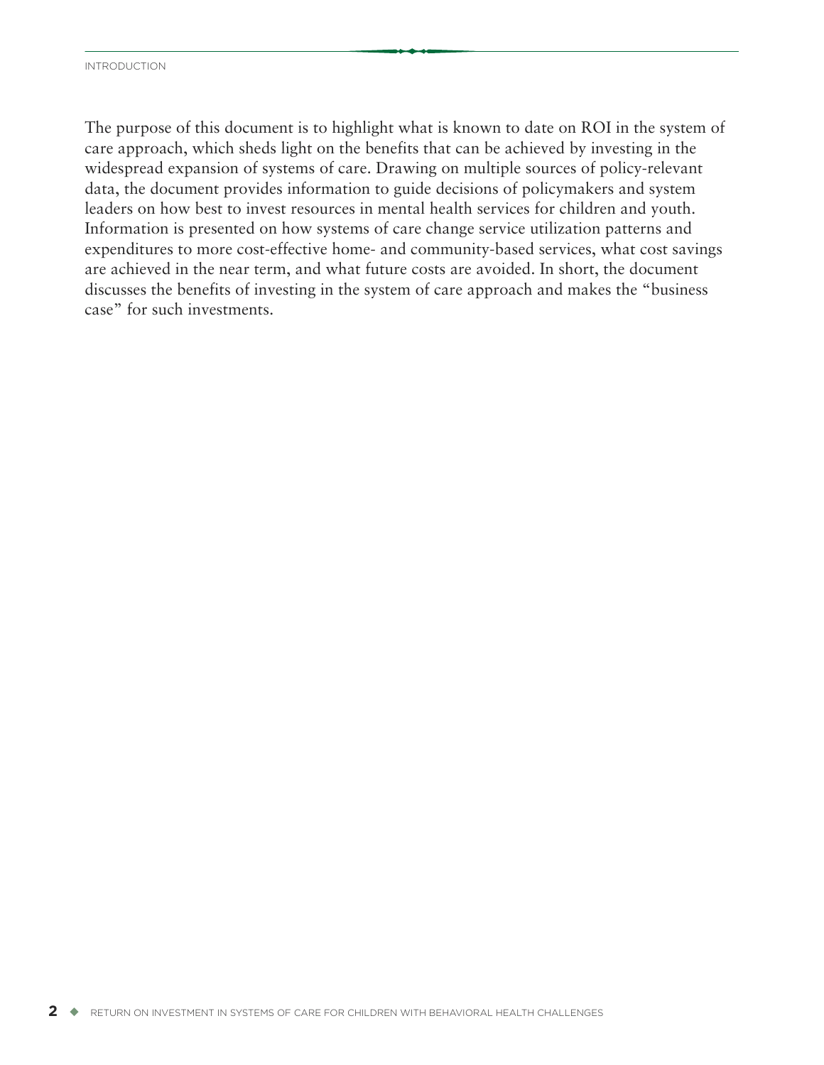The purpose of this document is to highlight what is known to date on ROI in the system of care approach, which sheds light on the benefits that can be achieved by investing in the widespread expansion of systems of care. Drawing on multiple sources of policy-relevant data, the document provides information to guide decisions of policymakers and system leaders on how best to invest resources in mental health services for children and youth. Information is presented on how systems of care change service utilization patterns and expenditures to more cost-effective home- and community-based services, what cost savings are achieved in the near term, and what future costs are avoided. In short, the document discusses the benefits of investing in the system of care approach and makes the "business case" for such investments.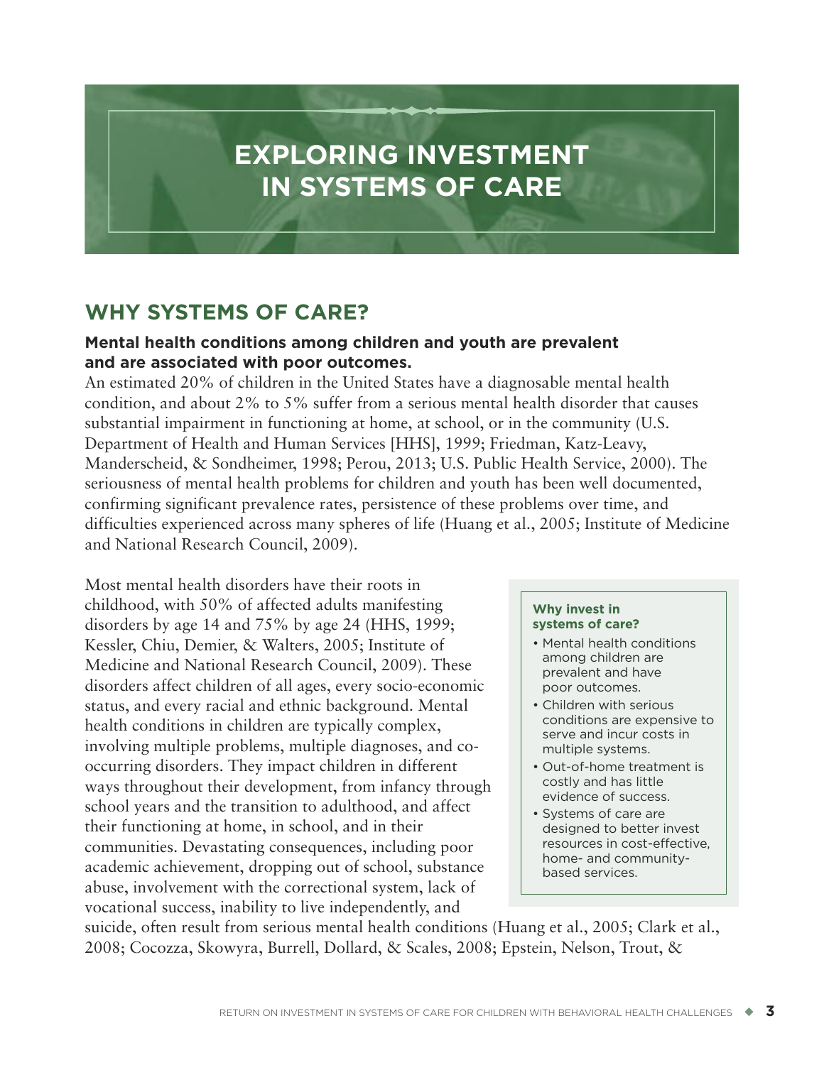# <span id="page-12-0"></span>**EXPLORING INVESTMENT IN SYSTEMS OF CARE**

## **WHY SYSTEMS OF CARE?**

### **Mental health conditions among children and youth are prevalent and are associated with poor outcomes.**

An estimated 20% of children in the United States have a diagnosable mental health condition, and about 2% to 5% suffer from a serious mental health disorder that causes substantial impairment in functioning at home, at school, or in the community (U.S. Department of Health and Human Services [HHS], 1999; Friedman, Katz-Leavy, Manderscheid, & Sondheimer, 1998; Perou, 2013; U.S. Public Health Service, 2000). The seriousness of mental health problems for children and youth has been well documented, confirming significant prevalence rates, persistence of these problems over time, and difficulties experienced across many spheres of life (Huang et al., 2005; Institute of Medicine and National Research Council, 2009).

Most mental health disorders have their roots in childhood, with 50% of affected adults manifesting disorders by age 14 and 75% by age 24 (HHS, 1999; Kessler, Chiu, Demier, & Walters, 2005; Institute of Medicine and National Research Council, 2009). These disorders affect children of all ages, every socio-economic status, and every racial and ethnic background. Mental health conditions in children are typically complex, involving multiple problems, multiple diagnoses, and cooccurring disorders. They impact children in different ways throughout their development, from infancy through school years and the transition to adulthood, and affect their functioning at home, in school, and in their communities. Devastating consequences, including poor academic achievement, dropping out of school, substance abuse, involvement with the correctional system, lack of vocational success, inability to live independently, and

#### **Why invest in systems of care?**

- Mental health conditions among children are prevalent and have poor outcomes.
- Children with serious conditions are expensive to serve and incur costs in multiple systems.
- Out-of-home treatment is costly and has little evidence of success.
- Systems of care are designed to better invest resources in cost-effective, home- and communitybased services.

suicide, often result from serious mental health conditions (Huang et al., 2005; Clark et al., 2008; Cocozza, Skowyra, Burrell, Dollard, & Scales, 2008; Epstein, Nelson, Trout, &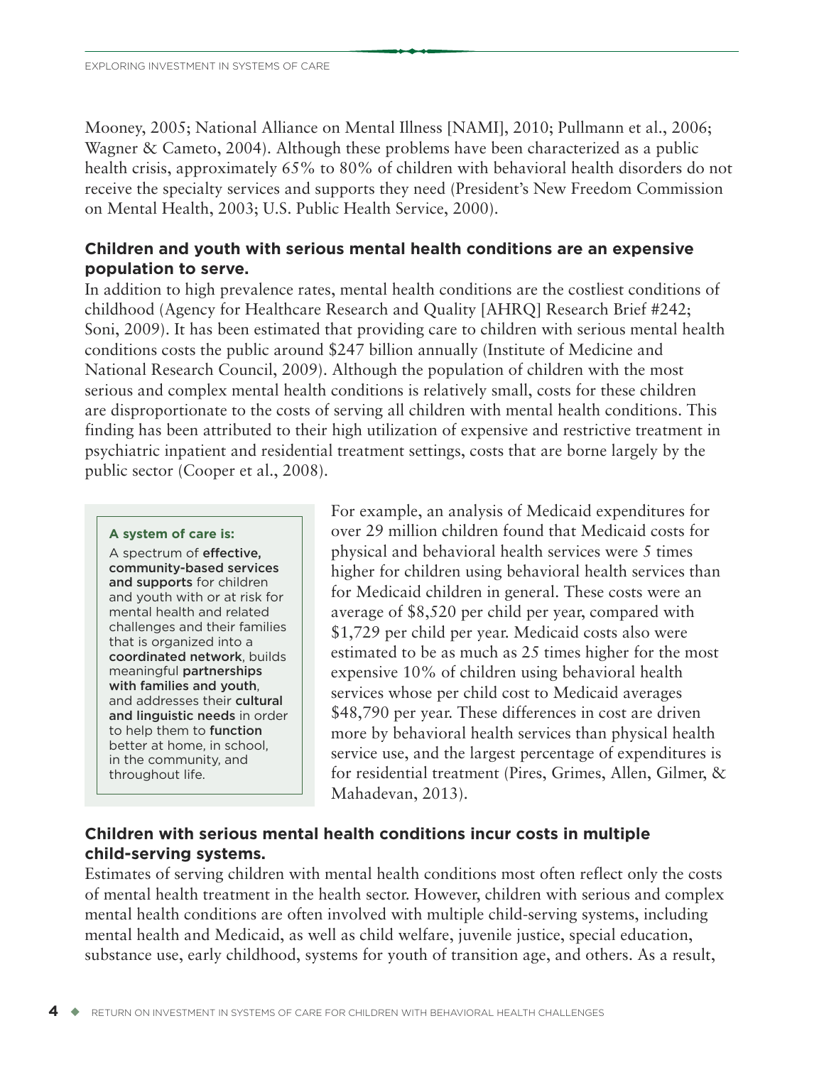Mooney, 2005; National Alliance on Mental Illness [NAMI], 2010; Pullmann et al., 2006; Wagner & Cameto, 2004). Although these problems have been characterized as a public health crisis, approximately 65% to 80% of children with behavioral health disorders do not receive the specialty services and supports they need (President's New Freedom Commission on Mental Health, 2003; U.S. Public Health Service, 2000).

#### **Children and youth with serious mental health conditions are an expensive population to serve.**

In addition to high prevalence rates, mental health conditions are the costliest conditions of childhood (Agency for Healthcare Research and Quality [AHRQ] Research Brief #242; Soni, 2009). It has been estimated that providing care to children with serious mental health conditions costs the public around \$247 billion annually (Institute of Medicine and National Research Council, 2009). Although the population of children with the most serious and complex mental health conditions is relatively small, costs for these children are disproportionate to the costs of serving all children with mental health conditions. This finding has been attributed to their high utilization of expensive and restrictive treatment in psychiatric inpatient and residential treatment settings, costs that are borne largely by the public sector (Cooper et al., 2008).

#### **A system of care is:**

A spectrum of **effective, community-based services and supports** for children and youth with or at risk for mental health and related challenges and their families that is organized into a **coordinated network**, builds meaningful **partnerships with families and youth**, and addresses their **cultural and linguistic needs** in order to help them to **function** better at home, in school, in the community, and throughout life.

For example, an analysis of Medicaid expenditures for over 29 million children found that Medicaid costs for physical and behavioral health services were 5 times higher for children using behavioral health services than for Medicaid children in general. These costs were an average of \$8,520 per child per year, compared with \$1,729 per child per year. Medicaid costs also were estimated to be as much as 25 times higher for the most expensive 10% of children using behavioral health services whose per child cost to Medicaid averages \$48,790 per year. These differences in cost are driven more by behavioral health services than physical health service use, and the largest percentage of expenditures is for residential treatment (Pires, Grimes, Allen, Gilmer, & Mahadevan, 2013).

#### **Children with serious mental health conditions incur costs in multiple child-serving systems.**

Estimates of serving children with mental health conditions most often reflect only the costs of mental health treatment in the health sector. However, children with serious and complex mental health conditions are often involved with multiple child-serving systems, including mental health and Medicaid, as well as child welfare, juvenile justice, special education, substance use, early childhood, systems for youth of transition age, and others. As a result,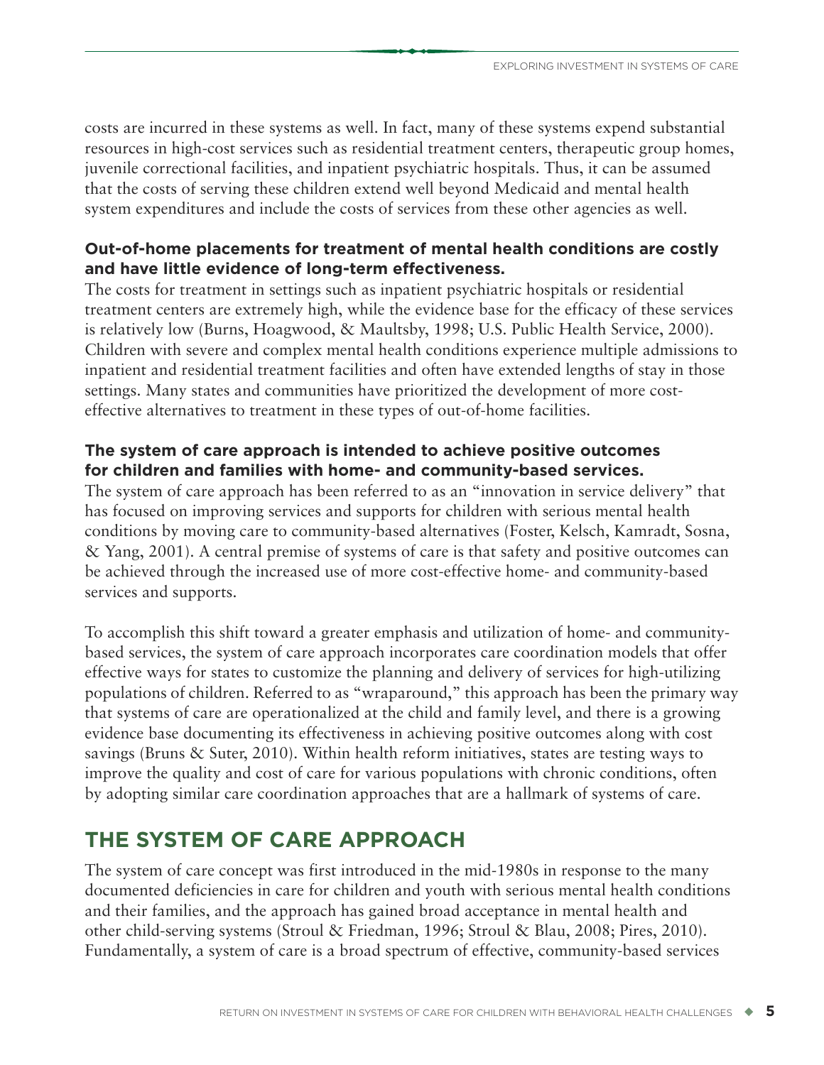<span id="page-14-0"></span>costs are incurred in these systems as well. In fact, many of these systems expend substantial resources in high-cost services such as residential treatment centers, therapeutic group homes, juvenile correctional facilities, and inpatient psychiatric hospitals. Thus, it can be assumed that the costs of serving these children extend well beyond Medicaid and mental health system expenditures and include the costs of services from these other agencies as well.

#### **Out-of-home placements for treatment of mental health conditions are costly and have little evidence of long-term effectiveness.**

The costs for treatment in settings such as inpatient psychiatric hospitals or residential treatment centers are extremely high, while the evidence base for the efficacy of these services is relatively low (Burns, Hoagwood, & Maultsby, 1998; U.S. Public Health Service, 2000). Children with severe and complex mental health conditions experience multiple admissions to inpatient and residential treatment facilities and often have extended lengths of stay in those settings. Many states and communities have prioritized the development of more costeffective alternatives to treatment in these types of out-of-home facilities.

#### **The system of care approach is intended to achieve positive outcomes for children and families with home- and community-based services.**

The system of care approach has been referred to as an "innovation in service delivery" that has focused on improving services and supports for children with serious mental health conditions by moving care to community-based alternatives (Foster, Kelsch, Kamradt, Sosna, & Yang, 2001). A central premise of systems of care is that safety and positive outcomes can be achieved through the increased use of more cost-effective home- and community-based services and supports.

To accomplish this shift toward a greater emphasis and utilization of home- and communitybased services, the system of care approach incorporates care coordination models that offer effective ways for states to customize the planning and delivery of services for high-utilizing populations of children. Referred to as "wraparound," this approach has been the primary way that systems of care are operationalized at the child and family level, and there is a growing evidence base documenting its effectiveness in achieving positive outcomes along with cost savings (Bruns & Suter, 2010). Within health reform initiatives, states are testing ways to improve the quality and cost of care for various populations with chronic conditions, often by adopting similar care coordination approaches that are a hallmark of systems of care.

## **THE SYSTEM OF CARE APPROACH**

The system of care concept was first introduced in the mid-1980s in response to the many documented deficiencies in care for children and youth with serious mental health conditions and their families, and the approach has gained broad acceptance in mental health and other child-serving systems (Stroul & Friedman, 1996; Stroul & Blau, 2008; Pires, 2010). Fundamentally, a system of care is a broad spectrum of effective, community-based services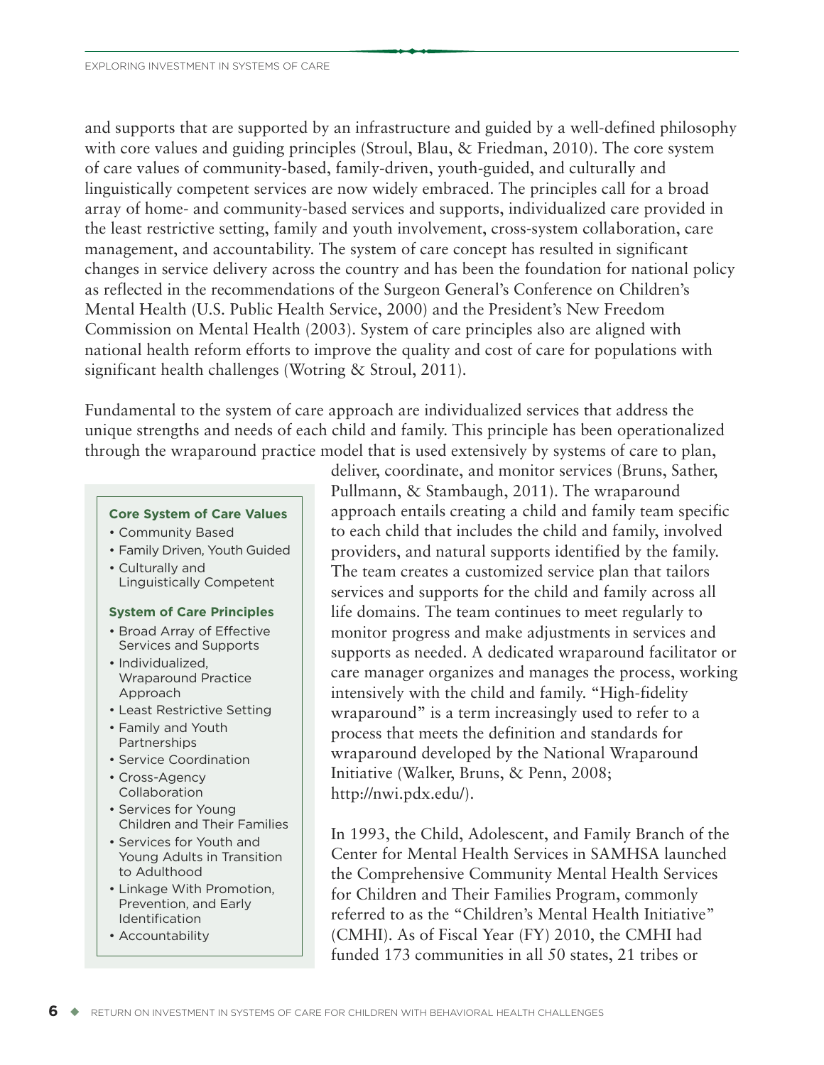and supports that are supported by an infrastructure and guided by a well-defined philosophy with core values and guiding principles (Stroul, Blau, & Friedman, 2010). The core system of care values of community-based, family-driven, youth-guided, and culturally and linguistically competent services are now widely embraced. The principles call for a broad array of home- and community-based services and supports, individualized care provided in the least restrictive setting, family and youth involvement, cross-system collaboration, care management, and accountability. The system of care concept has resulted in significant changes in service delivery across the country and has been the foundation for national policy as reflected in the recommendations of the Surgeon General's Conference on Children's Mental Health (U.S. Public Health Service, 2000) and the President's New Freedom Commission on Mental Health (2003). System of care principles also are aligned with national health reform efforts to improve the quality and cost of care for populations with significant health challenges (Wotring & Stroul, 2011).

Fundamental to the system of care approach are individualized services that address the unique strengths and needs of each child and family. This principle has been operationalized through the wraparound practice model that is used extensively by systems of care to plan,

#### **Core System of Care Values**

- Community Based
- Family Driven, Youth Guided • Culturally and Linguistically Competent

#### **System of Care Principles**

- Broad Array of Effective Services and Supports
- Individualized, Wraparound Practice Approach
- Least Restrictive Setting
- Family and Youth **Partnerships**
- Service Coordination
- Cross-Agency Collaboration
- Services for Young Children and Their Families
- Services for Youth and Young Adults in Transition to Adulthood
- Linkage With Promotion, Prevention, and Early Identification
- Accountability

deliver, coordinate, and monitor services (Bruns, Sather, Pullmann, & Stambaugh, 2011). The wraparound approach entails creating a child and family team specific to each child that includes the child and family, involved providers, and natural supports identified by the family. The team creates a customized service plan that tailors services and supports for the child and family across all life domains. The team continues to meet regularly to monitor progress and make adjustments in services and supports as needed. A dedicated wraparound facilitator or care manager organizes and manages the process, working intensively with the child and family. "High-fidelity wraparound" is a term increasingly used to refer to a process that meets the definition and standards for wraparound developed by the National Wraparound Initiative (Walker, Bruns, & Penn, 2008; http://nwi.pdx.edu/).

In 1993, the Child, Adolescent, and Family Branch of the Center for Mental Health Services in SAMHSA launched the Comprehensive Community Mental Health Services for Children and Their Families Program, commonly referred to as the "Children's Mental Health Initiative" (CMHI). As of Fiscal Year (FY) 2010, the CMHI had funded 173 communities in all 50 states, 21 tribes or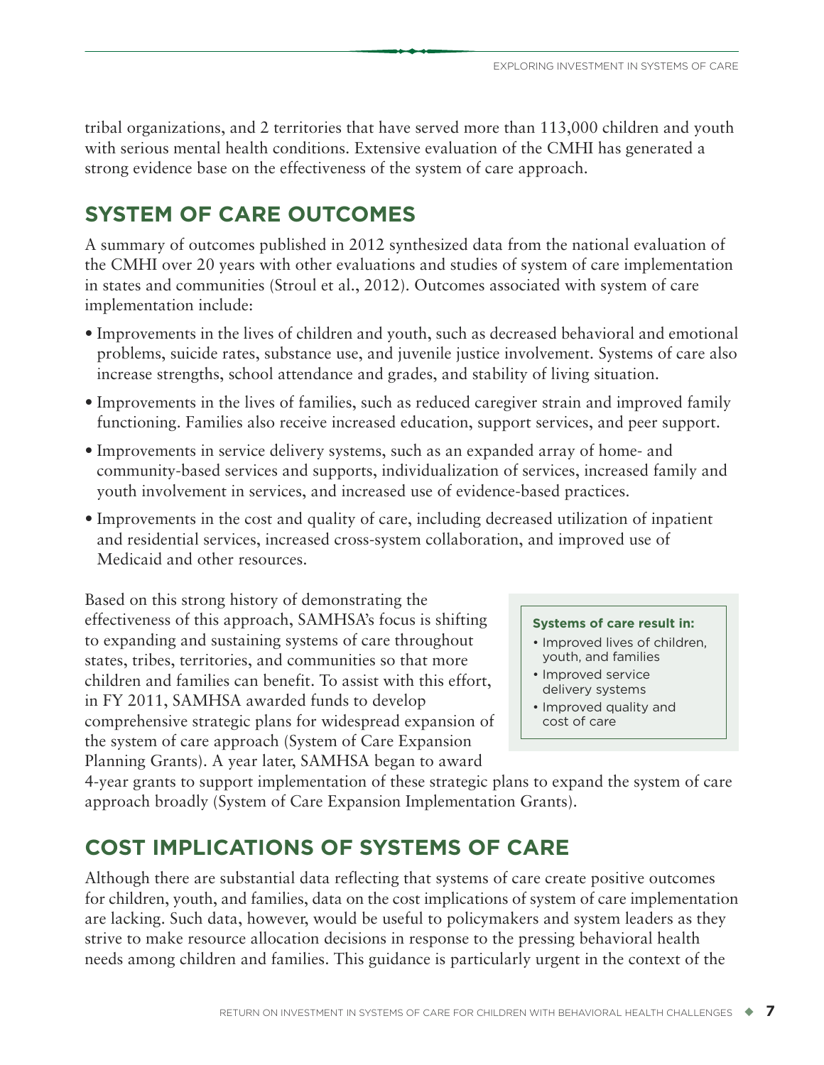<span id="page-16-0"></span>tribal organizations, and 2 territories that have served more than 113,000 children and youth with serious mental health conditions. Extensive evaluation of the CMHI has generated a strong evidence base on the effectiveness of the system of care approach.

## **SYSTEM OF CARE OUTCOMES**

A summary of outcomes published in 2012 synthesized data from the national evaluation of the CMHI over 20 years with other evaluations and studies of system of care implementation in states and communities (Stroul et al., 2012). Outcomes associated with system of care implementation include:

- Improvements in the lives of children and youth, such as decreased behavioral and emotional problems, suicide rates, substance use, and juvenile justice involvement. Systems of care also increase strengths, school attendance and grades, and stability of living situation.
- Improvements in the lives of families, such as reduced caregiver strain and improved family functioning. Families also receive increased education, support services, and peer support.
- Improvements in service delivery systems, such as an expanded array of home- and community-based services and supports, individualization of services, increased family and youth involvement in services, and increased use of evidence-based practices.
- Improvements in the cost and quality of care, including decreased utilization of inpatient and residential services, increased cross-system collaboration, and improved use of Medicaid and other resources.

Based on this strong history of demonstrating the effectiveness of this approach, SAMHSA's focus is shifting to expanding and sustaining systems of care throughout states, tribes, territories, and communities so that more children and families can benefit. To assist with this effort, in FY 2011, SAMHSA awarded funds to develop comprehensive strategic plans for widespread expansion of the system of care approach (System of Care Expansion Planning Grants). A year later, SAMHSA began to award

#### **Systems of care result in:**

- Improved lives of children, youth, and families
- Improved service
- delivery systems • Improved quality and
- cost of care

4-year grants to support implementation of these strategic plans to expand the system of care approach broadly (System of Care Expansion Implementation Grants).

## **COST IMPLICATIONS OF SYSTEMS OF CARE**

Although there are substantial data reflecting that systems of care create positive outcomes for children, youth, and families, data on the cost implications of system of care implementation are lacking. Such data, however, would be useful to policymakers and system leaders as they strive to make resource allocation decisions in response to the pressing behavioral health needs among children and families. This guidance is particularly urgent in the context of the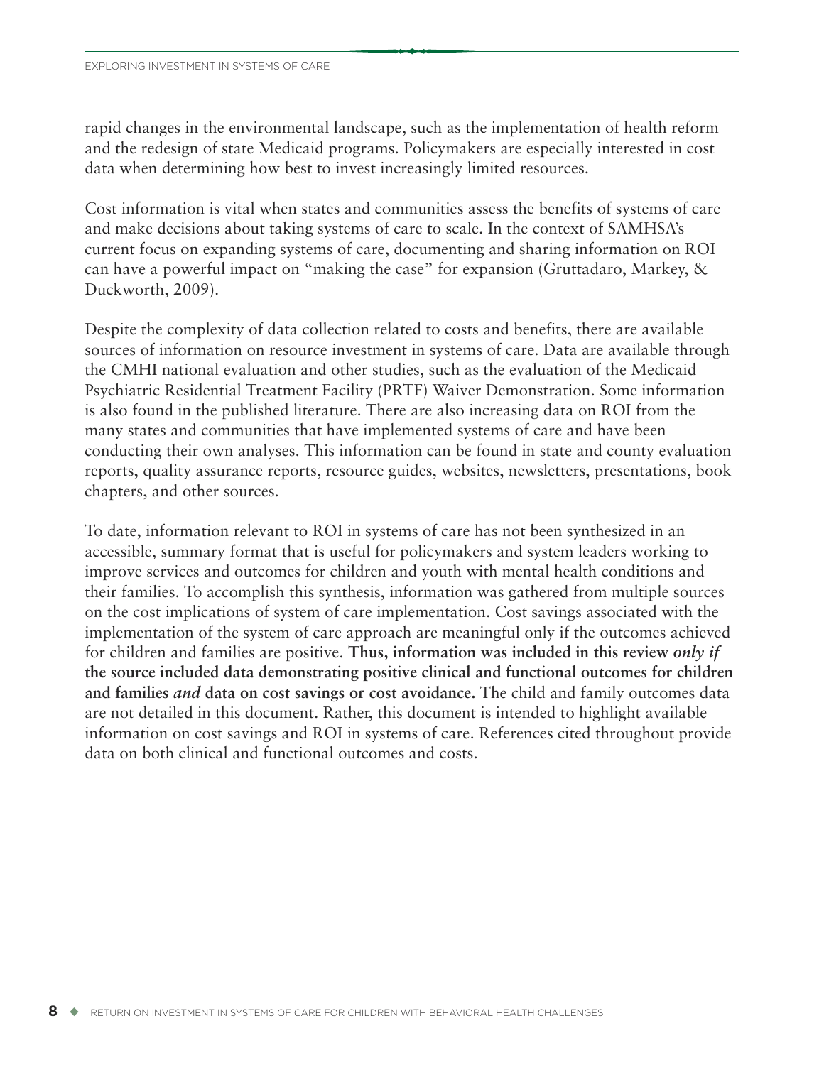rapid changes in the environmental landscape, such as the implementation of health reform and the redesign of state Medicaid programs. Policymakers are especially interested in cost data when determining how best to invest increasingly limited resources.

Cost information is vital when states and communities assess the benefits of systems of care and make decisions about taking systems of care to scale. In the context of SAMHSA's current focus on expanding systems of care, documenting and sharing information on ROI can have a powerful impact on "making the case" for expansion (Gruttadaro, Markey, & Duckworth, 2009).

Despite the complexity of data collection related to costs and benefits, there are available sources of information on resource investment in systems of care. Data are available through the CMHI national evaluation and other studies, such as the evaluation of the Medicaid Psychiatric Residential Treatment Facility (PRTF) Waiver Demonstration. Some information is also found in the published literature. There are also increasing data on ROI from the many states and communities that have implemented systems of care and have been conducting their own analyses. This information can be found in state and county evaluation reports, quality assurance reports, resource guides, websites, newsletters, presentations, book chapters, and other sources.

To date, information relevant to ROI in systems of care has not been synthesized in an accessible, summary format that is useful for policymakers and system leaders working to improve services and outcomes for children and youth with mental health conditions and their families. To accomplish this synthesis, information was gathered from multiple sources on the cost implications of system of care implementation. Cost savings associated with the implementation of the system of care approach are meaningful only if the outcomes achieved for children and families are positive. **Thus, information was included in this review** *only if* **the source included data demonstrating positive clinical and functional outcomes for children and families** *and* **data on cost savings or cost avoidance.** The child and family outcomes data are not detailed in this document. Rather, this document is intended to highlight available information on cost savings and ROI in systems of care. References cited throughout provide data on both clinical and functional outcomes and costs.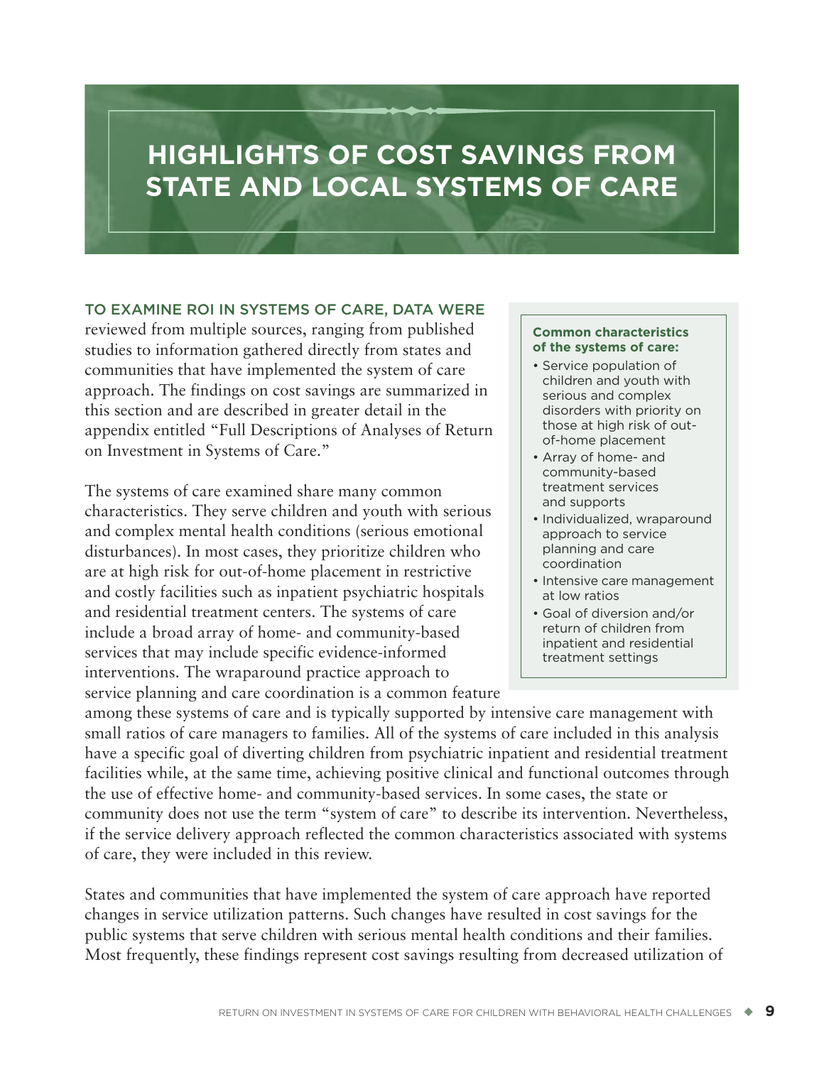## <span id="page-18-0"></span>**HIGHLIGHTS OF COST SAVINGS FROM STATE AND LOCAL SYSTEMS OF CARE**

#### **TO EXAMINE ROI IN SYSTEMS OF CARE, DATA WERE**

reviewed from multiple sources, ranging from published studies to information gathered directly from states and communities that have implemented the system of care approach. The findings on cost savings are summarized in this section and are described in greater detail in the appendix entitled "Full Descriptions of Analyses of Return on Investment in Systems of Care."

The systems of care examined share many common characteristics. They serve children and youth with serious and complex mental health conditions (serious emotional disturbances). In most cases, they prioritize children who are at high risk for out-of-home placement in restrictive and costly facilities such as inpatient psychiatric hospitals and residential treatment centers. The systems of care include a broad array of home- and community-based services that may include specific evidence-informed interventions. The wraparound practice approach to service planning and care coordination is a common feature

#### **Common characteristics of the systems of care:**

- Service population of children and youth with serious and complex disorders with priority on those at high risk of outof-home placement
- Array of home- and community-based treatment services and supports
- Individualized, wraparound approach to service planning and care coordination
- Intensive care management at low ratios
- Goal of diversion and/or return of children from inpatient and residential treatment settings

among these systems of care and is typically supported by intensive care management with small ratios of care managers to families. All of the systems of care included in this analysis have a specific goal of diverting children from psychiatric inpatient and residential treatment facilities while, at the same time, achieving positive clinical and functional outcomes through the use of effective home- and community-based services. In some cases, the state or community does not use the term "system of care" to describe its intervention. Nevertheless, if the service delivery approach reflected the common characteristics associated with systems of care, they were included in this review.

States and communities that have implemented the system of care approach have reported changes in service utilization patterns. Such changes have resulted in cost savings for the public systems that serve children with serious mental health conditions and their families. Most frequently, these findings represent cost savings resulting from decreased utilization of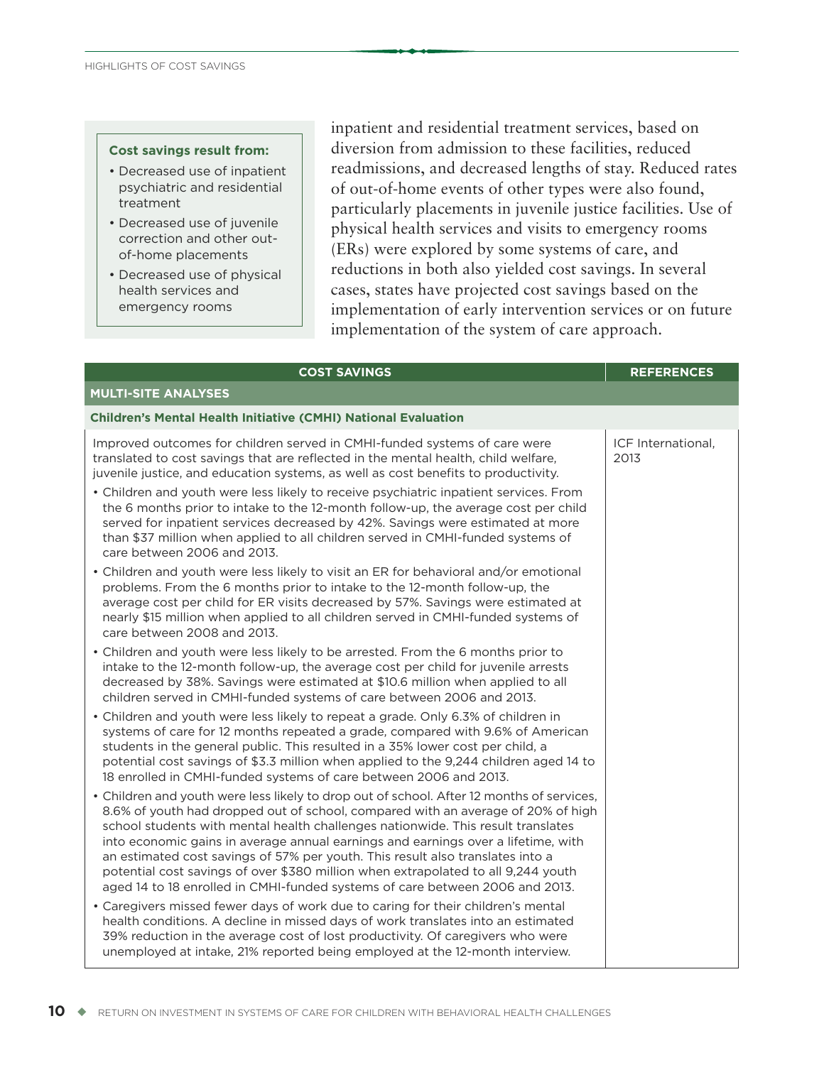#### **Cost savings result from:**

- Decreased use of inpatient psychiatric and residential treatment
- Decreased use of juvenile correction and other outof-home placements
- Decreased use of physical health services and emergency rooms

inpatient and residential treatment services, based on diversion from admission to these facilities, reduced readmissions, and decreased lengths of stay. Reduced rates of out-of-home events of other types were also found, particularly placements in juvenile justice facilities. Use of physical health services and visits to emergency rooms (ERs) were explored by some systems of care, and reductions in both also yielded cost savings. In several cases, states have projected cost savings based on the implementation of early intervention services or on future implementation of the system of care approach.

| <b>COST SAVINGS</b>                                                                                                                                                                                                                                                                                                                                                                                                                                                                                                                                                                                           | <b>REFERENCES</b>          |
|---------------------------------------------------------------------------------------------------------------------------------------------------------------------------------------------------------------------------------------------------------------------------------------------------------------------------------------------------------------------------------------------------------------------------------------------------------------------------------------------------------------------------------------------------------------------------------------------------------------|----------------------------|
| <b>MULTI-SITE ANALYSES</b>                                                                                                                                                                                                                                                                                                                                                                                                                                                                                                                                                                                    |                            |
| <b>Children's Mental Health Initiative (CMHI) National Evaluation</b>                                                                                                                                                                                                                                                                                                                                                                                                                                                                                                                                         |                            |
| Improved outcomes for children served in CMHI-funded systems of care were<br>translated to cost savings that are reflected in the mental health, child welfare,<br>juvenile justice, and education systems, as well as cost benefits to productivity.<br>• Children and youth were less likely to receive psychiatric inpatient services. From                                                                                                                                                                                                                                                                | ICF International,<br>2013 |
| the 6 months prior to intake to the 12-month follow-up, the average cost per child<br>served for inpatient services decreased by 42%. Savings were estimated at more<br>than \$37 million when applied to all children served in CMHI-funded systems of<br>care between 2006 and 2013.                                                                                                                                                                                                                                                                                                                        |                            |
| • Children and youth were less likely to visit an ER for behavioral and/or emotional<br>problems. From the 6 months prior to intake to the 12-month follow-up, the<br>average cost per child for ER visits decreased by 57%. Savings were estimated at<br>nearly \$15 million when applied to all children served in CMHI-funded systems of<br>care between 2008 and 2013.                                                                                                                                                                                                                                    |                            |
| • Children and youth were less likely to be arrested. From the 6 months prior to<br>intake to the 12-month follow-up, the average cost per child for juvenile arrests<br>decreased by 38%. Savings were estimated at \$10.6 million when applied to all<br>children served in CMHI-funded systems of care between 2006 and 2013.                                                                                                                                                                                                                                                                              |                            |
| • Children and youth were less likely to repeat a grade. Only 6.3% of children in<br>systems of care for 12 months repeated a grade, compared with 9.6% of American<br>students in the general public. This resulted in a 35% lower cost per child, a<br>potential cost savings of \$3.3 million when applied to the 9,244 children aged 14 to<br>18 enrolled in CMHI-funded systems of care between 2006 and 2013.                                                                                                                                                                                           |                            |
| • Children and youth were less likely to drop out of school. After 12 months of services,<br>8.6% of youth had dropped out of school, compared with an average of 20% of high<br>school students with mental health challenges nationwide. This result translates<br>into economic gains in average annual earnings and earnings over a lifetime, with<br>an estimated cost savings of 57% per youth. This result also translates into a<br>potential cost savings of over \$380 million when extrapolated to all 9,244 youth<br>aged 14 to 18 enrolled in CMHI-funded systems of care between 2006 and 2013. |                            |
| • Caregivers missed fewer days of work due to caring for their children's mental<br>health conditions. A decline in missed days of work translates into an estimated<br>39% reduction in the average cost of lost productivity. Of caregivers who were<br>unemployed at intake, 21% reported being employed at the 12-month interview.                                                                                                                                                                                                                                                                        |                            |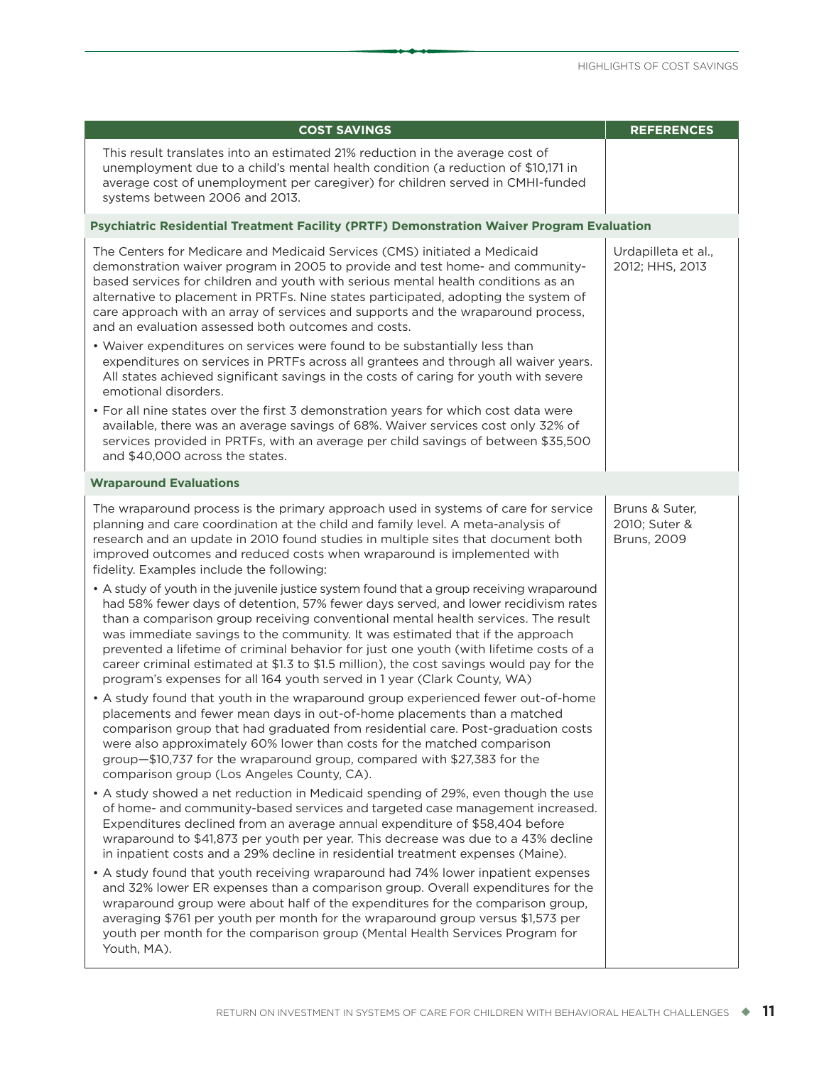| <b>COST SAVINGS</b>                                                                                                                                                                                                                                                                                                                                                                                                                                                                                                                                                                                                     | <b>REFERENCES</b>                                     |
|-------------------------------------------------------------------------------------------------------------------------------------------------------------------------------------------------------------------------------------------------------------------------------------------------------------------------------------------------------------------------------------------------------------------------------------------------------------------------------------------------------------------------------------------------------------------------------------------------------------------------|-------------------------------------------------------|
| This result translates into an estimated 21% reduction in the average cost of<br>unemployment due to a child's mental health condition (a reduction of \$10,171 in<br>average cost of unemployment per caregiver) for children served in CMHI-funded<br>systems between 2006 and 2013.                                                                                                                                                                                                                                                                                                                                  |                                                       |
| Psychiatric Residential Treatment Facility (PRTF) Demonstration Waiver Program Evaluation                                                                                                                                                                                                                                                                                                                                                                                                                                                                                                                               |                                                       |
| The Centers for Medicare and Medicaid Services (CMS) initiated a Medicaid<br>demonstration waiver program in 2005 to provide and test home- and community-<br>based services for children and youth with serious mental health conditions as an<br>alternative to placement in PRTFs. Nine states participated, adopting the system of<br>care approach with an array of services and supports and the wraparound process,<br>and an evaluation assessed both outcomes and costs.                                                                                                                                       | Urdapilleta et al.,<br>2012; HHS, 2013                |
| • Waiver expenditures on services were found to be substantially less than<br>expenditures on services in PRTFs across all grantees and through all waiver years.<br>All states achieved significant savings in the costs of caring for youth with severe<br>emotional disorders.                                                                                                                                                                                                                                                                                                                                       |                                                       |
| . For all nine states over the first 3 demonstration years for which cost data were<br>available, there was an average savings of 68%. Waiver services cost only 32% of<br>services provided in PRTFs, with an average per child savings of between \$35,500<br>and \$40,000 across the states.                                                                                                                                                                                                                                                                                                                         |                                                       |
| <b>Wraparound Evaluations</b>                                                                                                                                                                                                                                                                                                                                                                                                                                                                                                                                                                                           |                                                       |
| The wraparound process is the primary approach used in systems of care for service<br>planning and care coordination at the child and family level. A meta-analysis of<br>research and an update in 2010 found studies in multiple sites that document both<br>improved outcomes and reduced costs when wraparound is implemented with<br>fidelity. Examples include the following:                                                                                                                                                                                                                                     | Bruns & Suter,<br>2010; Suter &<br><b>Bruns, 2009</b> |
| • A study of youth in the juvenile justice system found that a group receiving wraparound<br>had 58% fewer days of detention, 57% fewer days served, and lower recidivism rates<br>than a comparison group receiving conventional mental health services. The result<br>was immediate savings to the community. It was estimated that if the approach<br>prevented a lifetime of criminal behavior for just one youth (with lifetime costs of a<br>career criminal estimated at \$1.3 to \$1.5 million), the cost savings would pay for the<br>program's expenses for all 164 youth served in 1 year (Clark County, WA) |                                                       |
| • A study found that youth in the wraparound group experienced fewer out-of-home<br>placements and fewer mean days in out-of-home placements than a matched<br>comparison group that had graduated from residential care. Post-graduation costs<br>were also approximately 60% lower than costs for the matched comparison<br>group-\$10,737 for the wraparound group, compared with \$27,383 for the<br>comparison group (Los Angeles County, CA).                                                                                                                                                                     |                                                       |
| • A study showed a net reduction in Medicaid spending of 29%, even though the use<br>of home- and community-based services and targeted case management increased.<br>Expenditures declined from an average annual expenditure of \$58,404 before<br>wraparound to \$41,873 per youth per year. This decrease was due to a 43% decline<br>in inpatient costs and a 29% decline in residential treatment expenses (Maine).                                                                                                                                                                                               |                                                       |
| • A study found that youth receiving wraparound had 74% lower inpatient expenses<br>and 32% lower ER expenses than a comparison group. Overall expenditures for the<br>wraparound group were about half of the expenditures for the comparison group,<br>averaging \$761 per youth per month for the wraparound group versus \$1,573 per<br>youth per month for the comparison group (Mental Health Services Program for<br>Youth, MA).                                                                                                                                                                                 |                                                       |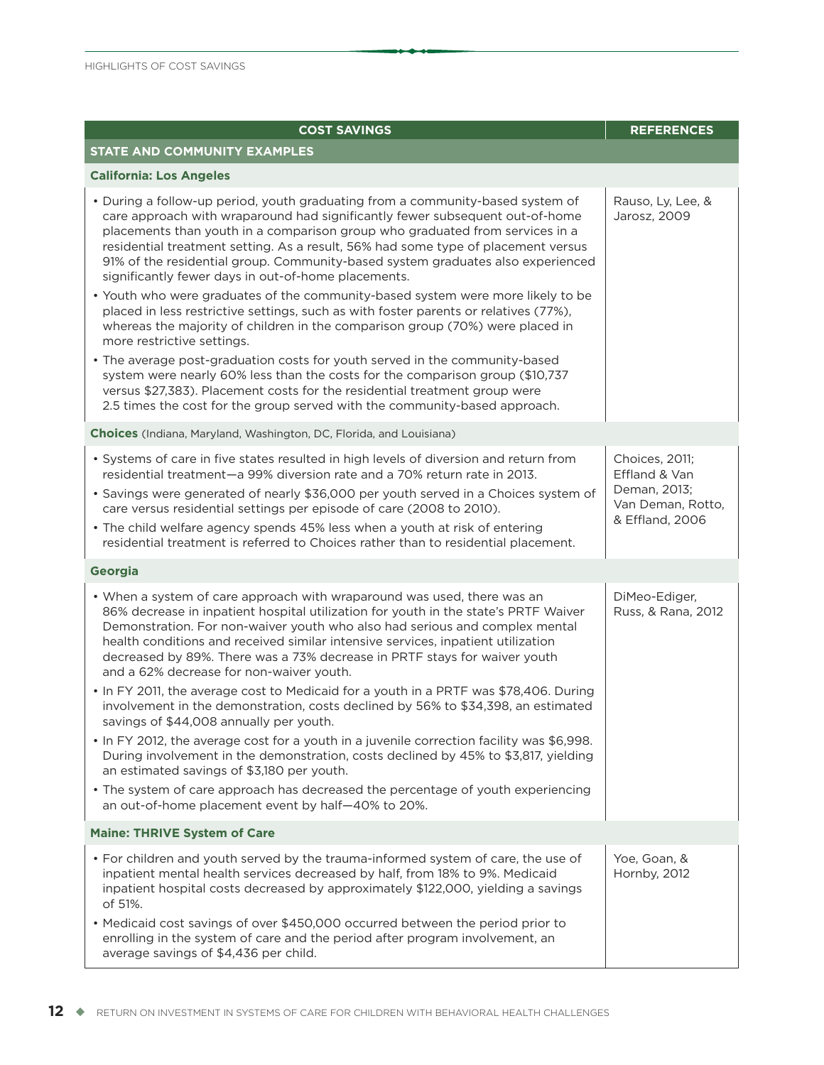| <b>COST SAVINGS</b>                                                                                                                                                                                                                                                                                                                                                                                                                                                                                    | <b>REFERENCES</b>                                                                       |
|--------------------------------------------------------------------------------------------------------------------------------------------------------------------------------------------------------------------------------------------------------------------------------------------------------------------------------------------------------------------------------------------------------------------------------------------------------------------------------------------------------|-----------------------------------------------------------------------------------------|
| STATE AND COMMUNITY EXAMPLES                                                                                                                                                                                                                                                                                                                                                                                                                                                                           |                                                                                         |
| <b>California: Los Angeles</b>                                                                                                                                                                                                                                                                                                                                                                                                                                                                         |                                                                                         |
| • During a follow-up period, youth graduating from a community-based system of<br>care approach with wraparound had significantly fewer subsequent out-of-home<br>placements than youth in a comparison group who graduated from services in a<br>residential treatment setting. As a result, 56% had some type of placement versus<br>91% of the residential group. Community-based system graduates also experienced<br>significantly fewer days in out-of-home placements.                          | Rauso, Ly, Lee, &<br>Jarosz, 2009                                                       |
| . Youth who were graduates of the community-based system were more likely to be<br>placed in less restrictive settings, such as with foster parents or relatives (77%),<br>whereas the majority of children in the comparison group (70%) were placed in<br>more restrictive settings.                                                                                                                                                                                                                 |                                                                                         |
| • The average post-graduation costs for youth served in the community-based<br>system were nearly 60% less than the costs for the comparison group (\$10,737<br>versus \$27,383). Placement costs for the residential treatment group were<br>2.5 times the cost for the group served with the community-based approach.                                                                                                                                                                               |                                                                                         |
| Choices (Indiana, Maryland, Washington, DC, Florida, and Louisiana)                                                                                                                                                                                                                                                                                                                                                                                                                                    |                                                                                         |
| • Systems of care in five states resulted in high levels of diversion and return from<br>residential treatment-a 99% diversion rate and a 70% return rate in 2013.<br>• Savings were generated of nearly \$36,000 per youth served in a Choices system of<br>care versus residential settings per episode of care (2008 to 2010).<br>• The child welfare agency spends 45% less when a youth at risk of entering<br>residential treatment is referred to Choices rather than to residential placement. | Choices, 2011;<br>Effland & Van<br>Deman, 2013;<br>Van Deman, Rotto,<br>& Effland, 2006 |
| <b>Georgia</b>                                                                                                                                                                                                                                                                                                                                                                                                                                                                                         |                                                                                         |
| • When a system of care approach with wraparound was used, there was an<br>86% decrease in inpatient hospital utilization for youth in the state's PRTF Waiver<br>Demonstration. For non-waiver youth who also had serious and complex mental<br>health conditions and received similar intensive services, inpatient utilization<br>decreased by 89%. There was a 73% decrease in PRTF stays for waiver youth<br>and a 62% decrease for non-waiver youth.                                             | DiMeo-Ediger,<br>Russ, & Rana, 2012                                                     |
| . In FY 2011, the average cost to Medicaid for a youth in a PRTF was \$78,406. During<br>involvement in the demonstration, costs declined by 56% to \$34,398, an estimated<br>savings of \$44,008 annually per youth.                                                                                                                                                                                                                                                                                  |                                                                                         |
| • In FY 2012, the average cost for a youth in a juvenile correction facility was \$6,998.<br>During involvement in the demonstration, costs declined by 45% to \$3,817, yielding<br>an estimated savings of \$3,180 per youth.                                                                                                                                                                                                                                                                         |                                                                                         |
| • The system of care approach has decreased the percentage of youth experiencing<br>an out-of-home placement event by half-40% to 20%.                                                                                                                                                                                                                                                                                                                                                                 |                                                                                         |
| <b>Maine: THRIVE System of Care</b>                                                                                                                                                                                                                                                                                                                                                                                                                                                                    |                                                                                         |
| • For children and youth served by the trauma-informed system of care, the use of<br>inpatient mental health services decreased by half, from 18% to 9%. Medicaid<br>inpatient hospital costs decreased by approximately \$122,000, yielding a savings<br>of 51%.                                                                                                                                                                                                                                      | Yoe, Goan, &<br>Hornby, 2012                                                            |
| • Medicaid cost savings of over \$450,000 occurred between the period prior to<br>enrolling in the system of care and the period after program involvement, an<br>average savings of \$4,436 per child.                                                                                                                                                                                                                                                                                                |                                                                                         |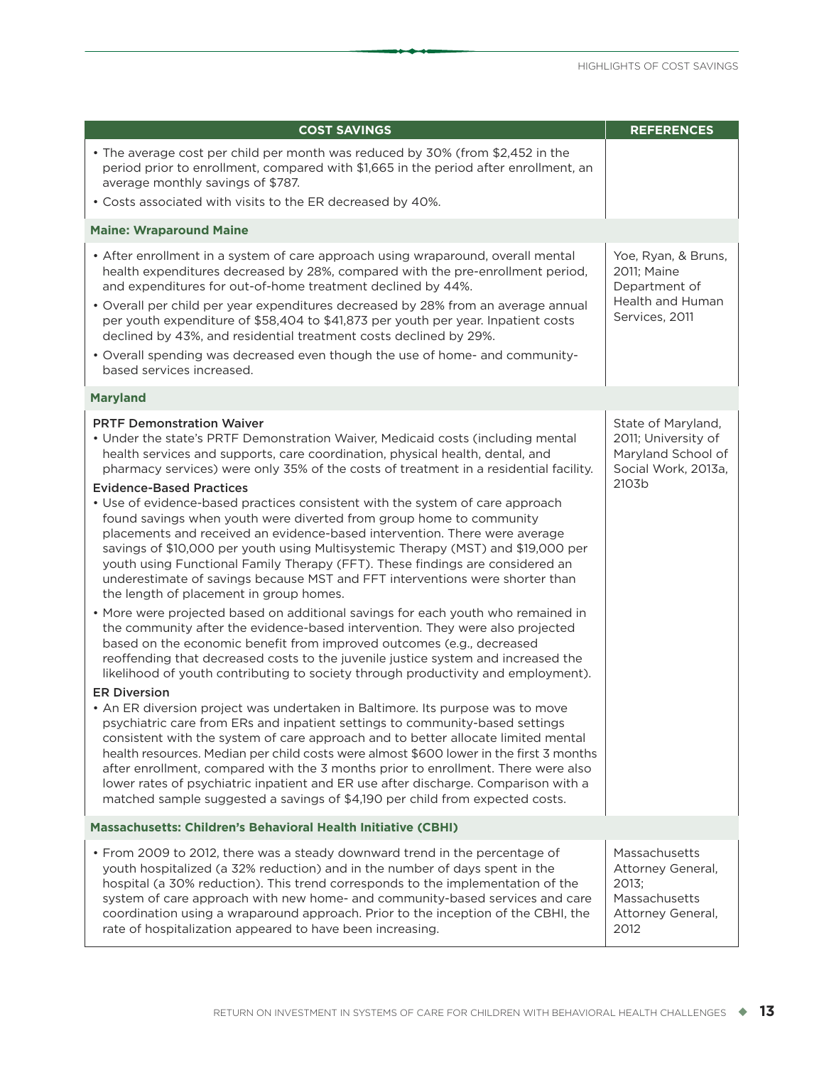| <b>COST SAVINGS</b>                                                                                                                                                                                                                                                                                                                                                                                                                                                                                                                                                                                                                                                                                                                                                                                                                                                                                                                                                                                                                                                                                                                                                                                                                                                                                                                                                                                                                                                                                                                                                                                                                                                                                                                                                                                                                                                                                                               | <b>REFERENCES</b>                                                                               |
|-----------------------------------------------------------------------------------------------------------------------------------------------------------------------------------------------------------------------------------------------------------------------------------------------------------------------------------------------------------------------------------------------------------------------------------------------------------------------------------------------------------------------------------------------------------------------------------------------------------------------------------------------------------------------------------------------------------------------------------------------------------------------------------------------------------------------------------------------------------------------------------------------------------------------------------------------------------------------------------------------------------------------------------------------------------------------------------------------------------------------------------------------------------------------------------------------------------------------------------------------------------------------------------------------------------------------------------------------------------------------------------------------------------------------------------------------------------------------------------------------------------------------------------------------------------------------------------------------------------------------------------------------------------------------------------------------------------------------------------------------------------------------------------------------------------------------------------------------------------------------------------------------------------------------------------|-------------------------------------------------------------------------------------------------|
| • The average cost per child per month was reduced by 30% (from \$2,452 in the<br>period prior to enrollment, compared with \$1,665 in the period after enrollment, an<br>average monthly savings of \$787.<br>• Costs associated with visits to the ER decreased by 40%.                                                                                                                                                                                                                                                                                                                                                                                                                                                                                                                                                                                                                                                                                                                                                                                                                                                                                                                                                                                                                                                                                                                                                                                                                                                                                                                                                                                                                                                                                                                                                                                                                                                         |                                                                                                 |
|                                                                                                                                                                                                                                                                                                                                                                                                                                                                                                                                                                                                                                                                                                                                                                                                                                                                                                                                                                                                                                                                                                                                                                                                                                                                                                                                                                                                                                                                                                                                                                                                                                                                                                                                                                                                                                                                                                                                   |                                                                                                 |
| <b>Maine: Wraparound Maine</b>                                                                                                                                                                                                                                                                                                                                                                                                                                                                                                                                                                                                                                                                                                                                                                                                                                                                                                                                                                                                                                                                                                                                                                                                                                                                                                                                                                                                                                                                                                                                                                                                                                                                                                                                                                                                                                                                                                    |                                                                                                 |
| • After enrollment in a system of care approach using wraparound, overall mental<br>health expenditures decreased by 28%, compared with the pre-enrollment period,<br>and expenditures for out-of-home treatment declined by 44%.<br>• Overall per child per year expenditures decreased by 28% from an average annual<br>per youth expenditure of \$58,404 to \$41,873 per youth per year. Inpatient costs<br>declined by 43%, and residential treatment costs declined by 29%.<br>• Overall spending was decreased even though the use of home- and community-<br>based services increased.                                                                                                                                                                                                                                                                                                                                                                                                                                                                                                                                                                                                                                                                                                                                                                                                                                                                                                                                                                                                                                                                                                                                                                                                                                                                                                                                     | Yoe, Ryan, & Bruns,<br>2011; Maine<br>Department of<br>Health and Human<br>Services, 2011       |
| <b>Maryland</b>                                                                                                                                                                                                                                                                                                                                                                                                                                                                                                                                                                                                                                                                                                                                                                                                                                                                                                                                                                                                                                                                                                                                                                                                                                                                                                                                                                                                                                                                                                                                                                                                                                                                                                                                                                                                                                                                                                                   |                                                                                                 |
| <b>PRTF Demonstration Waiver</b><br>• Under the state's PRTF Demonstration Waiver, Medicaid costs (including mental<br>health services and supports, care coordination, physical health, dental, and<br>pharmacy services) were only 35% of the costs of treatment in a residential facility.<br><b>Evidence-Based Practices</b><br>• Use of evidence-based practices consistent with the system of care approach<br>found savings when youth were diverted from group home to community<br>placements and received an evidence-based intervention. There were average<br>savings of \$10,000 per youth using Multisystemic Therapy (MST) and \$19,000 per<br>youth using Functional Family Therapy (FFT). These findings are considered an<br>underestimate of savings because MST and FFT interventions were shorter than<br>the length of placement in group homes.<br>• More were projected based on additional savings for each youth who remained in<br>the community after the evidence-based intervention. They were also projected<br>based on the economic benefit from improved outcomes (e.g., decreased<br>reoffending that decreased costs to the juvenile justice system and increased the<br>likelihood of youth contributing to society through productivity and employment).<br><b>ER Diversion</b><br>• An ER diversion project was undertaken in Baltimore. Its purpose was to move<br>psychiatric care from ERs and inpatient settings to community-based settings<br>consistent with the system of care approach and to better allocate limited mental<br>health resources. Median per child costs were almost \$600 lower in the first 3 months<br>after enrollment, compared with the 3 months prior to enrollment. There were also<br>lower rates of psychiatric inpatient and ER use after discharge. Comparison with a<br>matched sample suggested a savings of \$4,190 per child from expected costs. | State of Maryland,<br>2011; University of<br>Maryland School of<br>Social Work, 2013a,<br>2103b |
| Massachusetts: Children's Behavioral Health Initiative (CBHI)                                                                                                                                                                                                                                                                                                                                                                                                                                                                                                                                                                                                                                                                                                                                                                                                                                                                                                                                                                                                                                                                                                                                                                                                                                                                                                                                                                                                                                                                                                                                                                                                                                                                                                                                                                                                                                                                     |                                                                                                 |
| • From 2009 to 2012, there was a steady downward trend in the percentage of<br>youth hospitalized (a 32% reduction) and in the number of days spent in the<br>hospital (a 30% reduction). This trend corresponds to the implementation of the<br>system of care approach with new home- and community-based services and care<br>coordination using a wraparound approach. Prior to the inception of the CBHI, the<br>rate of hospitalization appeared to have been increasing.                                                                                                                                                                                                                                                                                                                                                                                                                                                                                                                                                                                                                                                                                                                                                                                                                                                                                                                                                                                                                                                                                                                                                                                                                                                                                                                                                                                                                                                   | Massachusetts<br>Attorney General,<br>2013:<br>Massachusetts<br>Attorney General,<br>2012       |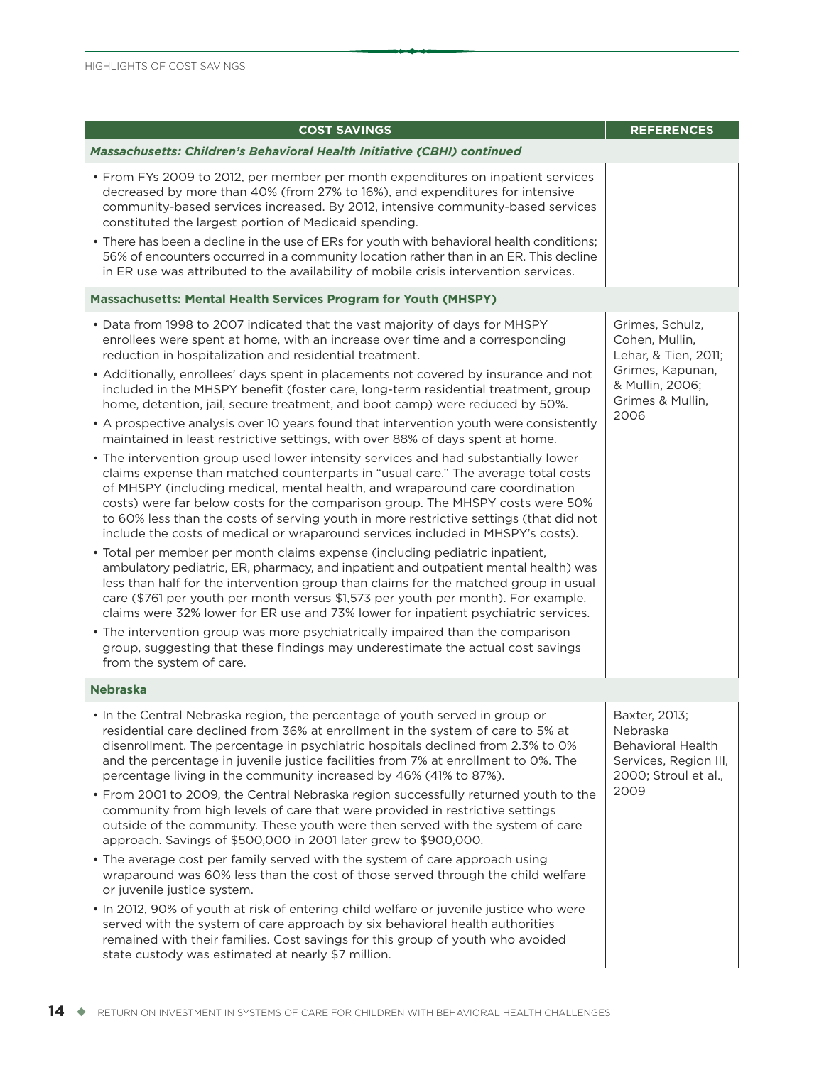| <b>COST SAVINGS</b>                                                                                                                                                                                                                                                                                                                                                                                                                                                                                                                                                                                                                                                                                                                                                                                                                                                                                                                                                                                                                                                                                                                                                                                                                                                                                                                                                                                                                                                                                                                                                                                                                                                                                                                                                                                                                  | <b>REFERENCES</b>                                                                                                            |
|--------------------------------------------------------------------------------------------------------------------------------------------------------------------------------------------------------------------------------------------------------------------------------------------------------------------------------------------------------------------------------------------------------------------------------------------------------------------------------------------------------------------------------------------------------------------------------------------------------------------------------------------------------------------------------------------------------------------------------------------------------------------------------------------------------------------------------------------------------------------------------------------------------------------------------------------------------------------------------------------------------------------------------------------------------------------------------------------------------------------------------------------------------------------------------------------------------------------------------------------------------------------------------------------------------------------------------------------------------------------------------------------------------------------------------------------------------------------------------------------------------------------------------------------------------------------------------------------------------------------------------------------------------------------------------------------------------------------------------------------------------------------------------------------------------------------------------------|------------------------------------------------------------------------------------------------------------------------------|
| <b>Massachusetts: Children's Behavioral Health Initiative (CBHI) continued</b>                                                                                                                                                                                                                                                                                                                                                                                                                                                                                                                                                                                                                                                                                                                                                                                                                                                                                                                                                                                                                                                                                                                                                                                                                                                                                                                                                                                                                                                                                                                                                                                                                                                                                                                                                       |                                                                                                                              |
| • From FYs 2009 to 2012, per member per month expenditures on inpatient services<br>decreased by more than 40% (from 27% to 16%), and expenditures for intensive<br>community-based services increased. By 2012, intensive community-based services<br>constituted the largest portion of Medicaid spending.<br>• There has been a decline in the use of ERs for youth with behavioral health conditions;<br>56% of encounters occurred in a community location rather than in an ER. This decline<br>in ER use was attributed to the availability of mobile crisis intervention services.                                                                                                                                                                                                                                                                                                                                                                                                                                                                                                                                                                                                                                                                                                                                                                                                                                                                                                                                                                                                                                                                                                                                                                                                                                           |                                                                                                                              |
| Massachusetts: Mental Health Services Program for Youth (MHSPY)                                                                                                                                                                                                                                                                                                                                                                                                                                                                                                                                                                                                                                                                                                                                                                                                                                                                                                                                                                                                                                                                                                                                                                                                                                                                                                                                                                                                                                                                                                                                                                                                                                                                                                                                                                      |                                                                                                                              |
| • Data from 1998 to 2007 indicated that the vast majority of days for MHSPY<br>enrollees were spent at home, with an increase over time and a corresponding<br>reduction in hospitalization and residential treatment.<br>• Additionally, enrollees' days spent in placements not covered by insurance and not<br>included in the MHSPY benefit (foster care, long-term residential treatment, group<br>home, detention, jail, secure treatment, and boot camp) were reduced by 50%.<br>• A prospective analysis over 10 years found that intervention youth were consistently<br>maintained in least restrictive settings, with over 88% of days spent at home.<br>• The intervention group used lower intensity services and had substantially lower<br>claims expense than matched counterparts in "usual care." The average total costs<br>of MHSPY (including medical, mental health, and wraparound care coordination<br>costs) were far below costs for the comparison group. The MHSPY costs were 50%<br>to 60% less than the costs of serving youth in more restrictive settings (that did not<br>include the costs of medical or wraparound services included in MHSPY's costs).<br>• Total per member per month claims expense (including pediatric inpatient,<br>ambulatory pediatric, ER, pharmacy, and inpatient and outpatient mental health) was<br>less than half for the intervention group than claims for the matched group in usual<br>care (\$761 per youth per month versus \$1,573 per youth per month). For example,<br>claims were 32% lower for ER use and 73% lower for inpatient psychiatric services.<br>• The intervention group was more psychiatrically impaired than the comparison<br>group, suggesting that these findings may underestimate the actual cost savings<br>from the system of care. | Grimes, Schulz,<br>Cohen, Mullin,<br>Lehar, & Tien, 2011;<br>Grimes, Kapunan,<br>& Mullin, 2006;<br>Grimes & Mullin,<br>2006 |
| <b>Nebraska</b>                                                                                                                                                                                                                                                                                                                                                                                                                                                                                                                                                                                                                                                                                                                                                                                                                                                                                                                                                                                                                                                                                                                                                                                                                                                                                                                                                                                                                                                                                                                                                                                                                                                                                                                                                                                                                      |                                                                                                                              |
| . In the Central Nebraska region, the percentage of youth served in group or<br>residential care declined from 36% at enrollment in the system of care to 5% at<br>disenrollment. The percentage in psychiatric hospitals declined from 2.3% to 0%<br>and the percentage in juvenile justice facilities from 7% at enrollment to 0%. The<br>percentage living in the community increased by 46% (41% to 87%).<br>• From 2001 to 2009, the Central Nebraska region successfully returned youth to the<br>community from high levels of care that were provided in restrictive settings<br>outside of the community. These youth were then served with the system of care<br>approach. Savings of \$500,000 in 2001 later grew to \$900,000.<br>• The average cost per family served with the system of care approach using<br>wraparound was 60% less than the cost of those served through the child welfare<br>or juvenile justice system.<br>. In 2012, 90% of youth at risk of entering child welfare or juvenile justice who were<br>served with the system of care approach by six behavioral health authorities<br>remained with their families. Cost savings for this group of youth who avoided<br>state custody was estimated at nearly \$7 million.                                                                                                                                                                                                                                                                                                                                                                                                                                                                                                                                                                        | Baxter, 2013;<br>Nebraska<br><b>Behavioral Health</b><br>Services, Region III,<br>2000; Stroul et al.,<br>2009               |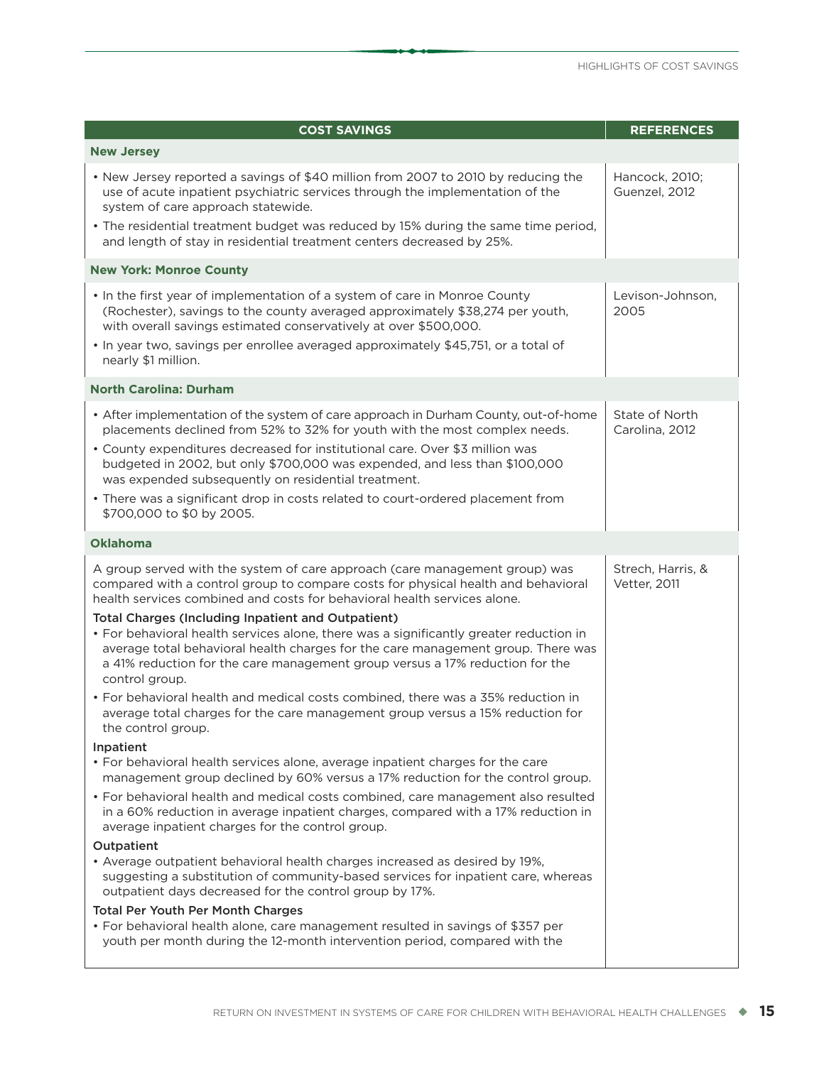| <b>New Jersey</b><br>• New Jersey reported a savings of \$40 million from 2007 to 2010 by reducing the<br>use of acute inpatient psychiatric services through the implementation of the<br>system of care approach statewide.                                                                             | Hancock, 2010;                    |
|-----------------------------------------------------------------------------------------------------------------------------------------------------------------------------------------------------------------------------------------------------------------------------------------------------------|-----------------------------------|
|                                                                                                                                                                                                                                                                                                           |                                   |
|                                                                                                                                                                                                                                                                                                           | Guenzel, 2012                     |
| • The residential treatment budget was reduced by 15% during the same time period,<br>and length of stay in residential treatment centers decreased by 25%.                                                                                                                                               |                                   |
| <b>New York: Monroe County</b>                                                                                                                                                                                                                                                                            |                                   |
| . In the first year of implementation of a system of care in Monroe County<br>(Rochester), savings to the county averaged approximately \$38,274 per youth,<br>with overall savings estimated conservatively at over \$500,000.                                                                           | Levison-Johnson,<br>2005          |
| • In year two, savings per enrollee averaged approximately \$45,751, or a total of<br>nearly \$1 million.                                                                                                                                                                                                 |                                   |
| <b>North Carolina: Durham</b>                                                                                                                                                                                                                                                                             |                                   |
| • After implementation of the system of care approach in Durham County, out-of-home<br>placements declined from 52% to 32% for youth with the most complex needs.                                                                                                                                         | State of North<br>Carolina, 2012  |
| • County expenditures decreased for institutional care. Over \$3 million was<br>budgeted in 2002, but only \$700,000 was expended, and less than \$100,000<br>was expended subsequently on residential treatment.                                                                                         |                                   |
| • There was a significant drop in costs related to court-ordered placement from<br>\$700,000 to \$0 by 2005.                                                                                                                                                                                              |                                   |
| <b>Oklahoma</b>                                                                                                                                                                                                                                                                                           |                                   |
| A group served with the system of care approach (care management group) was<br>compared with a control group to compare costs for physical health and behavioral<br>health services combined and costs for behavioral health services alone.<br><b>Total Charges (Including Inpatient and Outpatient)</b> | Strech, Harris, &<br>Vetter, 2011 |
| • For behavioral health services alone, there was a significantly greater reduction in<br>average total behavioral health charges for the care management group. There was<br>a 41% reduction for the care management group versus a 17% reduction for the<br>control group.                              |                                   |
| • For behavioral health and medical costs combined, there was a 35% reduction in<br>average total charges for the care management group versus a 15% reduction for<br>the control group.                                                                                                                  |                                   |
| Inpatient<br>• For behavioral health services alone, average inpatient charges for the care<br>management group declined by 60% versus a 17% reduction for the control group.                                                                                                                             |                                   |
| • For behavioral health and medical costs combined, care management also resulted<br>in a 60% reduction in average inpatient charges, compared with a 17% reduction in<br>average inpatient charges for the control group.                                                                                |                                   |
| Outpatient                                                                                                                                                                                                                                                                                                |                                   |
| • Average outpatient behavioral health charges increased as desired by 19%,<br>suggesting a substitution of community-based services for inpatient care, whereas<br>outpatient days decreased for the control group by 17%.                                                                               |                                   |
| <b>Total Per Youth Per Month Charges</b><br>• For behavioral health alone, care management resulted in savings of \$357 per<br>youth per month during the 12-month intervention period, compared with the                                                                                                 |                                   |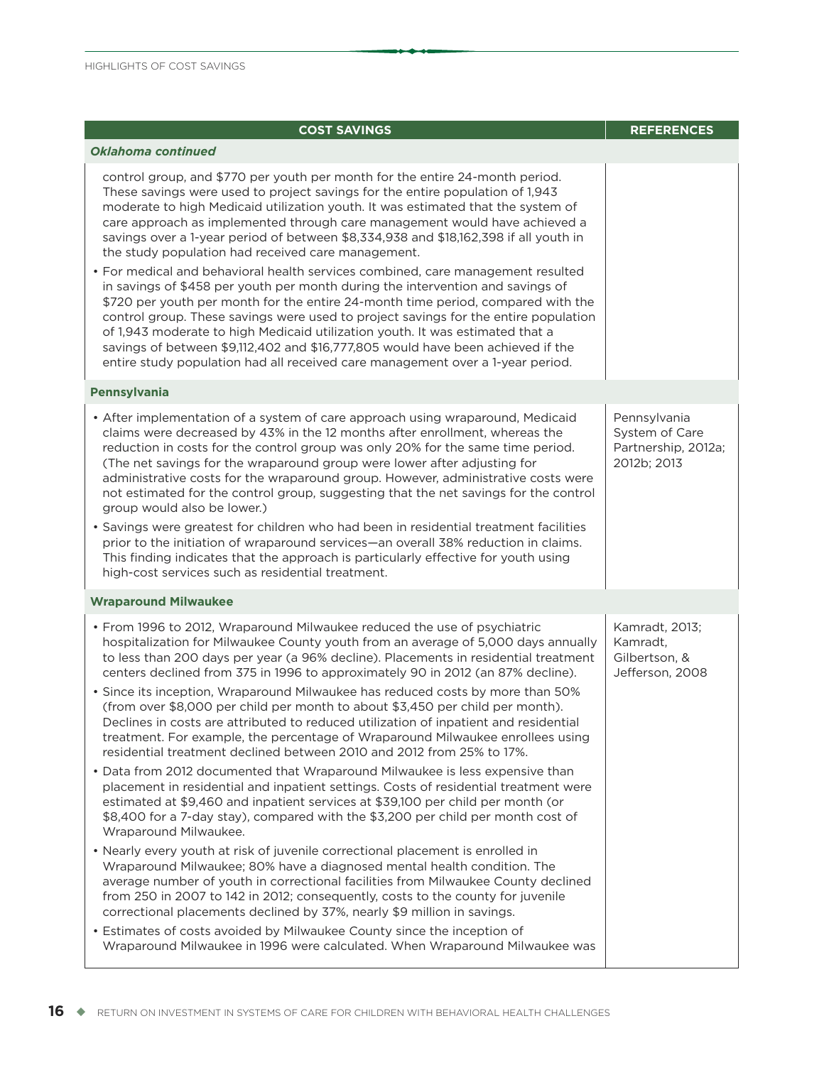| <b>COST SAVINGS</b>                                                                                                                                                                                                                                                                                                                                                                                                                                                                                                                                                                                                                                                                                                                                                                                                                                                                                                                                                                                                                                                                 | <b>REFERENCES</b>                                                    |
|-------------------------------------------------------------------------------------------------------------------------------------------------------------------------------------------------------------------------------------------------------------------------------------------------------------------------------------------------------------------------------------------------------------------------------------------------------------------------------------------------------------------------------------------------------------------------------------------------------------------------------------------------------------------------------------------------------------------------------------------------------------------------------------------------------------------------------------------------------------------------------------------------------------------------------------------------------------------------------------------------------------------------------------------------------------------------------------|----------------------------------------------------------------------|
| <b>Oklahoma continued</b>                                                                                                                                                                                                                                                                                                                                                                                                                                                                                                                                                                                                                                                                                                                                                                                                                                                                                                                                                                                                                                                           |                                                                      |
| control group, and \$770 per youth per month for the entire 24-month period.<br>These savings were used to project savings for the entire population of 1,943<br>moderate to high Medicaid utilization youth. It was estimated that the system of<br>care approach as implemented through care management would have achieved a<br>savings over a 1-year period of between \$8,334,938 and \$18,162,398 if all youth in<br>the study population had received care management.<br>• For medical and behavioral health services combined, care management resulted<br>in savings of \$458 per youth per month during the intervention and savings of<br>\$720 per youth per month for the entire 24-month time period, compared with the<br>control group. These savings were used to project savings for the entire population<br>of 1,943 moderate to high Medicaid utilization youth. It was estimated that a<br>savings of between \$9,112,402 and \$16,777,805 would have been achieved if the<br>entire study population had all received care management over a 1-year period. |                                                                      |
| <b>Pennsylvania</b>                                                                                                                                                                                                                                                                                                                                                                                                                                                                                                                                                                                                                                                                                                                                                                                                                                                                                                                                                                                                                                                                 |                                                                      |
| • After implementation of a system of care approach using wraparound, Medicaid<br>claims were decreased by 43% in the 12 months after enrollment, whereas the<br>reduction in costs for the control group was only 20% for the same time period.<br>(The net savings for the wraparound group were lower after adjusting for<br>administrative costs for the wraparound group. However, administrative costs were<br>not estimated for the control group, suggesting that the net savings for the control<br>group would also be lower.)<br>· Savings were greatest for children who had been in residential treatment facilities<br>prior to the initiation of wraparound services—an overall 38% reduction in claims.<br>This finding indicates that the approach is particularly effective for youth using<br>high-cost services such as residential treatment.                                                                                                                                                                                                                  | Pennsylvania<br>System of Care<br>Partnership, 2012a;<br>2012b; 2013 |
| <b>Wraparound Milwaukee</b>                                                                                                                                                                                                                                                                                                                                                                                                                                                                                                                                                                                                                                                                                                                                                                                                                                                                                                                                                                                                                                                         |                                                                      |
| • From 1996 to 2012, Wraparound Milwaukee reduced the use of psychiatric<br>hospitalization for Milwaukee County youth from an average of 5,000 days annually<br>to less than 200 days per year (a 96% decline). Placements in residential treatment<br>centers declined from 375 in 1996 to approximately 90 in 2012 (an 87% decline).<br>• Since its inception, Wraparound Milwaukee has reduced costs by more than 50%<br>(from over \$8,000 per child per month to about \$3,450 per child per month).<br>Declines in costs are attributed to reduced utilization of inpatient and residential<br>treatment. For example, the percentage of Wraparound Milwaukee enrollees using<br>residential treatment declined between 2010 and 2012 from 25% to 17%.                                                                                                                                                                                                                                                                                                                       | Kamradt, 2013;<br>Kamradt.<br>Gilbertson, &<br>Jefferson, 2008       |
| • Data from 2012 documented that Wraparound Milwaukee is less expensive than<br>placement in residential and inpatient settings. Costs of residential treatment were<br>estimated at \$9,460 and inpatient services at \$39,100 per child per month (or<br>\$8,400 for a 7-day stay), compared with the \$3,200 per child per month cost of<br>Wraparound Milwaukee.                                                                                                                                                                                                                                                                                                                                                                                                                                                                                                                                                                                                                                                                                                                |                                                                      |
| • Nearly every youth at risk of juvenile correctional placement is enrolled in<br>Wraparound Milwaukee; 80% have a diagnosed mental health condition. The<br>average number of youth in correctional facilities from Milwaukee County declined<br>from 250 in 2007 to 142 in 2012; consequently, costs to the county for juvenile<br>correctional placements declined by 37%, nearly \$9 million in savings.                                                                                                                                                                                                                                                                                                                                                                                                                                                                                                                                                                                                                                                                        |                                                                      |
| • Estimates of costs avoided by Milwaukee County since the inception of<br>Wraparound Milwaukee in 1996 were calculated. When Wraparound Milwaukee was                                                                                                                                                                                                                                                                                                                                                                                                                                                                                                                                                                                                                                                                                                                                                                                                                                                                                                                              |                                                                      |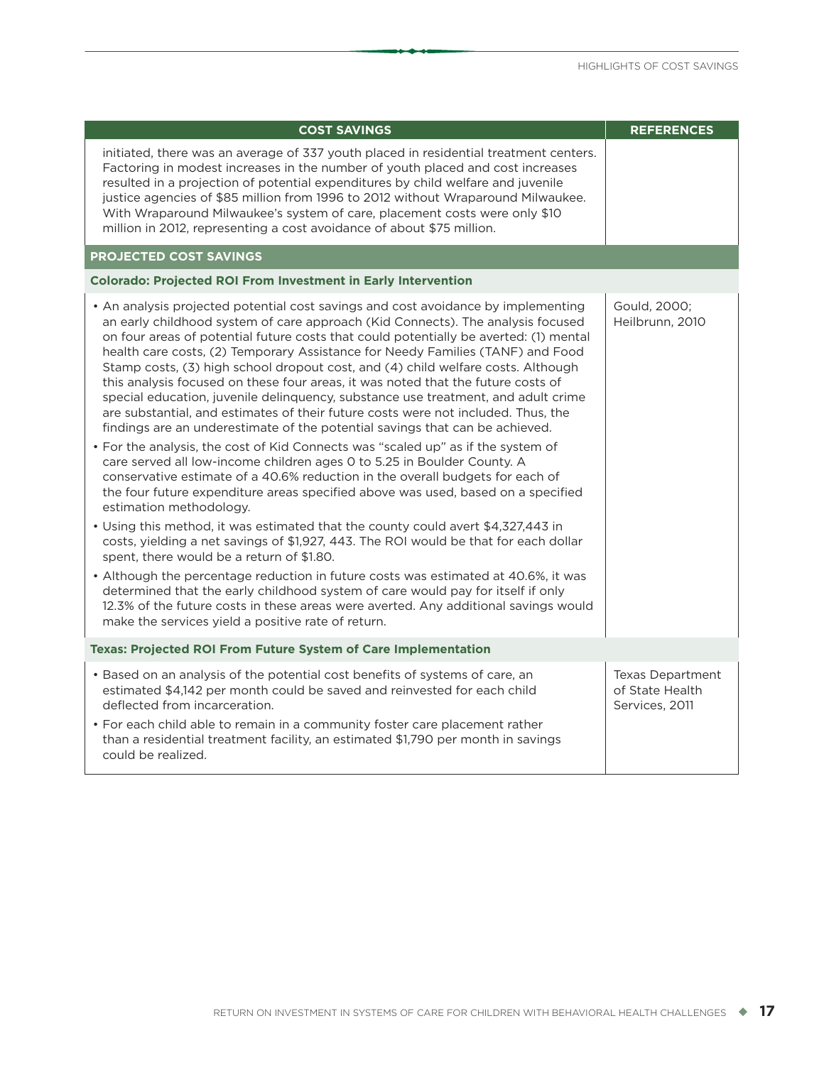| <b>COST SAVINGS</b>                                                                                                                                                                                                                                                                                                                                                                                                                                                                                                                                                                                                                                                                                                                                                                                                                                                                                                                                                                                                                                                                                                                                                                                                                                                                                                                                                                                                                                                                                                                                                                                                                                                                             | <b>REFERENCES</b>                                            |
|-------------------------------------------------------------------------------------------------------------------------------------------------------------------------------------------------------------------------------------------------------------------------------------------------------------------------------------------------------------------------------------------------------------------------------------------------------------------------------------------------------------------------------------------------------------------------------------------------------------------------------------------------------------------------------------------------------------------------------------------------------------------------------------------------------------------------------------------------------------------------------------------------------------------------------------------------------------------------------------------------------------------------------------------------------------------------------------------------------------------------------------------------------------------------------------------------------------------------------------------------------------------------------------------------------------------------------------------------------------------------------------------------------------------------------------------------------------------------------------------------------------------------------------------------------------------------------------------------------------------------------------------------------------------------------------------------|--------------------------------------------------------------|
| initiated, there was an average of 337 youth placed in residential treatment centers.<br>Factoring in modest increases in the number of youth placed and cost increases<br>resulted in a projection of potential expenditures by child welfare and juvenile<br>justice agencies of \$85 million from 1996 to 2012 without Wraparound Milwaukee.<br>With Wraparound Milwaukee's system of care, placement costs were only \$10<br>million in 2012, representing a cost avoidance of about \$75 million.                                                                                                                                                                                                                                                                                                                                                                                                                                                                                                                                                                                                                                                                                                                                                                                                                                                                                                                                                                                                                                                                                                                                                                                          |                                                              |
| <b>PROJECTED COST SAVINGS</b>                                                                                                                                                                                                                                                                                                                                                                                                                                                                                                                                                                                                                                                                                                                                                                                                                                                                                                                                                                                                                                                                                                                                                                                                                                                                                                                                                                                                                                                                                                                                                                                                                                                                   |                                                              |
| <b>Colorado: Projected ROI From Investment in Early Intervention</b>                                                                                                                                                                                                                                                                                                                                                                                                                                                                                                                                                                                                                                                                                                                                                                                                                                                                                                                                                                                                                                                                                                                                                                                                                                                                                                                                                                                                                                                                                                                                                                                                                            |                                                              |
| • An analysis projected potential cost savings and cost avoidance by implementing<br>an early childhood system of care approach (Kid Connects). The analysis focused<br>on four areas of potential future costs that could potentially be averted: (1) mental<br>health care costs, (2) Temporary Assistance for Needy Families (TANF) and Food<br>Stamp costs, (3) high school dropout cost, and (4) child welfare costs. Although<br>this analysis focused on these four areas, it was noted that the future costs of<br>special education, juvenile delinquency, substance use treatment, and adult crime<br>are substantial, and estimates of their future costs were not included. Thus, the<br>findings are an underestimate of the potential savings that can be achieved.<br>• For the analysis, the cost of Kid Connects was "scaled up" as if the system of<br>care served all low-income children ages 0 to 5.25 in Boulder County. A<br>conservative estimate of a 40.6% reduction in the overall budgets for each of<br>the four future expenditure areas specified above was used, based on a specified<br>estimation methodology.<br>• Using this method, it was estimated that the county could avert \$4,327,443 in<br>costs, yielding a net savings of \$1,927, 443. The ROI would be that for each dollar<br>spent, there would be a return of \$1.80.<br>• Although the percentage reduction in future costs was estimated at 40.6%, it was<br>determined that the early childhood system of care would pay for itself if only<br>12.3% of the future costs in these areas were averted. Any additional savings would<br>make the services yield a positive rate of return. | Gould, 2000;<br>Heilbrunn, 2010                              |
| <b>Texas: Projected ROI From Future System of Care Implementation</b>                                                                                                                                                                                                                                                                                                                                                                                                                                                                                                                                                                                                                                                                                                                                                                                                                                                                                                                                                                                                                                                                                                                                                                                                                                                                                                                                                                                                                                                                                                                                                                                                                           |                                                              |
| • Based on an analysis of the potential cost benefits of systems of care, an<br>estimated \$4,142 per month could be saved and reinvested for each child<br>deflected from incarceration.<br>• For each child able to remain in a community foster care placement rather<br>than a residential treatment facility, an estimated \$1,790 per month in savings<br>could be realized.                                                                                                                                                                                                                                                                                                                                                                                                                                                                                                                                                                                                                                                                                                                                                                                                                                                                                                                                                                                                                                                                                                                                                                                                                                                                                                              | <b>Texas Department</b><br>of State Health<br>Services, 2011 |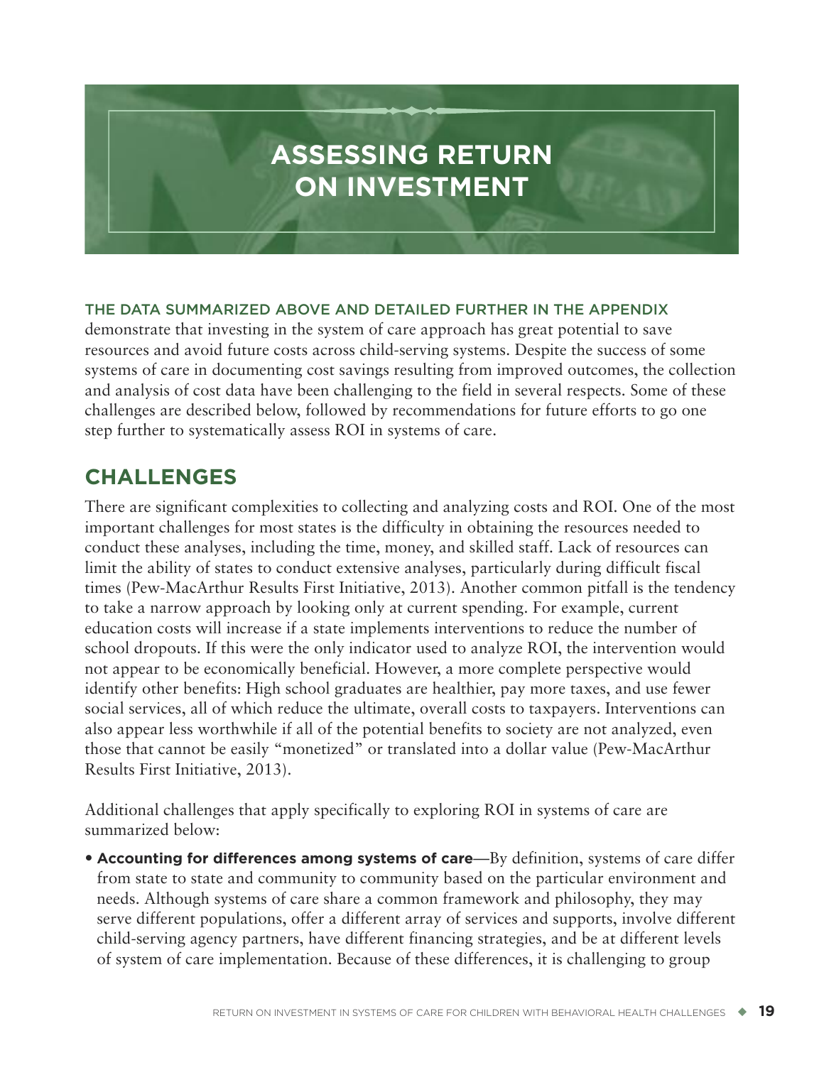# <span id="page-28-0"></span>**ASSESSING RETURN ON INVESTMENT**

#### **THE DATA SUMMARIZED ABOVE AND DETAILED FURTHER IN THE APPENDIX**

demonstrate that investing in the system of care approach has great potential to save resources and avoid future costs across child-serving systems. Despite the success of some systems of care in documenting cost savings resulting from improved outcomes, the collection and analysis of cost data have been challenging to the field in several respects. Some of these challenges are described below, followed by recommendations for future efforts to go one step further to systematically assess ROI in systems of care.

## **CHALLENGES**

There are significant complexities to collecting and analyzing costs and ROI. One of the most important challenges for most states is the difficulty in obtaining the resources needed to conduct these analyses, including the time, money, and skilled staff. Lack of resources can limit the ability of states to conduct extensive analyses, particularly during difficult fiscal times (Pew-MacArthur Results First Initiative, 2013). Another common pitfall is the tendency to take a narrow approach by looking only at current spending. For example, current education costs will increase if a state implements interventions to reduce the number of school dropouts. If this were the only indicator used to analyze ROI, the intervention would not appear to be economically beneficial. However, a more complete perspective would identify other benefits: High school graduates are healthier, pay more taxes, and use fewer social services, all of which reduce the ultimate, overall costs to taxpayers. Interventions can also appear less worthwhile if all of the potential benefits to society are not analyzed, even those that cannot be easily "monetized" or translated into a dollar value (Pew-MacArthur Results First Initiative, 2013).

Additional challenges that apply specifically to exploring ROI in systems of care are summarized below:

• **Accounting for differences among systems of care**—By definition, systems of care differ from state to state and community to community based on the particular environment and needs. Although systems of care share a common framework and philosophy, they may serve different populations, offer a different array of services and supports, involve different child-serving agency partners, have different financing strategies, and be at different levels of system of care implementation. Because of these differences, it is challenging to group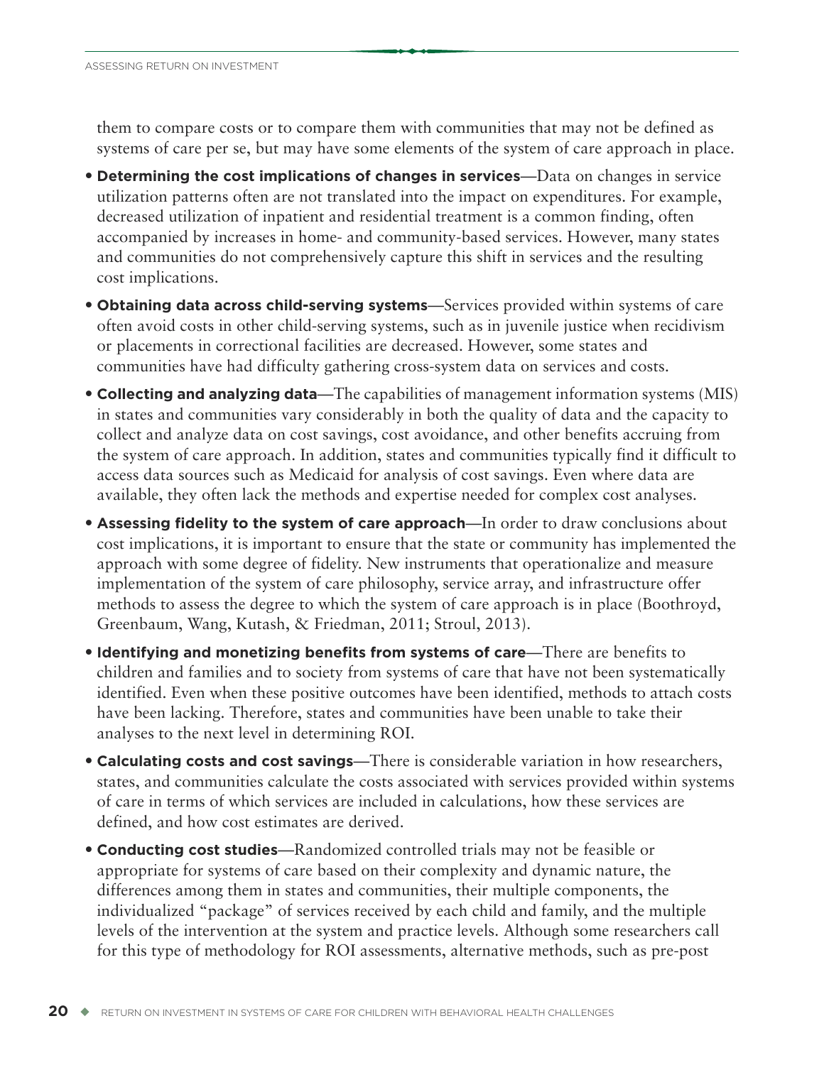them to compare costs or to compare them with communities that may not be defined as systems of care per se, but may have some elements of the system of care approach in place.

- **Determining the cost implications of changes in services**—Data on changes in service utilization patterns often are not translated into the impact on expenditures. For example, decreased utilization of inpatient and residential treatment is a common finding, often accompanied by increases in home- and community-based services. However, many states and communities do not comprehensively capture this shift in services and the resulting cost implications.
- **Obtaining data across child-serving systems**—Services provided within systems of care often avoid costs in other child-serving systems, such as in juvenile justice when recidivism or placements in correctional facilities are decreased. However, some states and communities have had difficulty gathering cross-system data on services and costs.
- **Collecting and analyzing data**—The capabilities of management information systems (MIS) in states and communities vary considerably in both the quality of data and the capacity to collect and analyze data on cost savings, cost avoidance, and other benefits accruing from the system of care approach. In addition, states and communities typically find it difficult to access data sources such as Medicaid for analysis of cost savings. Even where data are available, they often lack the methods and expertise needed for complex cost analyses.
- **Assessing fidelity to the system of care approach**—In order to draw conclusions about cost implications, it is important to ensure that the state or community has implemented the approach with some degree of fidelity. New instruments that operationalize and measure implementation of the system of care philosophy, service array, and infrastructure offer methods to assess the degree to which the system of care approach is in place (Boothroyd, Greenbaum, Wang, Kutash, & Friedman, 2011; Stroul, 2013).
- **Identifying and monetizing benefits from systems of care**—There are benefits to children and families and to society from systems of care that have not been systematically identified. Even when these positive outcomes have been identified, methods to attach costs have been lacking. Therefore, states and communities have been unable to take their analyses to the next level in determining ROI.
- **Calculating costs and cost savings**—There is considerable variation in how researchers, states, and communities calculate the costs associated with services provided within systems of care in terms of which services are included in calculations, how these services are defined, and how cost estimates are derived.
- **Conducting cost studies**—Randomized controlled trials may not be feasible or appropriate for systems of care based on their complexity and dynamic nature, the differences among them in states and communities, their multiple components, the individualized "package" of services received by each child and family, and the multiple levels of the intervention at the system and practice levels. Although some researchers call for this type of methodology for ROI assessments, alternative methods, such as pre-post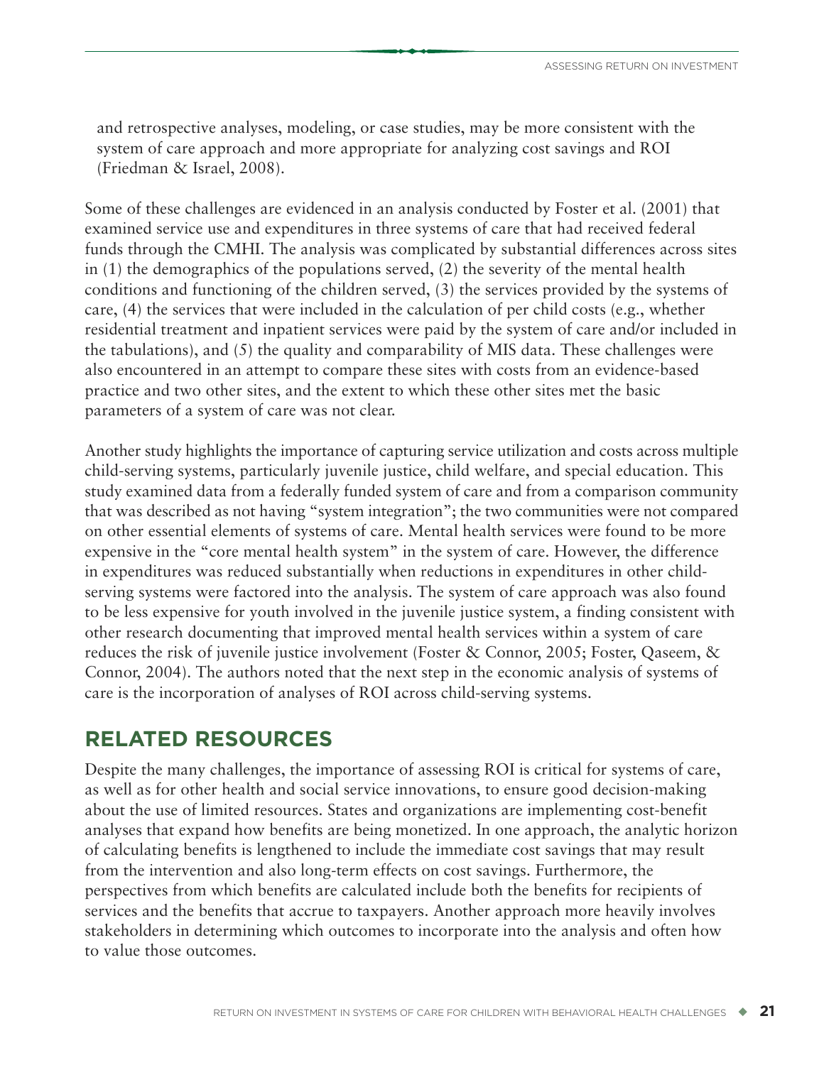<span id="page-30-0"></span>and retrospective analyses, modeling, or case studies, may be more consistent with the system of care approach and more appropriate for analyzing cost savings and ROI (Friedman & Israel, 2008).

Some of these challenges are evidenced in an analysis conducted by Foster et al. (2001) that examined service use and expenditures in three systems of care that had received federal funds through the CMHI. The analysis was complicated by substantial differences across sites in (1) the demographics of the populations served, (2) the severity of the mental health conditions and functioning of the children served, (3) the services provided by the systems of care, (4) the services that were included in the calculation of per child costs (e.g., whether residential treatment and inpatient services were paid by the system of care and/or included in the tabulations), and (5) the quality and comparability of MIS data. These challenges were also encountered in an attempt to compare these sites with costs from an evidence-based practice and two other sites, and the extent to which these other sites met the basic parameters of a system of care was not clear.

Another study highlights the importance of capturing service utilization and costs across multiple child-serving systems, particularly juvenile justice, child welfare, and special education. This study examined data from a federally funded system of care and from a comparison community that was described as not having "system integration"; the two communities were not compared on other essential elements of systems of care. Mental health services were found to be more expensive in the "core mental health system" in the system of care. However, the difference in expenditures was reduced substantially when reductions in expenditures in other childserving systems were factored into the analysis. The system of care approach was also found to be less expensive for youth involved in the juvenile justice system, a finding consistent with other research documenting that improved mental health services within a system of care reduces the risk of juvenile justice involvement (Foster & Connor, 2005; Foster, Qaseem, & Connor, 2004). The authors noted that the next step in the economic analysis of systems of care is the incorporation of analyses of ROI across child-serving systems.

## **RELATED RESOURCES**

Despite the many challenges, the importance of assessing ROI is critical for systems of care, as well as for other health and social service innovations, to ensure good decision-making about the use of limited resources. States and organizations are implementing cost-benefit analyses that expand how benefits are being monetized. In one approach, the analytic horizon of calculating benefits is lengthened to include the immediate cost savings that may result from the intervention and also long-term effects on cost savings. Furthermore, the perspectives from which benefits are calculated include both the benefits for recipients of services and the benefits that accrue to taxpayers. Another approach more heavily involves stakeholders in determining which outcomes to incorporate into the analysis and often how to value those outcomes.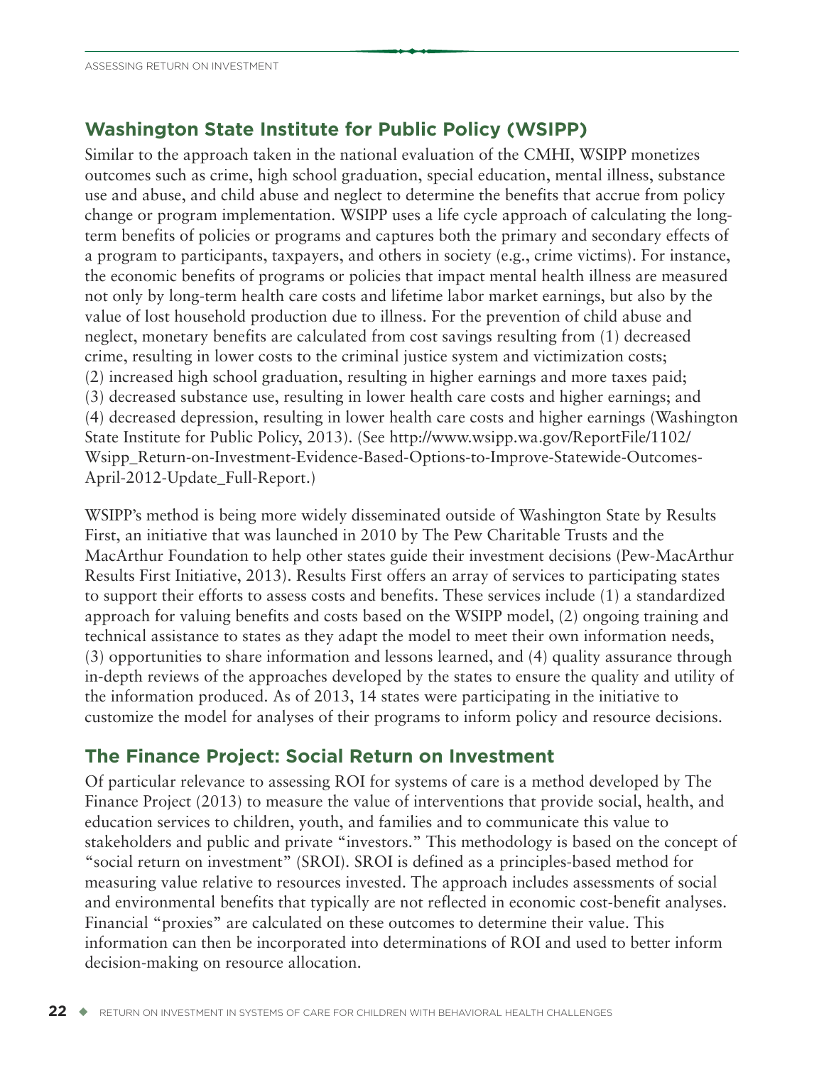## <span id="page-31-0"></span>**Washington State Institute for Public Policy (WSIPP)**

Similar to the approach taken in the national evaluation of the CMHI, WSIPP monetizes outcomes such as crime, high school graduation, special education, mental illness, substance use and abuse, and child abuse and neglect to determine the benefits that accrue from policy change or program implementation. WSIPP uses a life cycle approach of calculating the longterm benefits of policies or programs and captures both the primary and secondary effects of a program to participants, taxpayers, and others in society (e.g., crime victims). For instance, the economic benefits of programs or policies that impact mental health illness are measured not only by long-term health care costs and lifetime labor market earnings, but also by the value of lost household production due to illness. For the prevention of child abuse and neglect, monetary benefits are calculated from cost savings resulting from (1) decreased crime, resulting in lower costs to the criminal justice system and victimization costs; (2) increased high school graduation, resulting in higher earnings and more taxes paid; (3) decreased substance use, resulting in lower health care costs and higher earnings; and (4) decreased depression, resulting in lower health care costs and higher earnings (Washington State Institute for Public Policy, 2013). (See [http://www.wsipp.wa.gov/ReportFile/1102/](http://www.wsipp.wa.gov/ReportFile/1102/Wsipp_Return-on-Investment-Evidence-Based-Options-to-Improve-Statewide-Outcomes-April-2012-Update_Full-Report) [Wsipp\\_Return-on-Investment-Evidence-Based-Options-to-Improve-Statewide-Outcomes-](http://www.wsipp.wa.gov/ReportFile/1102/Wsipp_Return-on-Investment-Evidence-Based-Options-to-Improve-Statewide-Outcomes-April-2012-Update_Full-Report)[April-2012-Update\\_Full-Report.](http://www.wsipp.wa.gov/ReportFile/1102/Wsipp_Return-on-Investment-Evidence-Based-Options-to-Improve-Statewide-Outcomes-April-2012-Update_Full-Report))

WSIPP's method is being more widely disseminated outside of Washington State by Results First, an initiative that was launched in 2010 by The Pew Charitable Trusts and the MacArthur Foundation to help other states guide their investment decisions (Pew-MacArthur Results First Initiative, 2013). Results First offers an array of services to participating states to support their efforts to assess costs and benefits. These services include (1) a standardized approach for valuing benefits and costs based on the WSIPP model, (2) ongoing training and technical assistance to states as they adapt the model to meet their own information needs, (3) opportunities to share information and lessons learned, and (4) quality assurance through in-depth reviews of the approaches developed by the states to ensure the quality and utility of the information produced. As of 2013, 14 states were participating in the initiative to customize the model for analyses of their programs to inform policy and resource decisions.

## **The Finance Project: Social Return on Investment**

Of particular relevance to assessing ROI for systems of care is a method developed by The Finance Project (2013) to measure the value of interventions that provide social, health, and education services to children, youth, and families and to communicate this value to stakeholders and public and private "investors." This methodology is based on the concept of "social return on investment" (SROI). SROI is defined as a principles-based method for measuring value relative to resources invested. The approach includes assessments of social and environmental benefits that typically are not reflected in economic cost-benefit analyses. Financial "proxies" are calculated on these outcomes to determine their value. This information can then be incorporated into determinations of ROI and used to better inform decision-making on resource allocation.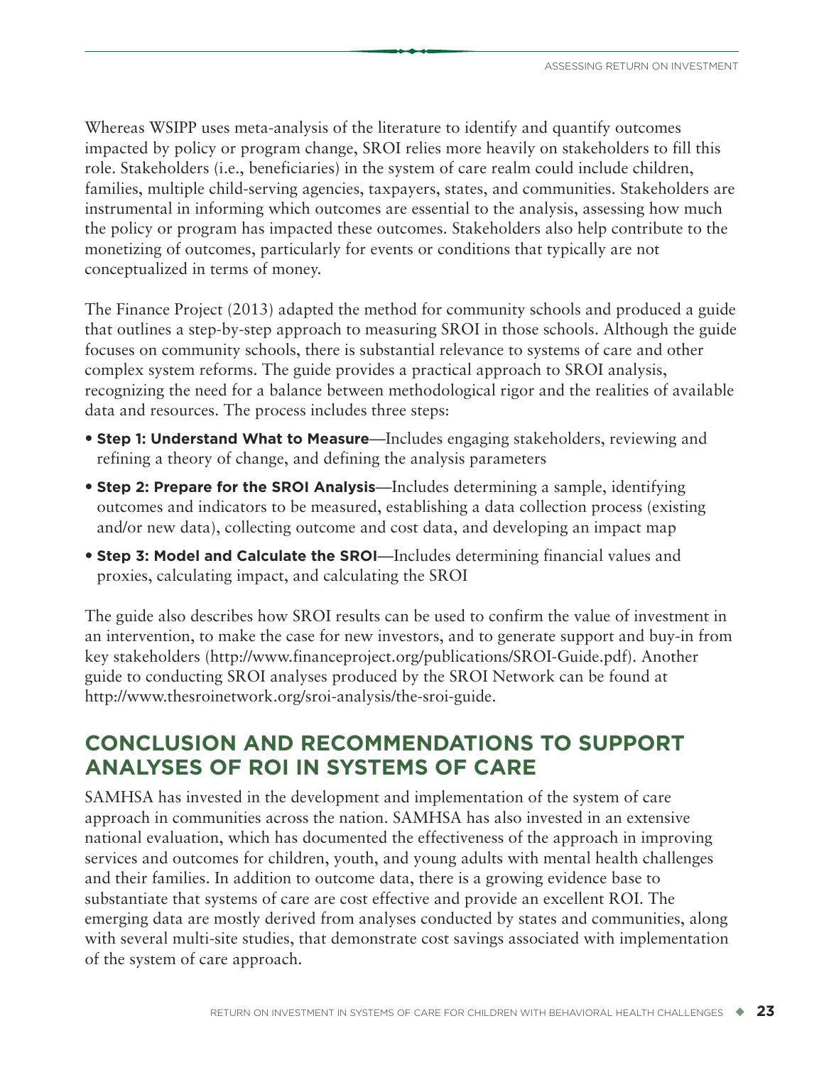<span id="page-32-0"></span>Whereas WSIPP uses meta-analysis of the literature to identify and quantify outcomes impacted by policy or program change, SROI relies more heavily on stakeholders to fill this role. Stakeholders (i.e., beneficiaries) in the system of care realm could include children, families, multiple child-serving agencies, taxpayers, states, and communities. Stakeholders are instrumental in informing which outcomes are essential to the analysis, assessing how much the policy or program has impacted these outcomes. Stakeholders also help contribute to the monetizing of outcomes, particularly for events or conditions that typically are not conceptualized in terms of money.

The Finance Project (2013) adapted the method for community schools and produced a guide that outlines a step-by-step approach to measuring SROI in those schools. Although the guide focuses on community schools, there is substantial relevance to systems of care and other complex system reforms. The guide provides a practical approach to SROI analysis, recognizing the need for a balance between methodological rigor and the realities of available data and resources. The process includes three steps:

- **Step 1: Understand What to Measure**—Includes engaging stakeholders, reviewing and refining a theory of change, and defining the analysis parameters
- **Step 2: Prepare for the SROI Analysis**—Includes determining a sample, identifying outcomes and indicators to be measured, establishing a data collection process (existing and/or new data), collecting outcome and cost data, and developing an impact map
- **Step 3: Model and Calculate the SROI**—Includes determining financial values and proxies, calculating impact, and calculating the SROI

The guide also describes how SROI results can be used to confirm the value of investment in an intervention, to make the case for new investors, and to generate support and buy-in from key stakeholders [\(http://www.financeproject.org/publications/SROI-Guide.pdf\)](http://www.financeproject.org/publications/SROI-Guide.pdf). Another guide to conducting SROI analyses produced by the SROI Network can be found at [http://www.thesroinetwork.org/sroi-analysis/the-sroi-guide.](http://www.thesroinetwork.org/sroi-analysis/the-sroi-guide)

## **CONCLUSION AND RECOMMENDATIONS TO SUPPORT ANALYSES OF ROI IN SYSTEMS OF CARE**

SAMHSA has invested in the development and implementation of the system of care approach in communities across the nation. SAMHSA has also invested in an extensive national evaluation, which has documented the effectiveness of the approach in improving services and outcomes for children, youth, and young adults with mental health challenges and their families. In addition to outcome data, there is a growing evidence base to substantiate that systems of care are cost effective and provide an excellent ROI. The emerging data are mostly derived from analyses conducted by states and communities, along with several multi-site studies, that demonstrate cost savings associated with implementation of the system of care approach.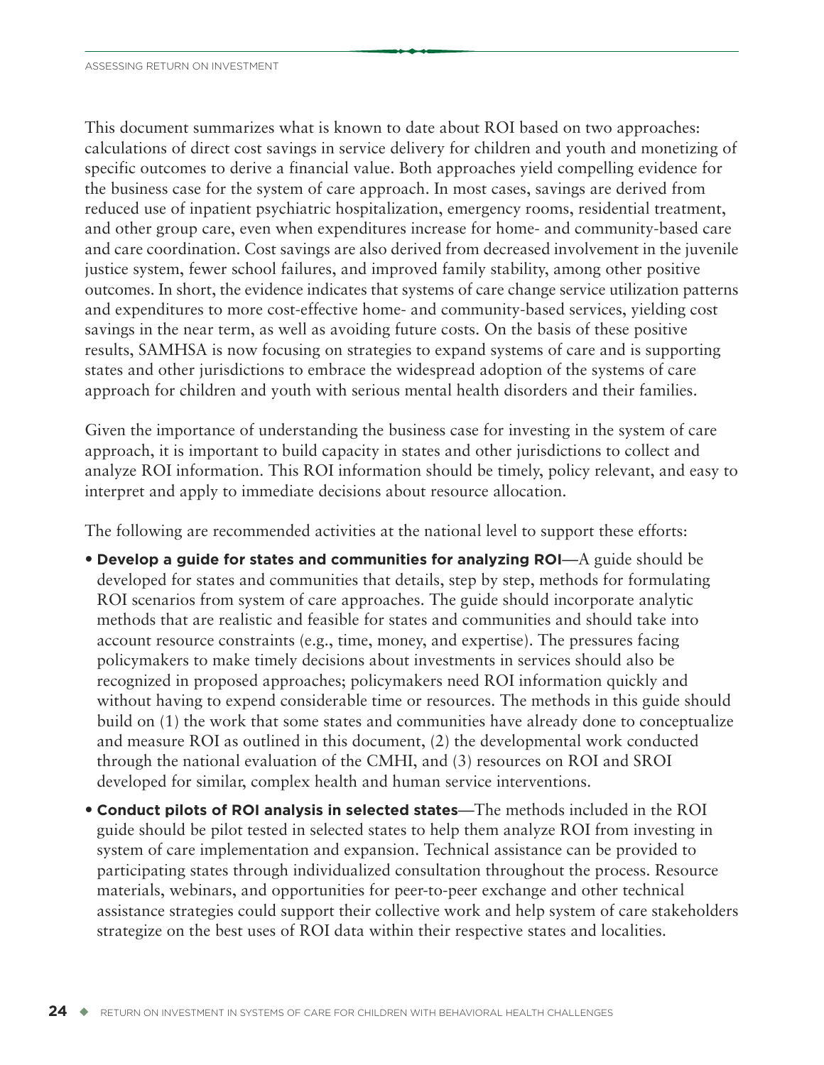This document summarizes what is known to date about ROI based on two approaches: calculations of direct cost savings in service delivery for children and youth and monetizing of specific outcomes to derive a financial value. Both approaches yield compelling evidence for the business case for the system of care approach. In most cases, savings are derived from reduced use of inpatient psychiatric hospitalization, emergency rooms, residential treatment, and other group care, even when expenditures increase for home- and community-based care and care coordination. Cost savings are also derived from decreased involvement in the juvenile justice system, fewer school failures, and improved family stability, among other positive outcomes. In short, the evidence indicates that systems of care change service utilization patterns and expenditures to more cost-effective home- and community-based services, yielding cost savings in the near term, as well as avoiding future costs. On the basis of these positive results, SAMHSA is now focusing on strategies to expand systems of care and is supporting states and other jurisdictions to embrace the widespread adoption of the systems of care approach for children and youth with serious mental health disorders and their families.

Given the importance of understanding the business case for investing in the system of care approach, it is important to build capacity in states and other jurisdictions to collect and analyze ROI information. This ROI information should be timely, policy relevant, and easy to interpret and apply to immediate decisions about resource allocation.

The following are recommended activities at the national level to support these efforts:

- **Develop a guide for states and communities for analyzing ROI**—A guide should be developed for states and communities that details, step by step, methods for formulating ROI scenarios from system of care approaches. The guide should incorporate analytic methods that are realistic and feasible for states and communities and should take into account resource constraints (e.g., time, money, and expertise). The pressures facing policymakers to make timely decisions about investments in services should also be recognized in proposed approaches; policymakers need ROI information quickly and without having to expend considerable time or resources. The methods in this guide should build on (1) the work that some states and communities have already done to conceptualize and measure ROI as outlined in this document, (2) the developmental work conducted through the national evaluation of the CMHI, and (3) resources on ROI and SROI developed for similar, complex health and human service interventions.
- **Conduct pilots of ROI analysis in selected states**—The methods included in the ROI guide should be pilot tested in selected states to help them analyze ROI from investing in system of care implementation and expansion. Technical assistance can be provided to participating states through individualized consultation throughout the process. Resource materials, webinars, and opportunities for peer-to-peer exchange and other technical assistance strategies could support their collective work and help system of care stakeholders strategize on the best uses of ROI data within their respective states and localities.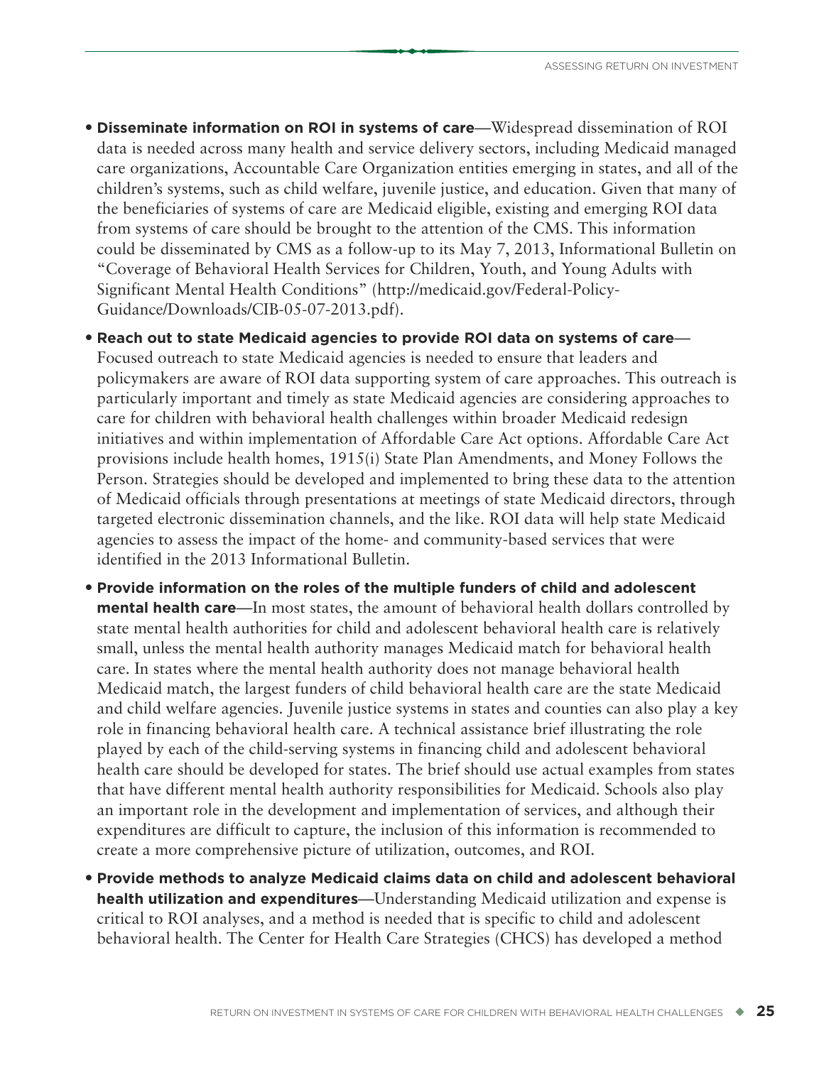• **Disseminate information on ROI in systems of care**—Widespread dissemination of ROI data is needed across many health and service delivery sectors, including Medicaid managed care organizations, Accountable Care Organization entities emerging in states, and all of the children's systems, such as child welfare, juvenile justice, and education. Given that many of the beneficiaries of systems of care are Medicaid eligible, existing and emerging ROI data from systems of care should be brought to the attention of the CMS. This information could be disseminated by CMS as a follow-up to its May 7, 2013, Informational Bulletin on "Coverage of Behavioral Health Services for Children, Youth, and Young Adults with Significant Mental Health Conditions" [\(http://medicaid.gov/Federal-Policy-](http://medicaid.gov/Federal-Policy-Guidance/Downloads/CIB-05-07-2013.pdf)[Guidance/Downloads/CIB-05-07-2013.pdf\)](http://medicaid.gov/Federal-Policy-Guidance/Downloads/CIB-05-07-2013.pdf).

• **Reach out to state Medicaid agencies to provide ROI data on systems of care**— Focused outreach to state Medicaid agencies is needed to ensure that leaders and policymakers are aware of ROI data supporting system of care approaches. This outreach is particularly important and timely as state Medicaid agencies are considering approaches to care for children with behavioral health challenges within broader Medicaid redesign initiatives and within implementation of Affordable Care Act options. Affordable Care Act provisions include health homes, 1915(i) State Plan Amendments, and Money Follows the Person. Strategies should be developed and implemented to bring these data to the attention of Medicaid officials through presentations at meetings of state Medicaid directors, through targeted electronic dissemination channels, and the like. ROI data will help state Medicaid agencies to assess the impact of the home- and community-based services that were identified in the 2013 Informational Bulletin.

- **Provide information on the roles of the multiple funders of child and adolescent mental health care—In** most states, the amount of behavioral health dollars controlled by state mental health authorities for child and adolescent behavioral health care is relatively small, unless the mental health authority manages Medicaid match for behavioral health care. In states where the mental health authority does not manage behavioral health Medicaid match, the largest funders of child behavioral health care are the state Medicaid and child welfare agencies. Juvenile justice systems in states and counties can also play a key role in financing behavioral health care. A technical assistance brief illustrating the role played by each of the child-serving systems in financing child and adolescent behavioral health care should be developed for states. The brief should use actual examples from states that have different mental health authority responsibilities for Medicaid. Schools also play an important role in the development and implementation of services, and although their expenditures are difficult to capture, the inclusion of this information is recommended to create a more comprehensive picture of utilization, outcomes, and ROI.
- **Provide methods to analyze Medicaid claims data on child and adolescent behavioral health utilization and expenditures**—Understanding Medicaid utilization and expense is critical to ROI analyses, and a method is needed that is specific to child and adolescent behavioral health. The Center for Health Care Strategies (CHCS) has developed a method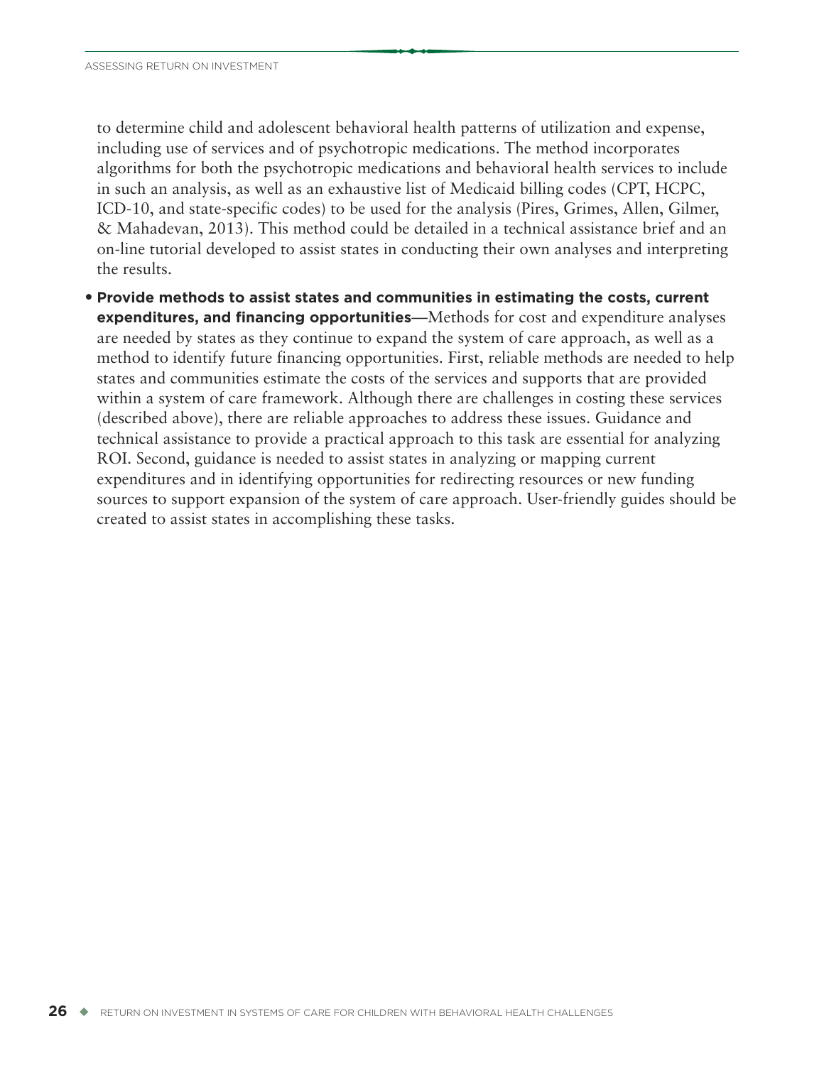to determine child and adolescent behavioral health patterns of utilization and expense, including use of services and of psychotropic medications. The method incorporates algorithms for both the psychotropic medications and behavioral health services to include in such an analysis, as well as an exhaustive list of Medicaid billing codes (CPT, HCPC, ICD-10, and state-specific codes) to be used for the analysis (Pires, Grimes, Allen, Gilmer, & Mahadevan, 2013). This method could be detailed in a technical assistance brief and an on-line tutorial developed to assist states in conducting their own analyses and interpreting the results.

• **Provide methods to assist states and communities in estimating the costs, current expenditures, and financing opportunities**—Methods for cost and expenditure analyses are needed by states as they continue to expand the system of care approach, as well as a method to identify future financing opportunities. First, reliable methods are needed to help states and communities estimate the costs of the services and supports that are provided within a system of care framework. Although there are challenges in costing these services (described above), there are reliable approaches to address these issues. Guidance and technical assistance to provide a practical approach to this task are essential for analyzing ROI. Second, guidance is needed to assist states in analyzing or mapping current expenditures and in identifying opportunities for redirecting resources or new funding sources to support expansion of the system of care approach. User-friendly guides should be created to assist states in accomplishing these tasks.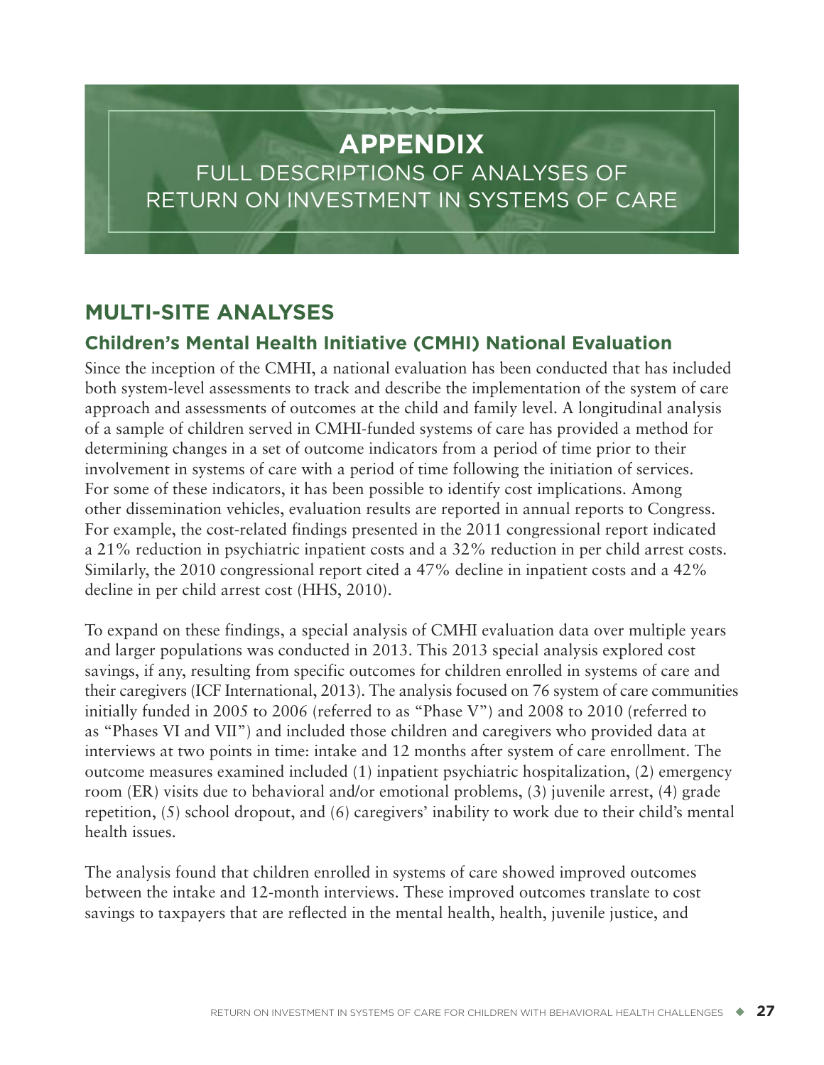# **APPENDIX**

FULL DESCRIPTIONS OF ANALYSES OF RETURN ON INVESTMENT IN SYSTEMS OF CARE

# **MULTI-SITE ANALYSES**

# **Children's Mental Health Initiative (CMHI) National Evaluation**

Since the inception of the CMHI, a national evaluation has been conducted that has included both system-level assessments to track and describe the implementation of the system of care approach and assessments of outcomes at the child and family level. A longitudinal analysis of a sample of children served in CMHI-funded systems of care has provided a method for determining changes in a set of outcome indicators from a period of time prior to their involvement in systems of care with a period of time following the initiation of services. For some of these indicators, it has been possible to identify cost implications. Among other dissemination vehicles, evaluation results are reported in annual reports to Congress. For example, the cost-related findings presented in the 2011 congressional report indicated a 21% reduction in psychiatric inpatient costs and a 32% reduction in per child arrest costs. Similarly, the 2010 congressional report cited a 47% decline in inpatient costs and a 42% decline in per child arrest cost (HHS, 2010).

To expand on these findings, a special analysis of CMHI evaluation data over multiple years and larger populations was conducted in 2013. This 2013 special analysis explored cost savings, if any, resulting from specific outcomes for children enrolled in systems of care and their caregivers (ICF International, 2013). The analysis focused on 76 system of care communities initially funded in 2005 to 2006 (referred to as "Phase V") and 2008 to 2010 (referred to as "Phases VI and VII") and included those children and caregivers who provided data at interviews at two points in time: intake and 12 months after system of care enrollment. The outcome measures examined included (1) inpatient psychiatric hospitalization, (2) emergency room (ER) visits due to behavioral and/or emotional problems, (3) juvenile arrest, (4) grade repetition, (5) school dropout, and (6) caregivers' inability to work due to their child's mental health issues.

The analysis found that children enrolled in systems of care showed improved outcomes between the intake and 12-month interviews. These improved outcomes translate to cost savings to taxpayers that are reflected in the mental health, health, juvenile justice, and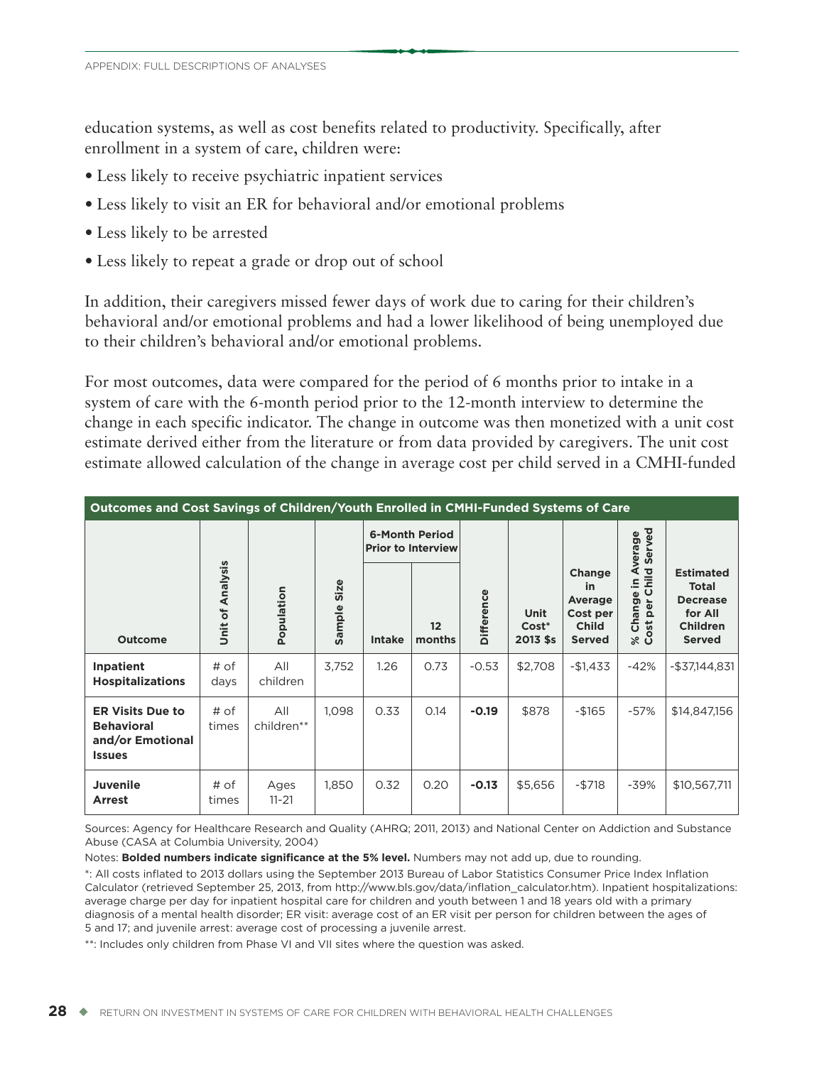education systems, as well as cost benefits related to productivity. Specifically, after enrollment in a system of care, children were:

- Less likely to receive psychiatric inpatient services
- Less likely to visit an ER for behavioral and/or emotional problems
- Less likely to be arrested
- Less likely to repeat a grade or drop out of school

In addition, their caregivers missed fewer days of work due to caring for their children's behavioral and/or emotional problems and had a lower likelihood of being unemployed due to their children's behavioral and/or emotional problems.

For most outcomes, data were compared for the period of 6 months prior to intake in a system of care with the 6-month period prior to the 12-month interview to determine the change in each specific indicator. The change in outcome was then monetized with a unit cost estimate derived either from the literature or from data provided by caregivers. The unit cost estimate allowed calculation of the change in average cost per child served in a CMHI-funded

| Outcomes and Cost Savings of Children/Youth Enrolled in CMHI-Funded Systems of Care |                  |                   |                |               |                                                    |                   |                           |                                                                      |                                             |                                                                                                    |
|-------------------------------------------------------------------------------------|------------------|-------------------|----------------|---------------|----------------------------------------------------|-------------------|---------------------------|----------------------------------------------------------------------|---------------------------------------------|----------------------------------------------------------------------------------------------------|
|                                                                                     |                  |                   |                |               | <b>6-Month Period</b><br><b>Prior to Interview</b> |                   |                           |                                                                      | Served<br>verage                            |                                                                                                    |
| <b>Outcome</b>                                                                      | Unit of Analysis | Population        | Size<br>Sample | <b>Intake</b> | $12 \overline{ }$<br>months                        | <b>Difference</b> | Unit<br>Cost*<br>2013 \$s | Change<br>in<br>Average<br>Cost per<br><b>Child</b><br><b>Served</b> | Child<br>⋖<br>으.<br>Change<br>per<br>% Cost | <b>Estimated</b><br><b>Total</b><br><b>Decrease</b><br>for All<br><b>Children</b><br><b>Served</b> |
| Inpatient<br><b>Hospitalizations</b>                                                | # of<br>days     | All<br>children   | 3,752          | 1.26          | 0.73                                               | $-0.53$           | \$2,708                   | $-$1,433$                                                            | $-42%$                                      | $-$37,144,831$                                                                                     |
| <b>ER Visits Due to</b><br><b>Behavioral</b><br>and/or Emotional<br><b>Issues</b>   | # of<br>times    | All<br>children** | 1,098          | 0.33          | 0.14                                               | $-0.19$           | \$878                     | $-$165$                                                              | $-57%$                                      | \$14,847,156                                                                                       |
| <b>Juvenile</b><br><b>Arrest</b>                                                    | # of<br>times    | Ages<br>$11 - 21$ | 1,850          | 0.32          | 0.20                                               | $-0.13$           | \$5,656                   | $-$ \$718                                                            | $-39%$                                      | \$10,567,711                                                                                       |

Sources: Agency for Healthcare Research and Quality (AHRQ; 2011, 2013) and National Center on Addiction and Substance Abuse (CASA at Columbia University, 2004)

Notes: **Bolded numbers indicate significance at the 5% level.** Numbers may not add up, due to rounding.

\*: All costs inflated to 2013 dollars using the September 2013 Bureau of Labor Statistics Consumer Price Index Inflation Calculator (retrieved September 25, 2013, from http://www.bls.gov/data/inflation\_calculator.htm). Inpatient hospitalizations: average charge per day for inpatient hospital care for children and youth between 1 and 18 years old with a primary diagnosis of a mental health disorder; ER visit: average cost of an ER visit per person for children between the ages of 5 and 17; and juvenile arrest: average cost of processing a juvenile arrest.

\*\*: Includes only children from Phase VI and VII sites where the question was asked.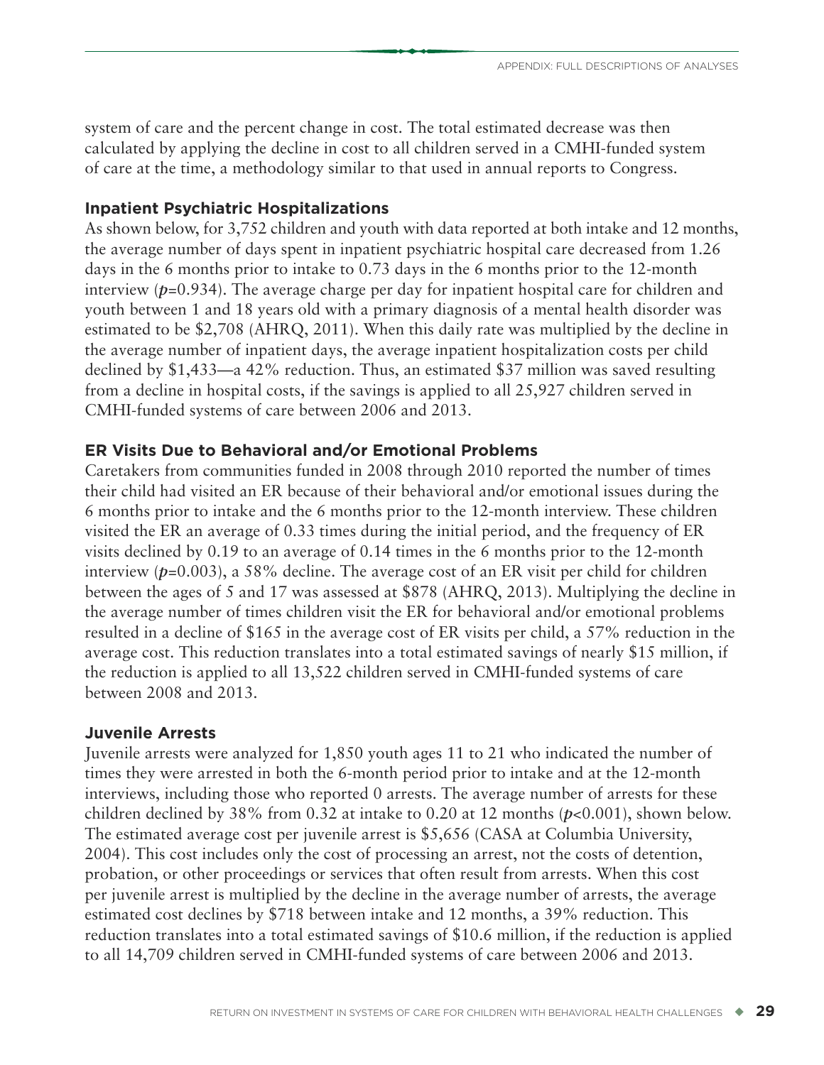system of care and the percent change in cost. The total estimated decrease was then calculated by applying the decline in cost to all children served in a CMHI-funded system of care at the time, a methodology similar to that used in annual reports to Congress.

### **Inpatient Psychiatric Hospitalizations**

As shown below, for 3,752 children and youth with data reported at both intake and 12 months, the average number of days spent in inpatient psychiatric hospital care decreased from 1.26 days in the 6 months prior to intake to 0.73 days in the 6 months prior to the 12-month interview ( $p=0.934$ ). The average charge per day for inpatient hospital care for children and youth between 1 and 18 years old with a primary diagnosis of a mental health disorder was estimated to be \$2,708 (AHRQ, 2011). When this daily rate was multiplied by the decline in the average number of inpatient days, the average inpatient hospitalization costs per child declined by \$1,433—a 42% reduction. Thus, an estimated \$37 million was saved resulting from a decline in hospital costs, if the savings is applied to all 25,927 children served in CMHI-funded systems of care between 2006 and 2013.

# **ER Visits Due to Behavioral and/or Emotional Problems**

Caretakers from communities funded in 2008 through 2010 reported the number of times their child had visited an ER because of their behavioral and/or emotional issues during the 6 months prior to intake and the 6 months prior to the 12-month interview. These children visited the ER an average of 0.33 times during the initial period, and the frequency of ER visits declined by 0.19 to an average of 0.14 times in the 6 months prior to the 12-month interview ( $p=0.003$ ), a 58% decline. The average cost of an ER visit per child for children between the ages of 5 and 17 was assessed at \$878 (AHRQ, 2013). Multiplying the decline in the average number of times children visit the ER for behavioral and/or emotional problems resulted in a decline of \$165 in the average cost of ER visits per child, a 57% reduction in the average cost. This reduction translates into a total estimated savings of nearly \$15 million, if the reduction is applied to all 13,522 children served in CMHI-funded systems of care between 2008 and 2013.

### **Juvenile Arrests**

Juvenile arrests were analyzed for 1,850 youth ages 11 to 21 who indicated the number of times they were arrested in both the 6-month period prior to intake and at the 12-month interviews, including those who reported 0 arrests. The average number of arrests for these children declined by 38% from 0.32 at intake to 0.20 at 12 months (*p*<0.001), shown below. The estimated average cost per juvenile arrest is \$5,656 (CASA at Columbia University, 2004). This cost includes only the cost of processing an arrest, not the costs of detention, probation, or other proceedings or services that often result from arrests. When this cost per juvenile arrest is multiplied by the decline in the average number of arrests, the average estimated cost declines by \$718 between intake and 12 months, a 39% reduction. This reduction translates into a total estimated savings of \$10.6 million, if the reduction is applied to all 14,709 children served in CMHI-funded systems of care between 2006 and 2013.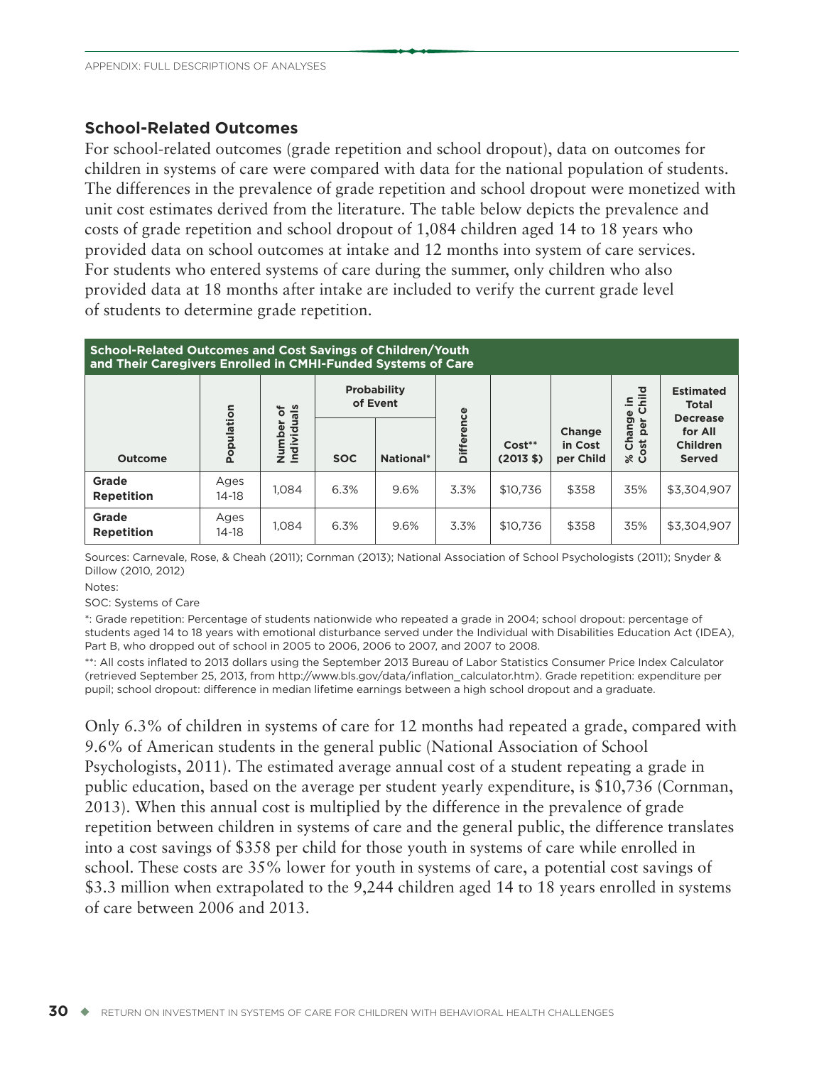#### **School-Related Outcomes**

For school-related outcomes (grade repetition and school dropout), data on outcomes for children in systems of care were compared with data for the national population of students. The differences in the prevalence of grade repetition and school dropout were monetized with unit cost estimates derived from the literature. The table below depicts the prevalence and costs of grade repetition and school dropout of 1,084 children aged 14 to 18 years who provided data on school outcomes at intake and 12 months into system of care services. For students who entered systems of care during the summer, only children who also provided data at 18 months after intake are included to verify the current grade level of students to determine grade repetition.

| <b>School-Related Outcomes and Cost Savings of Children/Youth</b><br>and Their Caregivers Enrolled in CMHI-Funded Systems of Care |                 |                           |            |                                |               |                     |                                       |                                    |                                                     |
|-----------------------------------------------------------------------------------------------------------------------------------|-----------------|---------------------------|------------|--------------------------------|---------------|---------------------|---------------------------------------|------------------------------------|-----------------------------------------------------|
|                                                                                                                                   |                 | ৳                         |            | <b>Probability</b><br>of Event | Φ             |                     |                                       | ਠ<br>르.<br>∘<br>Ф                  | <b>Estimated</b><br><b>Total</b><br><b>Decrease</b> |
| <b>Outcome</b>                                                                                                                    | Population      | Individuals<br>umber<br>ž | <b>SOC</b> | National*                      | <b>Differ</b> | $Cost**$<br>(2013S) | <b>Change</b><br>in Cost<br>per Child | Chang<br>¢<br>$\Omega$<br>ಕ<br>⊗ ຮ | for All<br><b>Children</b><br><b>Served</b>         |
| Grade<br><b>Repetition</b>                                                                                                        | Ages<br>$14-18$ | 1.084                     | 6.3%       | 9.6%                           | 3.3%          | \$10.736            | \$358                                 | 35%                                | \$3,304.907                                         |
| Grade<br><b>Repetition</b>                                                                                                        | Ages<br>$14-18$ | 1,084                     | 6.3%       | 9.6%                           | 3.3%          | \$10.736            | \$358                                 | 35%                                | \$3,304,907                                         |

Sources: Carnevale, Rose, & Cheah (2011); Cornman (2013); National Association of School Psychologists (2011); Snyder & Dillow (2010, 2012)

Notes:

SOC: Systems of Care

\*: Grade repetition: Percentage of students nationwide who repeated a grade in 2004; school dropout: percentage of students aged 14 to 18 years with emotional disturbance served under the Individual with Disabilities Education Act (IDEA), Part B, who dropped out of school in 2005 to 2006, 2006 to 2007, and 2007 to 2008.

\*\*: All costs inflated to 2013 dollars using the September 2013 Bureau of Labor Statistics Consumer Price Index Calculator (retrieved September 25, 2013, from http://www.bls.gov/data/inflation\_calculator.htm). Grade repetition: expenditure per pupil; school dropout: difference in median lifetime earnings between a high school dropout and a graduate.

Only 6.3% of children in systems of care for 12 months had repeated a grade, compared with 9.6% of American students in the general public (National Association of School Psychologists, 2011). The estimated average annual cost of a student repeating a grade in public education, based on the average per student yearly expenditure, is \$10,736 (Cornman, 2013). When this annual cost is multiplied by the difference in the prevalence of grade repetition between children in systems of care and the general public, the difference translates into a cost savings of \$358 per child for those youth in systems of care while enrolled in school. These costs are 35% lower for youth in systems of care, a potential cost savings of \$3.3 million when extrapolated to the 9,244 children aged 14 to 18 years enrolled in systems of care between 2006 and 2013.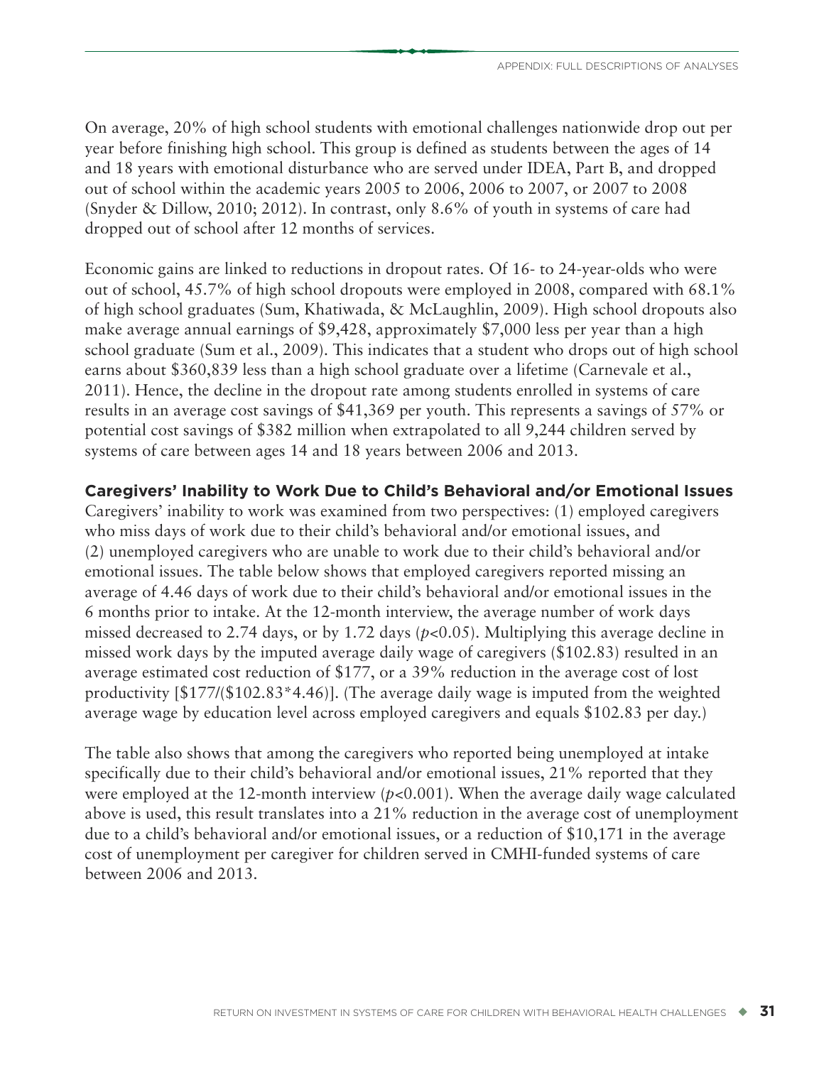On average, 20% of high school students with emotional challenges nationwide drop out per year before finishing high school. This group is defined as students between the ages of 14 and 18 years with emotional disturbance who are served under IDEA, Part B, and dropped out of school within the academic years 2005 to 2006, 2006 to 2007, or 2007 to 2008 (Snyder & Dillow, 2010; 2012). In contrast, only 8.6% of youth in systems of care had dropped out of school after 12 months of services.

Economic gains are linked to reductions in dropout rates. Of 16- to 24-year-olds who were out of school, 45.7% of high school dropouts were employed in 2008, compared with 68.1% of high school graduates (Sum, Khatiwada, & McLaughlin, 2009). High school dropouts also make average annual earnings of \$9,428, approximately \$7,000 less per year than a high school graduate (Sum et al., 2009). This indicates that a student who drops out of high school earns about \$360,839 less than a high school graduate over a lifetime (Carnevale et al., 2011). Hence, the decline in the dropout rate among students enrolled in systems of care results in an average cost savings of \$41,369 per youth. This represents a savings of 57% or potential cost savings of \$382 million when extrapolated to all 9,244 children served by systems of care between ages 14 and 18 years between 2006 and 2013.

### **Caregivers' Inability to Work Due to Child's Behavioral and/or Emotional Issues**

Caregivers' inability to work was examined from two perspectives: (1) employed caregivers who miss days of work due to their child's behavioral and/or emotional issues, and (2) unemployed caregivers who are unable to work due to their child's behavioral and/or emotional issues. The table below shows that employed caregivers reported missing an average of 4.46 days of work due to their child's behavioral and/or emotional issues in the 6 months prior to intake. At the 12-month interview, the average number of work days missed decreased to 2.74 days, or by 1.72 days (*p*<0.05). Multiplying this average decline in missed work days by the imputed average daily wage of caregivers (\$102.83) resulted in an average estimated cost reduction of \$177, or a 39% reduction in the average cost of lost productivity [\$177/(\$102.83\*4.46)]. (The average daily wage is imputed from the weighted average wage by education level across employed caregivers and equals \$102.83 per day.)

The table also shows that among the caregivers who reported being unemployed at intake specifically due to their child's behavioral and/or emotional issues, 21% reported that they were employed at the 12-month interview (*p*<0.001). When the average daily wage calculated above is used, this result translates into a 21% reduction in the average cost of unemployment due to a child's behavioral and/or emotional issues, or a reduction of \$10,171 in the average cost of unemployment per caregiver for children served in CMHI-funded systems of care between 2006 and 2013.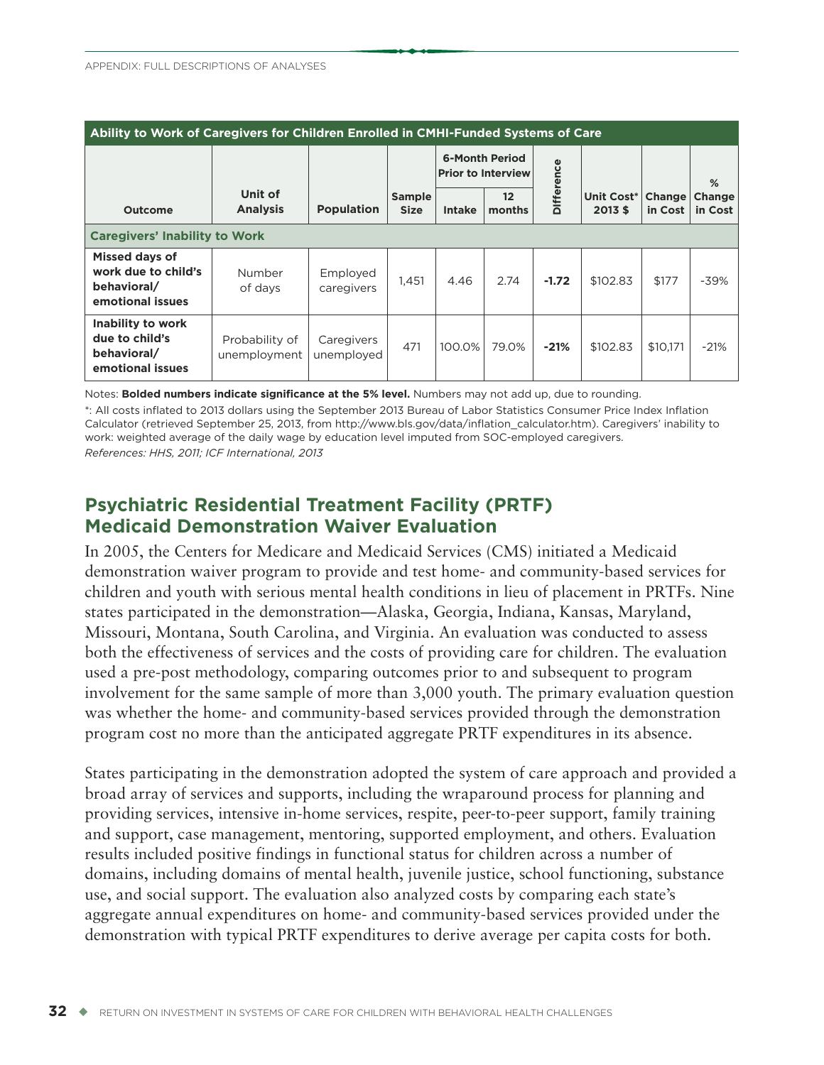| Ability to Work of Caregivers for Children Enrolled in CMHI-Funded Systems of Care |                                |                          |                              |                                                    |              |                   |                       |                   |                   |
|------------------------------------------------------------------------------------|--------------------------------|--------------------------|------------------------------|----------------------------------------------------|--------------|-------------------|-----------------------|-------------------|-------------------|
|                                                                                    |                                |                          |                              | <b>6-Month Period</b><br><b>Prior to Interview</b> |              |                   |                       |                   | %                 |
| <b>Outcome</b>                                                                     | Unit of<br><b>Analysis</b>     | <b>Population</b>        | <b>Sample</b><br><b>Size</b> | <b>Intake</b>                                      | 12<br>months | <b>Difference</b> | Unit Cost*<br>2013 \$ | Change<br>in Cost | Change<br>in Cost |
| <b>Caregivers' Inability to Work</b>                                               |                                |                          |                              |                                                    |              |                   |                       |                   |                   |
| Missed days of<br>work due to child's<br>behavioral/<br>emotional issues           | Number<br>of days              | Employed<br>caregivers   | 1,451                        | 4.46                                               | 2.74         | $-1.72$           | \$102.83              | \$177             | $-39%$            |
| Inability to work<br>due to child's<br>behavioral/<br>emotional issues             | Probability of<br>unemployment | Caregivers<br>unemployed | 471                          | 100.0%                                             | 79.0%        | $-21%$            | \$102.83              | \$10.171          | $-21%$            |

Notes: **Bolded numbers indicate significance at the 5% level.** Numbers may not add up, due to rounding.

\*: All costs inflated to 2013 dollars using the September 2013 Bureau of Labor Statistics Consumer Price Index Inflation Calculator (retrieved September 25, 2013, from http://www.bls.gov/data/inflation\_calculator.htm). Caregivers' inability to work: weighted average of the daily wage by education level imputed from SOC-employed caregivers. *References: HHS, 2011; ICF International, 2013*

# **Psychiatric Residential Treatment Facility (PRTF) Medicaid Demonstration Waiver Evaluation**

In 2005, the Centers for Medicare and Medicaid Services (CMS) initiated a Medicaid demonstration waiver program to provide and test home- and community-based services for children and youth with serious mental health conditions in lieu of placement in PRTFs. Nine states participated in the demonstration—Alaska, Georgia, Indiana, Kansas, Maryland, Missouri, Montana, South Carolina, and Virginia. An evaluation was conducted to assess both the effectiveness of services and the costs of providing care for children. The evaluation used a pre-post methodology, comparing outcomes prior to and subsequent to program involvement for the same sample of more than 3,000 youth. The primary evaluation question was whether the home- and community-based services provided through the demonstration program cost no more than the anticipated aggregate PRTF expenditures in its absence.

States participating in the demonstration adopted the system of care approach and provided a broad array of services and supports, including the wraparound process for planning and providing services, intensive in-home services, respite, peer-to-peer support, family training and support, case management, mentoring, supported employment, and others. Evaluation results included positive findings in functional status for children across a number of domains, including domains of mental health, juvenile justice, school functioning, substance use, and social support. The evaluation also analyzed costs by comparing each state's aggregate annual expenditures on home- and community-based services provided under the demonstration with typical PRTF expenditures to derive average per capita costs for both.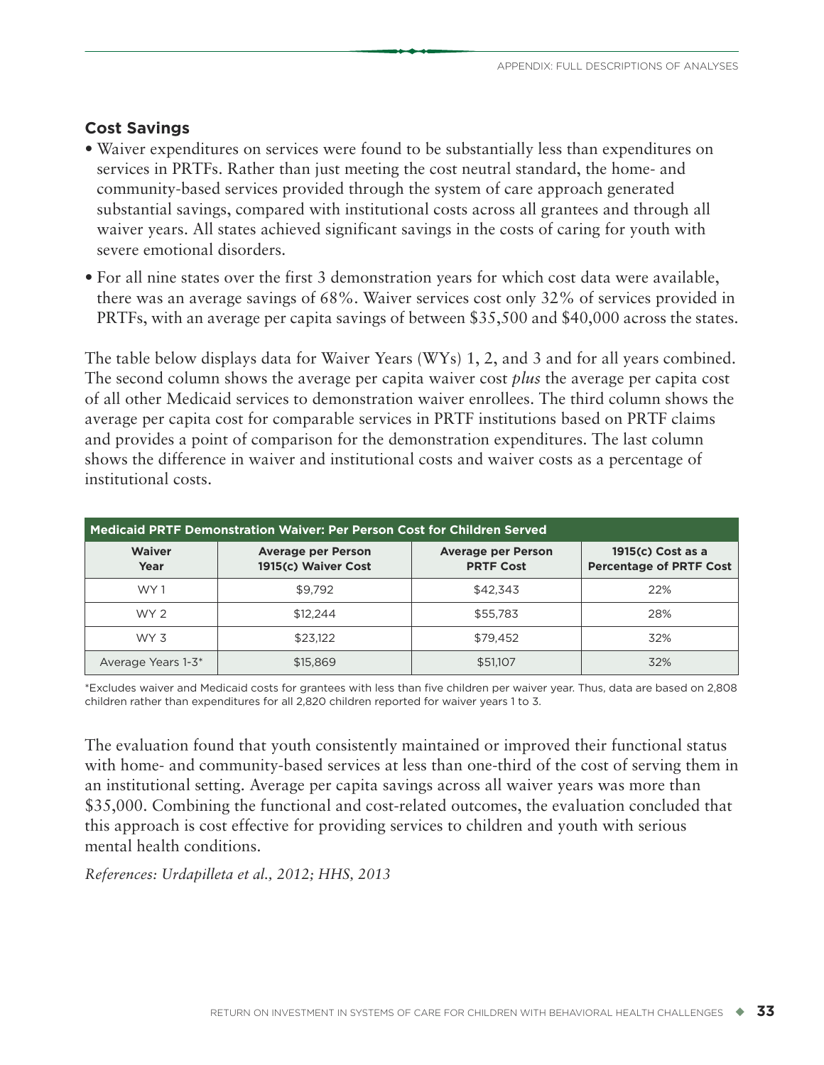#### **Cost Savings**

- Waiver expenditures on services were found to be substantially less than expenditures on services in PRTFs. Rather than just meeting the cost neutral standard, the home- and community-based services provided through the system of care approach generated substantial savings, compared with institutional costs across all grantees and through all waiver years. All states achieved significant savings in the costs of caring for youth with severe emotional disorders.
- For all nine states over the first 3 demonstration years for which cost data were available, there was an average savings of 68%. Waiver services cost only 32% of services provided in PRTFs, with an average per capita savings of between \$35,500 and \$40,000 across the states.

The table below displays data for Waiver Years (WYs) 1, 2, and 3 and for all years combined. The second column shows the average per capita waiver cost *plus* the average per capita cost of all other Medicaid services to demonstration waiver enrollees. The third column shows the average per capita cost for comparable services in PRTF institutions based on PRTF claims and provides a point of comparison for the demonstration expenditures. The last column shows the difference in waiver and institutional costs and waiver costs as a percentage of institutional costs.

| Medicaid PRTF Demonstration Waiver: Per Person Cost for Children Served |                                                  |                                               |                                                     |  |  |  |
|-------------------------------------------------------------------------|--------------------------------------------------|-----------------------------------------------|-----------------------------------------------------|--|--|--|
| <b>Waiver</b><br>Year                                                   | <b>Average per Person</b><br>1915(c) Waiver Cost | <b>Average per Person</b><br><b>PRTF Cost</b> | 1915(c) Cost as a<br><b>Percentage of PRTF Cost</b> |  |  |  |
| WY 1                                                                    | \$9.792                                          | \$42.343                                      | 22%                                                 |  |  |  |
| WY 2                                                                    | \$12,244                                         | \$55,783                                      | 28%                                                 |  |  |  |
| WY 3                                                                    | \$23,122                                         | \$79.452                                      | 32%                                                 |  |  |  |
| Average Years 1-3*                                                      | \$15,869                                         | \$51,107                                      | 32%                                                 |  |  |  |

\*Excludes waiver and Medicaid costs for grantees with less than five children per waiver year. Thus, data are based on 2,808 children rather than expenditures for all 2,820 children reported for waiver years 1 to 3.

The evaluation found that youth consistently maintained or improved their functional status with home- and community-based services at less than one-third of the cost of serving them in an institutional setting. Average per capita savings across all waiver years was more than \$35,000. Combining the functional and cost-related outcomes, the evaluation concluded that this approach is cost effective for providing services to children and youth with serious mental health conditions.

*References: Urdapilleta et al., 2012; HHS, 2013*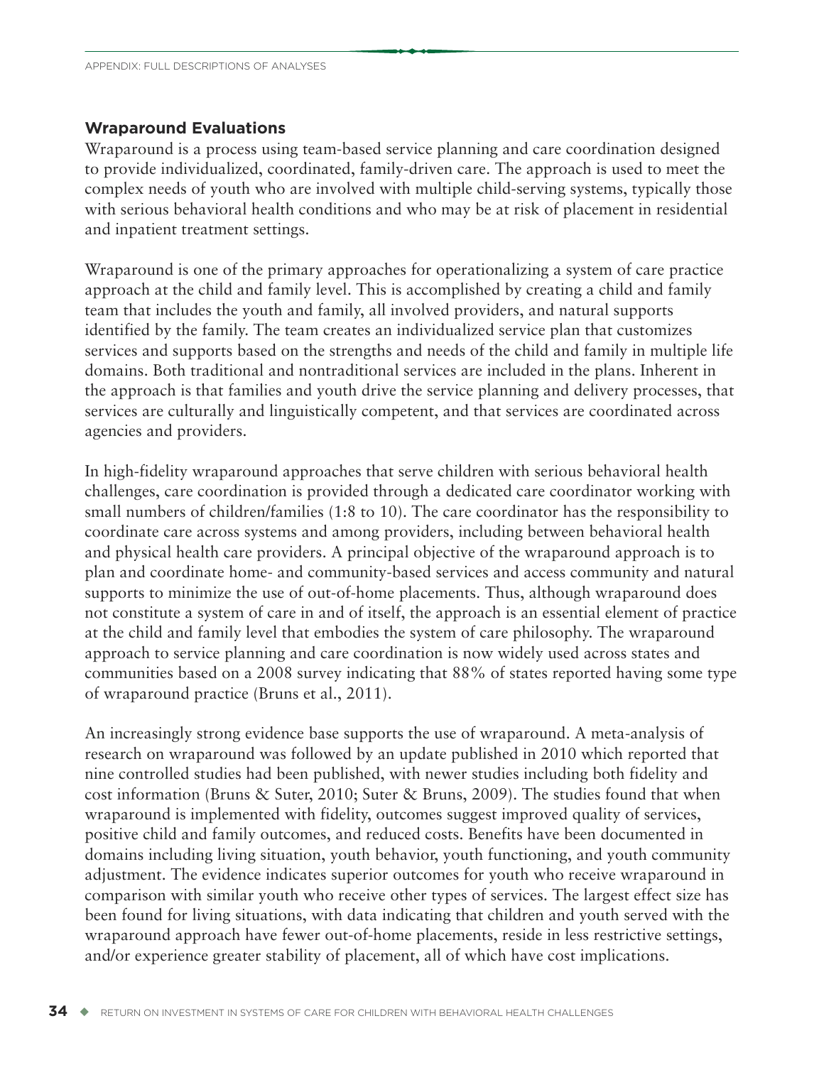#### **Wraparound Evaluations**

Wraparound is a process using team-based service planning and care coordination designed to provide individualized, coordinated, family-driven care. The approach is used to meet the complex needs of youth who are involved with multiple child-serving systems, typically those with serious behavioral health conditions and who may be at risk of placement in residential and inpatient treatment settings.

Wraparound is one of the primary approaches for operationalizing a system of care practice approach at the child and family level. This is accomplished by creating a child and family team that includes the youth and family, all involved providers, and natural supports identified by the family. The team creates an individualized service plan that customizes services and supports based on the strengths and needs of the child and family in multiple life domains. Both traditional and nontraditional services are included in the plans. Inherent in the approach is that families and youth drive the service planning and delivery processes, that services are culturally and linguistically competent, and that services are coordinated across agencies and providers.

In high-fidelity wraparound approaches that serve children with serious behavioral health challenges, care coordination is provided through a dedicated care coordinator working with small numbers of children/families (1:8 to 10). The care coordinator has the responsibility to coordinate care across systems and among providers, including between behavioral health and physical health care providers. A principal objective of the wraparound approach is to plan and coordinate home- and community-based services and access community and natural supports to minimize the use of out-of-home placements. Thus, although wraparound does not constitute a system of care in and of itself, the approach is an essential element of practice at the child and family level that embodies the system of care philosophy. The wraparound approach to service planning and care coordination is now widely used across states and communities based on a 2008 survey indicating that 88% of states reported having some type of wraparound practice (Bruns et al., 2011).

An increasingly strong evidence base supports the use of wraparound. A meta-analysis of research on wraparound was followed by an update published in 2010 which reported that nine controlled studies had been published, with newer studies including both fidelity and cost information (Bruns & Suter, 2010; Suter & Bruns, 2009). The studies found that when wraparound is implemented with fidelity, outcomes suggest improved quality of services, positive child and family outcomes, and reduced costs. Benefits have been documented in domains including living situation, youth behavior, youth functioning, and youth community adjustment. The evidence indicates superior outcomes for youth who receive wraparound in comparison with similar youth who receive other types of services. The largest effect size has been found for living situations, with data indicating that children and youth served with the wraparound approach have fewer out-of-home placements, reside in less restrictive settings, and/or experience greater stability of placement, all of which have cost implications.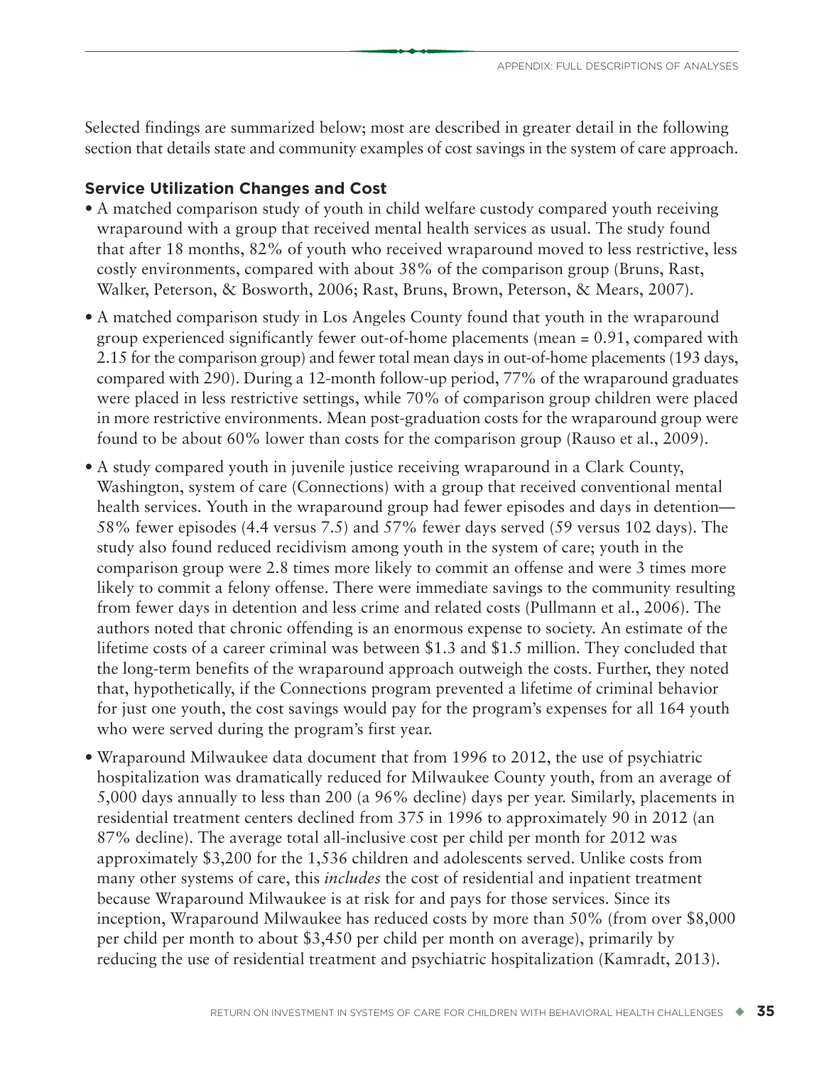Selected findings are summarized below; most are described in greater detail in the following section that details state and community examples of cost savings in the system of care approach.

#### **Service Utilization Changes and Cost**

- A matched comparison study of youth in child welfare custody compared youth receiving wraparound with a group that received mental health services as usual. The study found that after 18 months, 82% of youth who received wraparound moved to less restrictive, less costly environments, compared with about 38% of the comparison group (Bruns, Rast, Walker, Peterson, & Bosworth, 2006; Rast, Bruns, Brown, Peterson, & Mears, 2007).
- A matched comparison study in Los Angeles County found that youth in the wraparound group experienced significantly fewer out-of-home placements (mean = 0.91, compared with 2.15 for the comparison group) and fewer total mean days in out-of-home placements (193 days, compared with 290). During a 12-month follow-up period, 77% of the wraparound graduates were placed in less restrictive settings, while 70% of comparison group children were placed in more restrictive environments. Mean post-graduation costs for the wraparound group were found to be about 60% lower than costs for the comparison group (Rauso et al., 2009).
- A study compared youth in juvenile justice receiving wraparound in a Clark County, Washington, system of care (Connections) with a group that received conventional mental health services. Youth in the wraparound group had fewer episodes and days in detention— 58% fewer episodes (4.4 versus 7.5) and 57% fewer days served (59 versus 102 days). The study also found reduced recidivism among youth in the system of care; youth in the comparison group were 2.8 times more likely to commit an offense and were 3 times more likely to commit a felony offense. There were immediate savings to the community resulting from fewer days in detention and less crime and related costs (Pullmann et al., 2006). The authors noted that chronic offending is an enormous expense to society. An estimate of the lifetime costs of a career criminal was between \$1.3 and \$1.5 million. They concluded that the long-term benefits of the wraparound approach outweigh the costs. Further, they noted that, hypothetically, if the Connections program prevented a lifetime of criminal behavior for just one youth, the cost savings would pay for the program's expenses for all 164 youth who were served during the program's first year.
- Wraparound Milwaukee data document that from 1996 to 2012, the use of psychiatric hospitalization was dramatically reduced for Milwaukee County youth, from an average of 5,000 days annually to less than 200 (a 96% decline) days per year. Similarly, placements in residential treatment centers declined from 375 in 1996 to approximately 90 in 2012 (an 87% decline). The average total all-inclusive cost per child per month for 2012 was approximately \$3,200 for the 1,536 children and adolescents served. Unlike costs from many other systems of care, this *includes* the cost of residential and inpatient treatment because Wraparound Milwaukee is at risk for and pays for those services. Since its inception, Wraparound Milwaukee has reduced costs by more than 50% (from over \$8,000 per child per month to about \$3,450 per child per month on average), primarily by reducing the use of residential treatment and psychiatric hospitalization (Kamradt, 2013).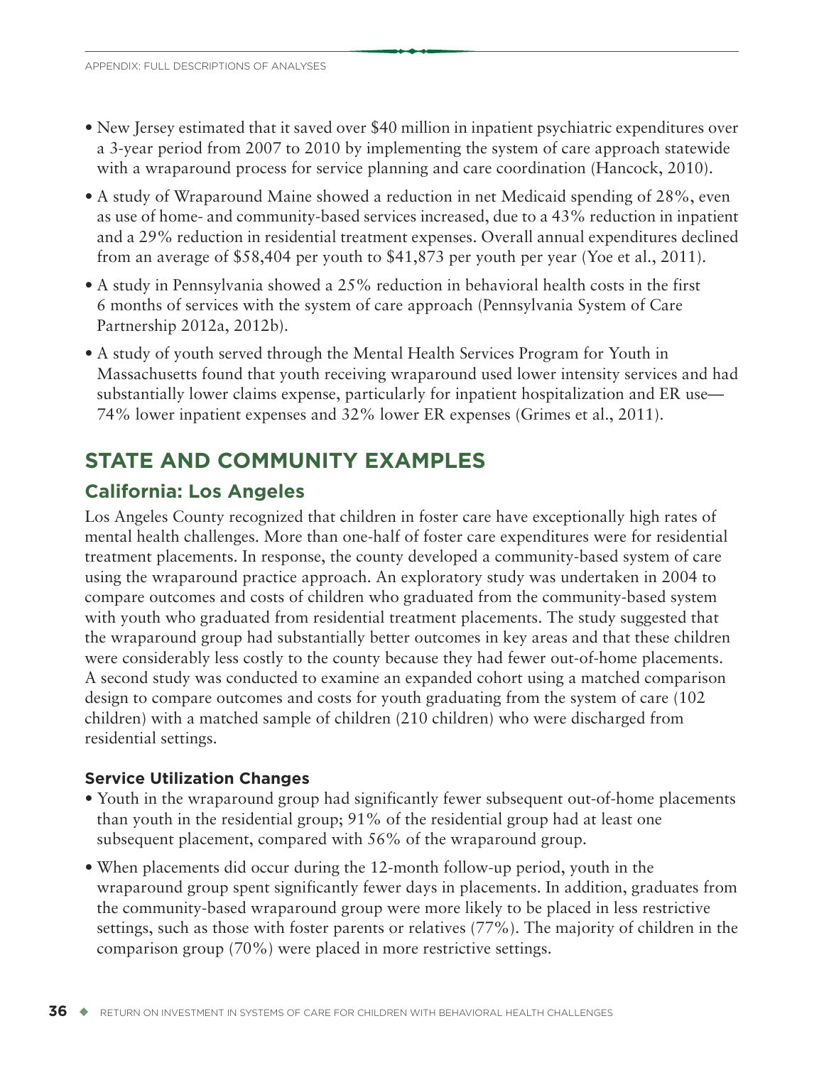- New Jersey estimated that it saved over \$40 million in inpatient psychiatric expenditures over a 3-year period from 2007 to 2010 by implementing the system of care approach statewide with a wraparound process for service planning and care coordination (Hancock, 2010).
- A study of Wraparound Maine showed a reduction in net Medicaid spending of 28%, even as use of home- and community-based services increased, due to a 43% reduction in inpatient and a 29% reduction in residential treatment expenses. Overall annual expenditures declined from an average of \$58,404 per youth to \$41,873 per youth per year (Yoe et al., 2011).
- A study in Pennsylvania showed a 25% reduction in behavioral health costs in the first 6 months of services with the system of care approach (Pennsylvania System of Care Partnership 2012a, 2012b).
- A study of youth served through the Mental Health Services Program for Youth in Massachusetts found that youth receiving wraparound used lower intensity services and had substantially lower claims expense, particularly for inpatient hospitalization and ER use— 74% lower inpatient expenses and 32% lower ER expenses (Grimes et al., 2011).

# **STATE AND COMMUNITY EXAMPLES**

# **California: Los Angeles**

Los Angeles County recognized that children in foster care have exceptionally high rates of mental health challenges. More than one-half of foster care expenditures were for residential treatment placements. In response, the county developed a community-based system of care using the wraparound practice approach. An exploratory study was undertaken in 2004 to compare outcomes and costs of children who graduated from the community-based system with youth who graduated from residential treatment placements. The study suggested that the wraparound group had substantially better outcomes in key areas and that these children were considerably less costly to the county because they had fewer out-of-home placements. A second study was conducted to examine an expanded cohort using a matched comparison design to compare outcomes and costs for youth graduating from the system of care (102 children) with a matched sample of children (210 children) who were discharged from residential settings.

# **Service Utilization Changes**

- Youth in the wraparound group had significantly fewer subsequent out-of-home placements than youth in the residential group; 91% of the residential group had at least one subsequent placement, compared with 56% of the wraparound group.
- When placements did occur during the 12-month follow-up period, youth in the wraparound group spent significantly fewer days in placements. In addition, graduates from the community-based wraparound group were more likely to be placed in less restrictive settings, such as those with foster parents or relatives (77%). The majority of children in the comparison group (70%) were placed in more restrictive settings.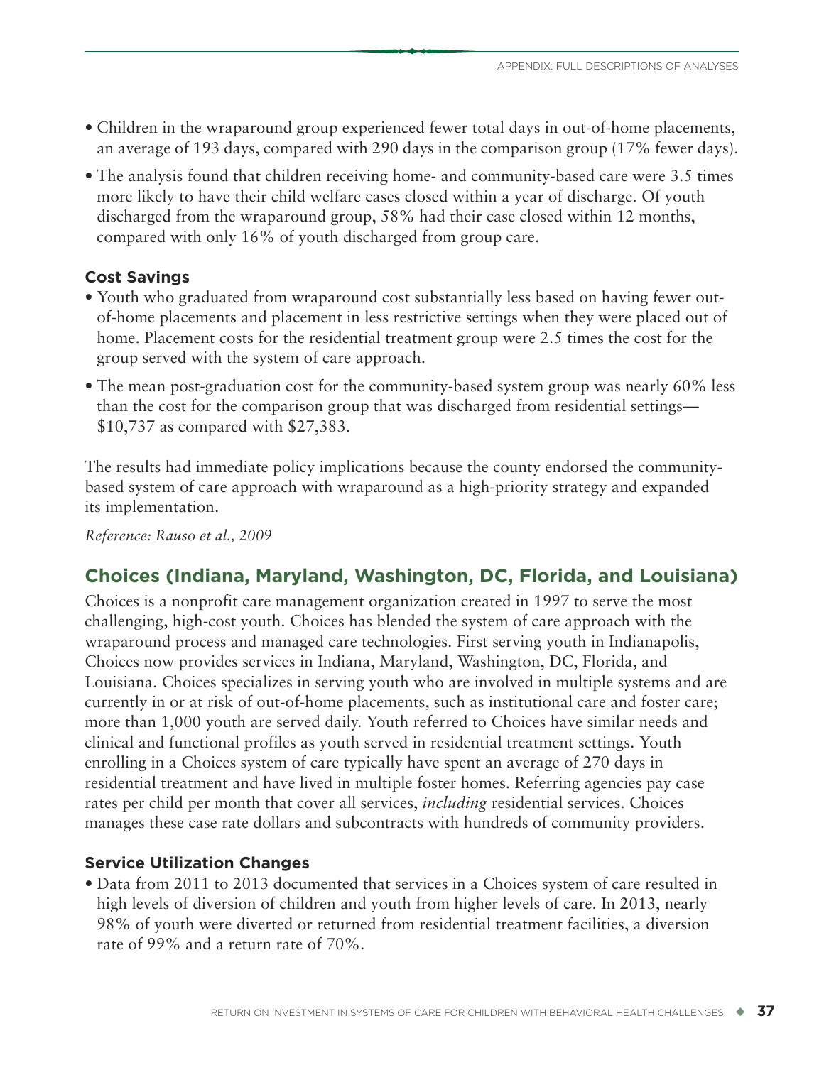- Children in the wraparound group experienced fewer total days in out-of-home placements, an average of 193 days, compared with 290 days in the comparison group (17% fewer days).
- The analysis found that children receiving home- and community-based care were 3.5 times more likely to have their child welfare cases closed within a year of discharge. Of youth discharged from the wraparound group, 58% had their case closed within 12 months, compared with only 16% of youth discharged from group care.

# **Cost Savings**

- Youth who graduated from wraparound cost substantially less based on having fewer outof-home placements and placement in less restrictive settings when they were placed out of home. Placement costs for the residential treatment group were 2.5 times the cost for the group served with the system of care approach.
- The mean post-graduation cost for the community-based system group was nearly 60% less than the cost for the comparison group that was discharged from residential settings— \$10,737 as compared with \$27,383.

The results had immediate policy implications because the county endorsed the communitybased system of care approach with wraparound as a high-priority strategy and expanded its implementation.

*Reference: Rauso et al., 2009*

# **Choices (Indiana, Maryland, Washington, DC, Florida, and Louisiana)**

Choices is a nonprofit care management organization created in 1997 to serve the most challenging, high-cost youth. Choices has blended the system of care approach with the wraparound process and managed care technologies. First serving youth in Indianapolis, Choices now provides services in Indiana, Maryland, Washington, DC, Florida, and Louisiana. Choices specializes in serving youth who are involved in multiple systems and are currently in or at risk of out-of-home placements, such as institutional care and foster care; more than 1,000 youth are served daily. Youth referred to Choices have similar needs and clinical and functional profiles as youth served in residential treatment settings. Youth enrolling in a Choices system of care typically have spent an average of 270 days in residential treatment and have lived in multiple foster homes. Referring agencies pay case rates per child per month that cover all services, *including* residential services. Choices manages these case rate dollars and subcontracts with hundreds of community providers.

# **Service Utilization Changes**

• Data from 2011 to 2013 documented that services in a Choices system of care resulted in high levels of diversion of children and youth from higher levels of care. In 2013, nearly 98% of youth were diverted or returned from residential treatment facilities, a diversion rate of 99% and a return rate of 70%.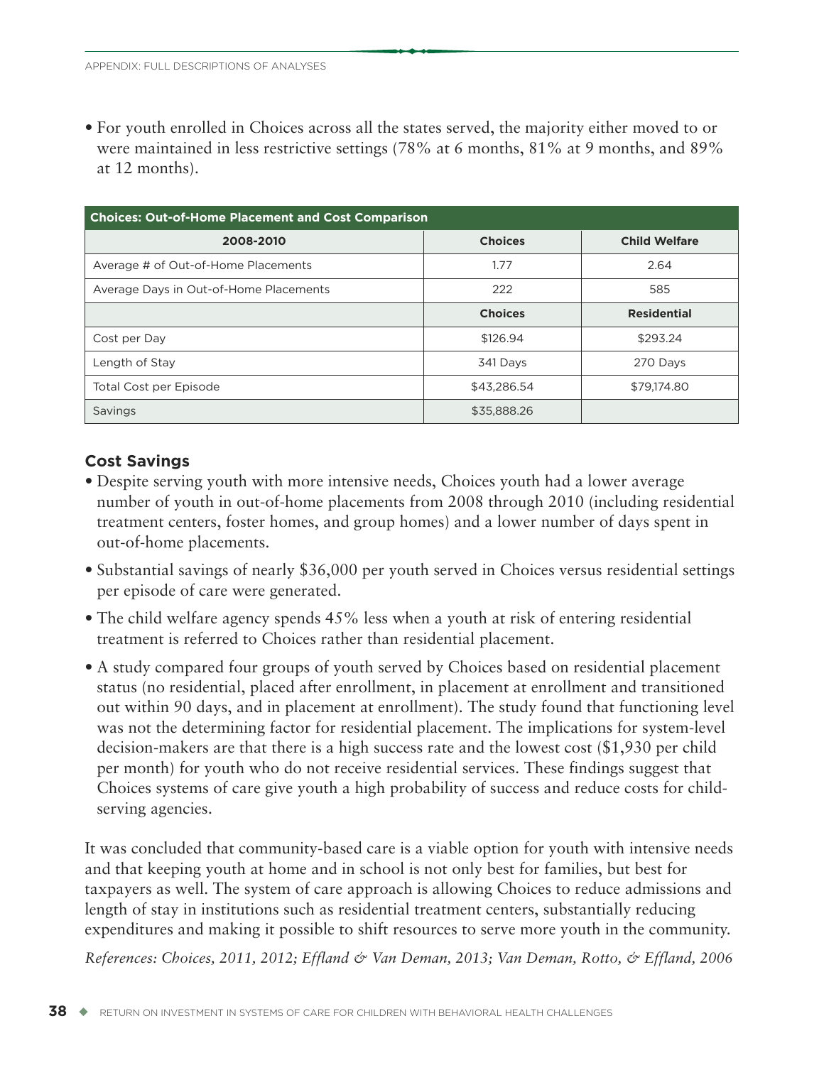• For youth enrolled in Choices across all the states served, the majority either moved to or were maintained in less restrictive settings (78% at 6 months, 81% at 9 months, and 89% at 12 months).

| <b>Choices: Out-of-Home Placement and Cost Comparison</b> |                |                      |  |  |  |
|-----------------------------------------------------------|----------------|----------------------|--|--|--|
| 2008-2010                                                 | <b>Choices</b> | <b>Child Welfare</b> |  |  |  |
| Average # of Out-of-Home Placements                       | 1.77           | 2.64                 |  |  |  |
| Average Days in Out-of-Home Placements                    | 222            | 585                  |  |  |  |
|                                                           | <b>Choices</b> | <b>Residential</b>   |  |  |  |
| Cost per Day                                              | \$126.94       | \$293.24             |  |  |  |
| Length of Stay                                            | 341 Days       | 270 Days             |  |  |  |
| Total Cost per Episode                                    | \$43.286.54    | \$79,174,80          |  |  |  |
| Savings                                                   | \$35,888.26    |                      |  |  |  |

#### **Cost Savings**

- Despite serving youth with more intensive needs, Choices youth had a lower average number of youth in out-of-home placements from 2008 through 2010 (including residential treatment centers, foster homes, and group homes) and a lower number of days spent in out-of-home placements.
- Substantial savings of nearly \$36,000 per youth served in Choices versus residential settings per episode of care were generated.
- The child welfare agency spends 45% less when a youth at risk of entering residential treatment is referred to Choices rather than residential placement.
- A study compared four groups of youth served by Choices based on residential placement status (no residential, placed after enrollment, in placement at enrollment and transitioned out within 90 days, and in placement at enrollment). The study found that functioning level was not the determining factor for residential placement. The implications for system-level decision-makers are that there is a high success rate and the lowest cost (\$1,930 per child per month) for youth who do not receive residential services. These findings suggest that Choices systems of care give youth a high probability of success and reduce costs for childserving agencies.

It was concluded that community-based care is a viable option for youth with intensive needs and that keeping youth at home and in school is not only best for families, but best for taxpayers as well. The system of care approach is allowing Choices to reduce admissions and length of stay in institutions such as residential treatment centers, substantially reducing expenditures and making it possible to shift resources to serve more youth in the community.

*References: Choices, 2011, 2012; Effland & Van Deman, 2013; Van Deman, Rotto, & Effland, 2006*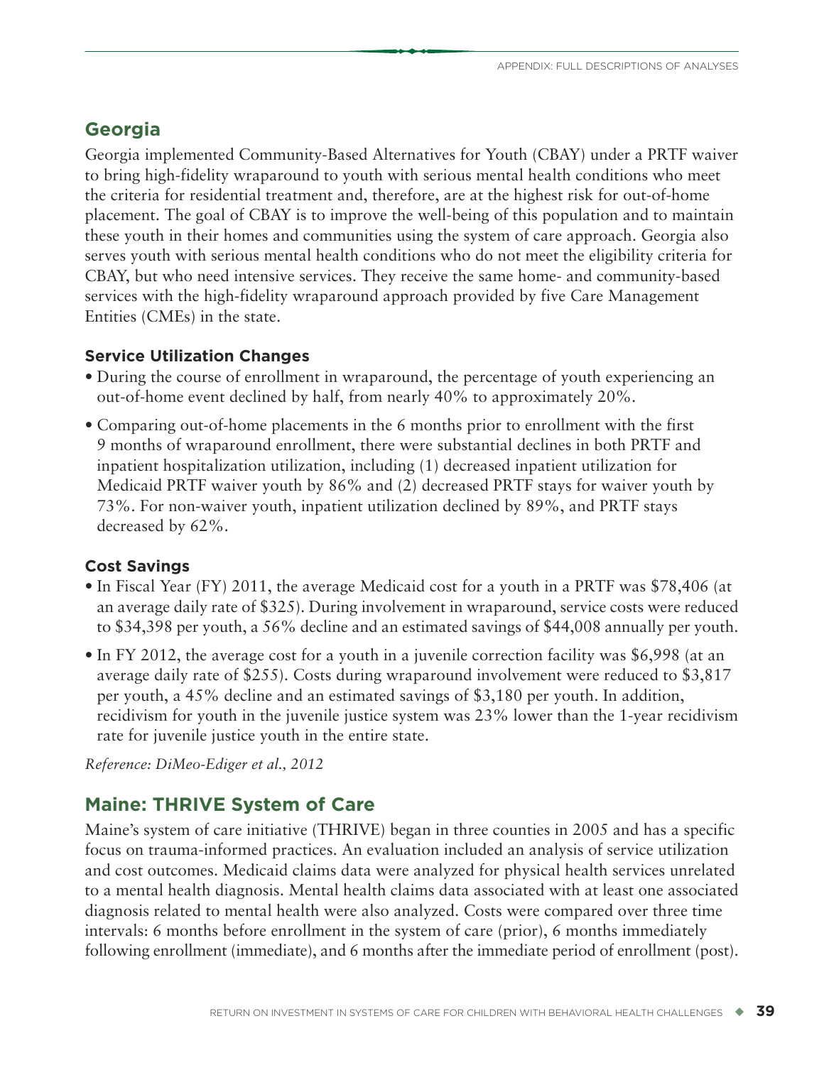# **Georgia**

Georgia implemented Community-Based Alternatives for Youth (CBAY) under a PRTF waiver to bring high-fidelity wraparound to youth with serious mental health conditions who meet the criteria for residential treatment and, therefore, are at the highest risk for out-of-home placement. The goal of CBAY is to improve the well-being of this population and to maintain these youth in their homes and communities using the system of care approach. Georgia also serves youth with serious mental health conditions who do not meet the eligibility criteria for CBAY, but who need intensive services. They receive the same home- and community-based services with the high-fidelity wraparound approach provided by five Care Management Entities (CMEs) in the state.

#### **Service Utilization Changes**

- During the course of enrollment in wraparound, the percentage of youth experiencing an out-of-home event declined by half, from nearly 40% to approximately 20%.
- Comparing out-of-home placements in the 6 months prior to enrollment with the first 9 months of wraparound enrollment, there were substantial declines in both PRTF and inpatient hospitalization utilization, including (1) decreased inpatient utilization for Medicaid PRTF waiver youth by 86% and (2) decreased PRTF stays for waiver youth by 73%. For non-waiver youth, inpatient utilization declined by 89%, and PRTF stays decreased by 62%.

#### **Cost Savings**

- In Fiscal Year (FY) 2011, the average Medicaid cost for a youth in a PRTF was \$78,406 (at an average daily rate of \$325). During involvement in wraparound, service costs were reduced to \$34,398 per youth, a 56% decline and an estimated savings of \$44,008 annually per youth.
- In FY 2012, the average cost for a youth in a juvenile correction facility was \$6,998 (at an average daily rate of \$255). Costs during wraparound involvement were reduced to \$3,817 per youth, a 45% decline and an estimated savings of \$3,180 per youth. In addition, recidivism for youth in the juvenile justice system was 23% lower than the 1-year recidivism rate for juvenile justice youth in the entire state.

*Reference: DiMeo-Ediger et al., 2012*

# **Maine: THRIVE System of Care**

Maine's system of care initiative (THRIVE) began in three counties in 2005 and has a specific focus on trauma-informed practices. An evaluation included an analysis of service utilization and cost outcomes. Medicaid claims data were analyzed for physical health services unrelated to a mental health diagnosis. Mental health claims data associated with at least one associated diagnosis related to mental health were also analyzed. Costs were compared over three time intervals: 6 months before enrollment in the system of care (prior), 6 months immediately following enrollment (immediate), and 6 months after the immediate period of enrollment (post).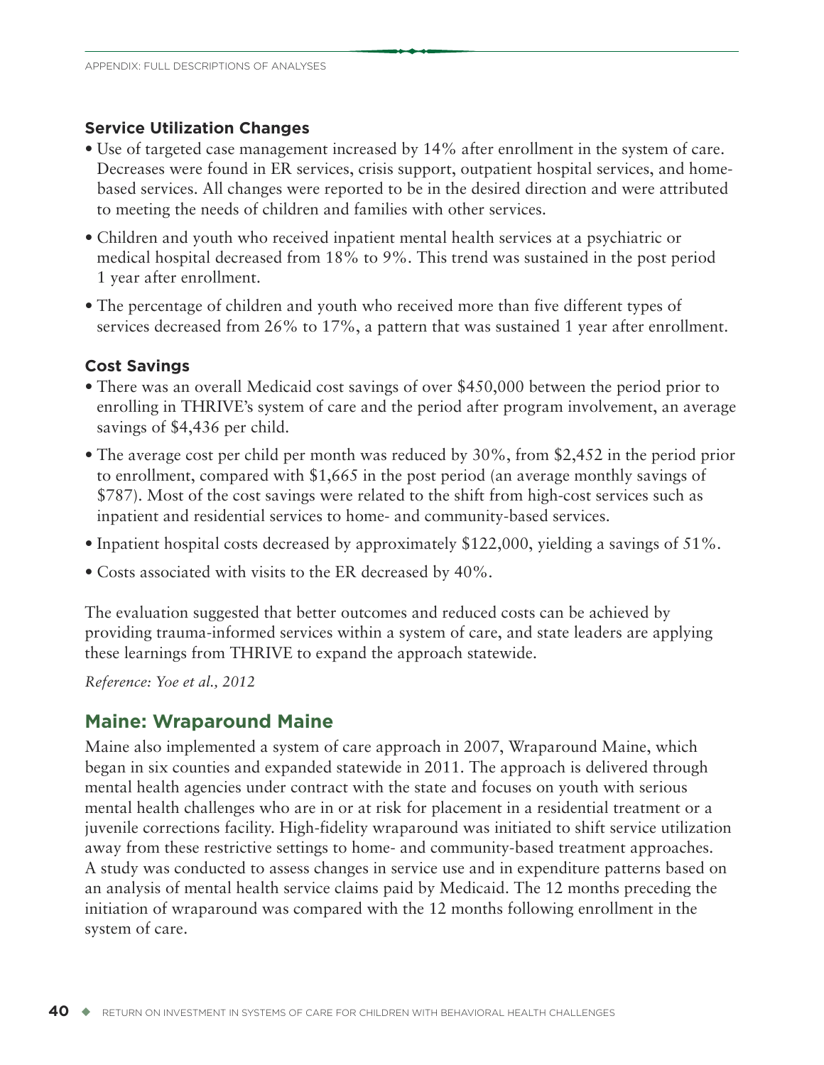#### **Service Utilization Changes**

- Use of targeted case management increased by 14% after enrollment in the system of care. Decreases were found in ER services, crisis support, outpatient hospital services, and homebased services. All changes were reported to be in the desired direction and were attributed to meeting the needs of children and families with other services.
- Children and youth who received inpatient mental health services at a psychiatric or medical hospital decreased from 18% to 9%. This trend was sustained in the post period 1 year after enrollment.
- The percentage of children and youth who received more than five different types of services decreased from 26% to 17%, a pattern that was sustained 1 year after enrollment.

#### **Cost Savings**

- There was an overall Medicaid cost savings of over \$450,000 between the period prior to enrolling in THRIVE's system of care and the period after program involvement, an average savings of \$4,436 per child.
- The average cost per child per month was reduced by 30%, from \$2,452 in the period prior to enrollment, compared with \$1,665 in the post period (an average monthly savings of \$787). Most of the cost savings were related to the shift from high-cost services such as inpatient and residential services to home- and community-based services.
- Inpatient hospital costs decreased by approximately \$122,000, yielding a savings of 51%.
- Costs associated with visits to the ER decreased by 40%.

The evaluation suggested that better outcomes and reduced costs can be achieved by providing trauma-informed services within a system of care, and state leaders are applying these learnings from THRIVE to expand the approach statewide.

*Reference: Yoe et al., 2012*

### **Maine: Wraparound Maine**

Maine also implemented a system of care approach in 2007, Wraparound Maine, which began in six counties and expanded statewide in 2011. The approach is delivered through mental health agencies under contract with the state and focuses on youth with serious mental health challenges who are in or at risk for placement in a residential treatment or a juvenile corrections facility. High-fidelity wraparound was initiated to shift service utilization away from these restrictive settings to home- and community-based treatment approaches. A study was conducted to assess changes in service use and in expenditure patterns based on an analysis of mental health service claims paid by Medicaid. The 12 months preceding the initiation of wraparound was compared with the 12 months following enrollment in the system of care.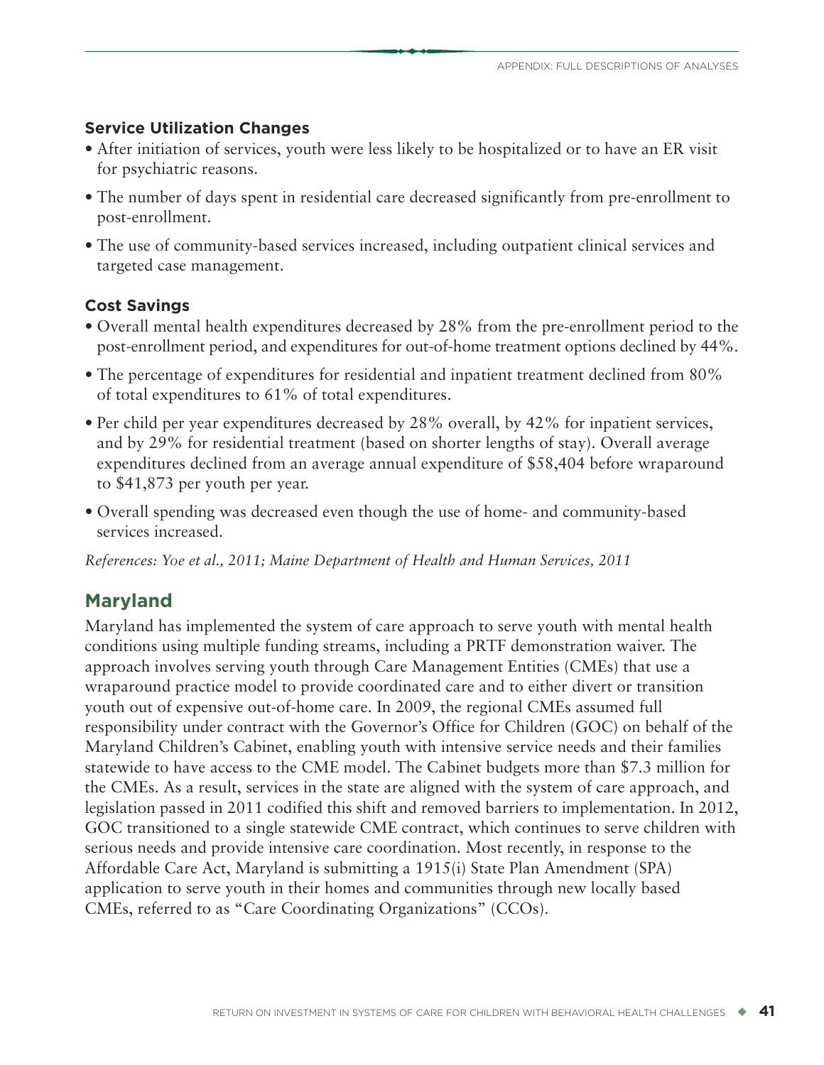### **Service Utilization Changes**

- After initiation of services, youth were less likely to be hospitalized or to have an ER visit for psychiatric reasons.
- The number of days spent in residential care decreased significantly from pre-enrollment to post-enrollment.
- The use of community-based services increased, including outpatient clinical services and targeted case management.

### **Cost Savings**

- Overall mental health expenditures decreased by 28% from the pre-enrollment period to the post-enrollment period, and expenditures for out-of-home treatment options declined by 44%.
- The percentage of expenditures for residential and inpatient treatment declined from 80% of total expenditures to 61% of total expenditures.
- Per child per year expenditures decreased by 28% overall, by 42% for inpatient services, and by 29% for residential treatment (based on shorter lengths of stay). Overall average expenditures declined from an average annual expenditure of \$58,404 before wraparound to \$41,873 per youth per year.
- Overall spending was decreased even though the use of home- and community-based services increased.

*References: Yoe et al., 2011; Maine Department of Health and Human Services, 2011*

# **Maryland**

Maryland has implemented the system of care approach to serve youth with mental health conditions using multiple funding streams, including a PRTF demonstration waiver. The approach involves serving youth through Care Management Entities (CMEs) that use a wraparound practice model to provide coordinated care and to either divert or transition youth out of expensive out-of-home care. In 2009, the regional CMEs assumed full responsibility under contract with the Governor's Office for Children (GOC) on behalf of the Maryland Children's Cabinet, enabling youth with intensive service needs and their families statewide to have access to the CME model. The Cabinet budgets more than \$7.3 million for the CMEs. As a result, services in the state are aligned with the system of care approach, and legislation passed in 2011 codified this shift and removed barriers to implementation. In 2012, GOC transitioned to a single statewide CME contract, which continues to serve children with serious needs and provide intensive care coordination. Most recently, in response to the Affordable Care Act, Maryland is submitting a 1915(i) State Plan Amendment (SPA) application to serve youth in their homes and communities through new locally based CMEs, referred to as "Care Coordinating Organizations" (CCOs).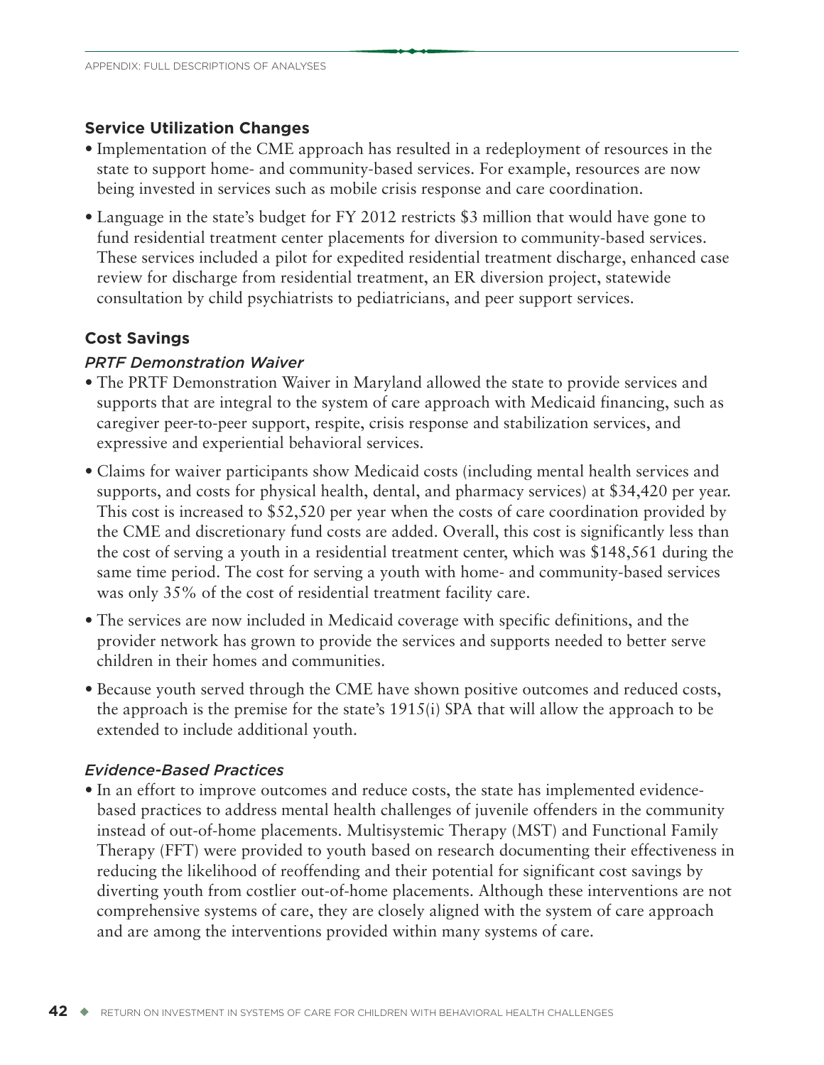#### **Service Utilization Changes**

- Implementation of the CME approach has resulted in a redeployment of resources in the state to support home- and community-based services. For example, resources are now being invested in services such as mobile crisis response and care coordination.
- Language in the state's budget for FY 2012 restricts \$3 million that would have gone to fund residential treatment center placements for diversion to community-based services. These services included a pilot for expedited residential treatment discharge, enhanced case review for discharge from residential treatment, an ER diversion project, statewide consultation by child psychiatrists to pediatricians, and peer support services.

### **Cost Savings**

#### *PRTF Demonstration Waiver*

- The PRTF Demonstration Waiver in Maryland allowed the state to provide services and supports that are integral to the system of care approach with Medicaid financing, such as caregiver peer-to-peer support, respite, crisis response and stabilization services, and expressive and experiential behavioral services.
- Claims for waiver participants show Medicaid costs (including mental health services and supports, and costs for physical health, dental, and pharmacy services) at \$34,420 per year. This cost is increased to \$52,520 per year when the costs of care coordination provided by the CME and discretionary fund costs are added. Overall, this cost is significantly less than the cost of serving a youth in a residential treatment center, which was \$148,561 during the same time period. The cost for serving a youth with home- and community-based services was only 35% of the cost of residential treatment facility care.
- The services are now included in Medicaid coverage with specific definitions, and the provider network has grown to provide the services and supports needed to better serve children in their homes and communities.
- Because youth served through the CME have shown positive outcomes and reduced costs, the approach is the premise for the state's 1915(i) SPA that will allow the approach to be extended to include additional youth.

#### *Evidence-Based Practices*

• In an effort to improve outcomes and reduce costs, the state has implemented evidencebased practices to address mental health challenges of juvenile offenders in the community instead of out-of-home placements. Multisystemic Therapy (MST) and Functional Family Therapy (FFT) were provided to youth based on research documenting their effectiveness in reducing the likelihood of reoffending and their potential for significant cost savings by diverting youth from costlier out-of-home placements. Although these interventions are not comprehensive systems of care, they are closely aligned with the system of care approach and are among the interventions provided within many systems of care.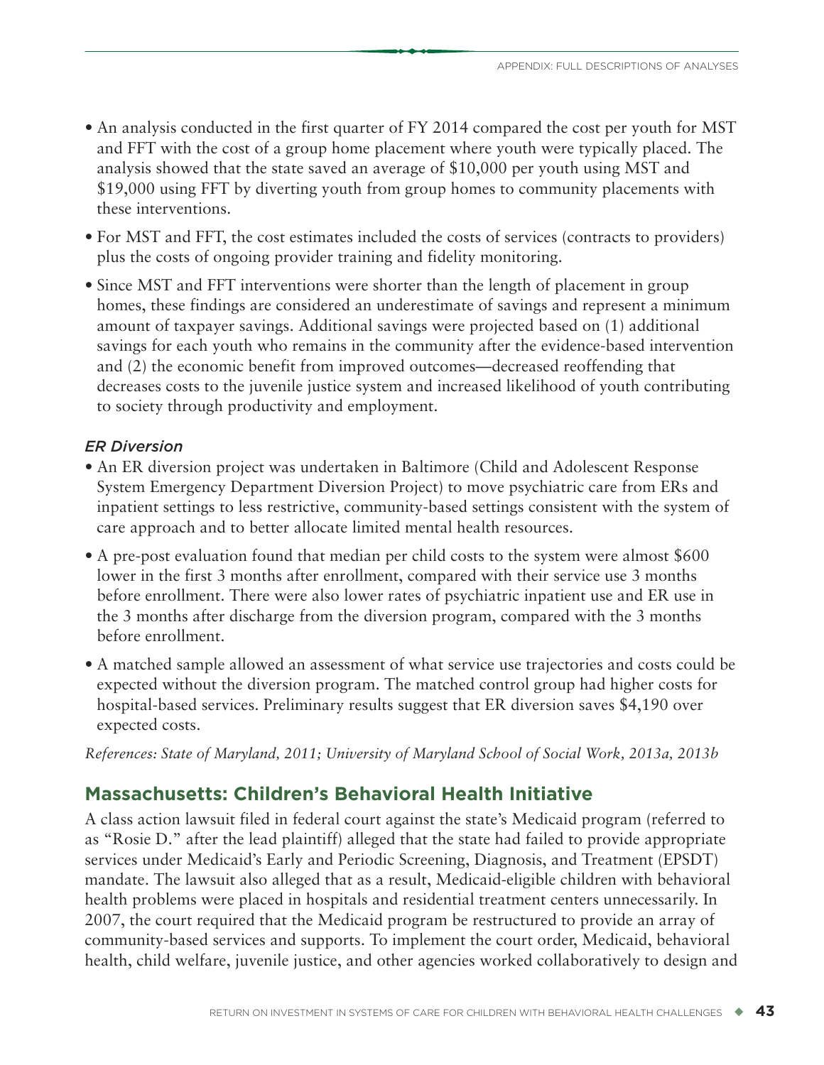- An analysis conducted in the first quarter of FY 2014 compared the cost per youth for MST and FFT with the cost of a group home placement where youth were typically placed. The analysis showed that the state saved an average of \$10,000 per youth using MST and \$19,000 using FFT by diverting youth from group homes to community placements with these interventions.
- For MST and FFT, the cost estimates included the costs of services (contracts to providers) plus the costs of ongoing provider training and fidelity monitoring.
- Since MST and FFT interventions were shorter than the length of placement in group homes, these findings are considered an underestimate of savings and represent a minimum amount of taxpayer savings. Additional savings were projected based on (1) additional savings for each youth who remains in the community after the evidence-based intervention and (2) the economic benefit from improved outcomes—decreased reoffending that decreases costs to the juvenile justice system and increased likelihood of youth contributing to society through productivity and employment.

### *ER Diversion*

- An ER diversion project was undertaken in Baltimore (Child and Adolescent Response System Emergency Department Diversion Project) to move psychiatric care from ERs and inpatient settings to less restrictive, community-based settings consistent with the system of care approach and to better allocate limited mental health resources.
- A pre-post evaluation found that median per child costs to the system were almost \$600 lower in the first 3 months after enrollment, compared with their service use 3 months before enrollment. There were also lower rates of psychiatric inpatient use and ER use in the 3 months after discharge from the diversion program, compared with the 3 months before enrollment.
- A matched sample allowed an assessment of what service use trajectories and costs could be expected without the diversion program. The matched control group had higher costs for hospital-based services. Preliminary results suggest that ER diversion saves \$4,190 over expected costs.

*References: State of Maryland, 2011; University of Maryland School of Social Work, 2013a, 2013b*

# **Massachusetts: Children's Behavioral Health Initiative**

A class action lawsuit filed in federal court against the state's Medicaid program (referred to as "Rosie D." after the lead plaintiff) alleged that the state had failed to provide appropriate services under Medicaid's Early and Periodic Screening, Diagnosis, and Treatment (EPSDT) mandate. The lawsuit also alleged that as a result, Medicaid-eligible children with behavioral health problems were placed in hospitals and residential treatment centers unnecessarily. In 2007, the court required that the Medicaid program be restructured to provide an array of community-based services and supports. To implement the court order, Medicaid, behavioral health, child welfare, juvenile justice, and other agencies worked collaboratively to design and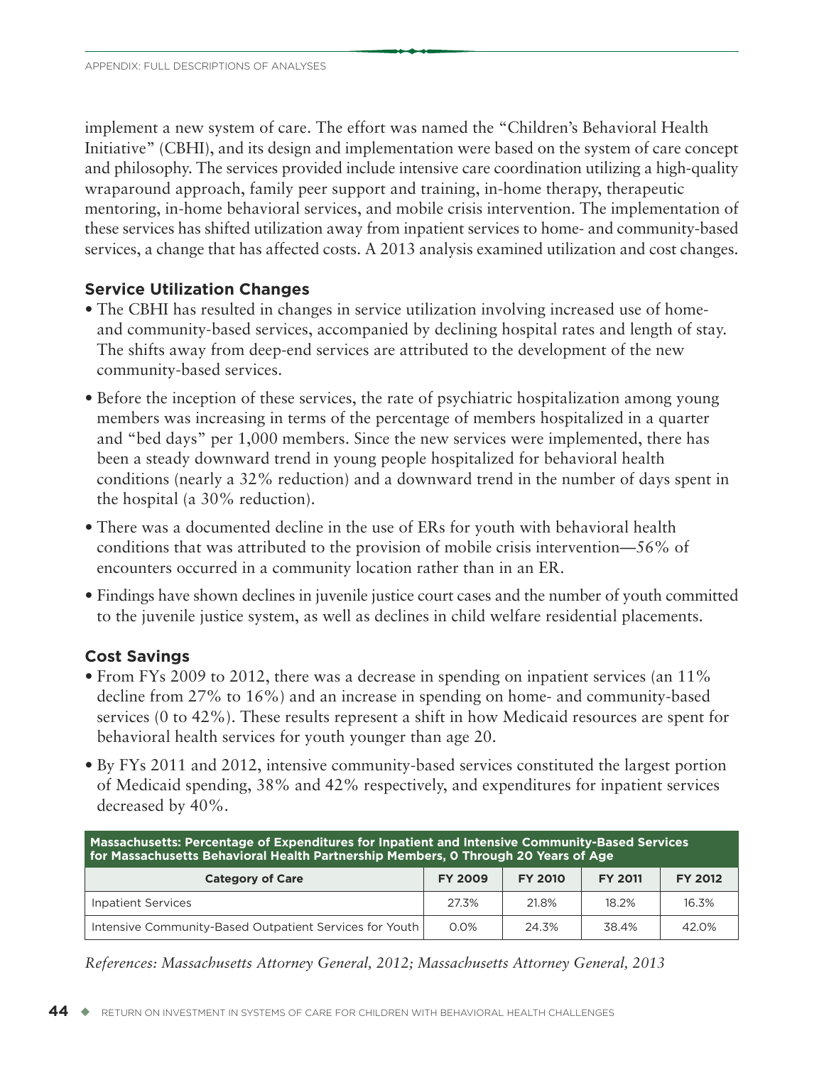implement a new system of care. The effort was named the "Children's Behavioral Health Initiative" (CBHI), and its design and implementation were based on the system of care concept and philosophy. The services provided include intensive care coordination utilizing a high-quality wraparound approach, family peer support and training, in-home therapy, therapeutic mentoring, in-home behavioral services, and mobile crisis intervention. The implementation of these services has shifted utilization away from inpatient services to home- and community-based services, a change that has affected costs. A 2013 analysis examined utilization and cost changes.

### **Service Utilization Changes**

- The CBHI has resulted in changes in service utilization involving increased use of homeand community-based services, accompanied by declining hospital rates and length of stay. The shifts away from deep-end services are attributed to the development of the new community-based services.
- Before the inception of these services, the rate of psychiatric hospitalization among young members was increasing in terms of the percentage of members hospitalized in a quarter and "bed days" per 1,000 members. Since the new services were implemented, there has been a steady downward trend in young people hospitalized for behavioral health conditions (nearly a 32% reduction) and a downward trend in the number of days spent in the hospital (a 30% reduction).
- There was a documented decline in the use of ERs for youth with behavioral health conditions that was attributed to the provision of mobile crisis intervention—56% of encounters occurred in a community location rather than in an ER.
- Findings have shown declines in juvenile justice court cases and the number of youth committed to the juvenile justice system, as well as declines in child welfare residential placements.

### **Cost Savings**

- From FYs 2009 to 2012, there was a decrease in spending on inpatient services (an 11% decline from 27% to 16%) and an increase in spending on home- and community-based services (0 to 42%). These results represent a shift in how Medicaid resources are spent for behavioral health services for youth younger than age 20.
- By FYs 2011 and 2012, intensive community-based services constituted the largest portion of Medicaid spending, 38% and 42% respectively, and expenditures for inpatient services decreased by 40%.

| Massachusetts: Percentage of Expenditures for Inpatient and Intensive Community-Based Services<br>for Massachusetts Behavioral Health Partnership Members, 0 Through 20 Years of Age |       |       |       |       |  |  |
|--------------------------------------------------------------------------------------------------------------------------------------------------------------------------------------|-------|-------|-------|-------|--|--|
| <b>FY 2012</b><br><b>FY 2010</b><br><b>FY 2011</b><br><b>Category of Care</b><br><b>FY 2009</b>                                                                                      |       |       |       |       |  |  |
| <b>Inpatient Services</b>                                                                                                                                                            | 27.3% | 21.8% | 18.2% | 16.3% |  |  |
| Intensive Community-Based Outpatient Services for Youth                                                                                                                              | 0.0%  | 24.3% | 38.4% | 42.0% |  |  |

*References: Massachusetts Attorney General, 2012; Massachusetts Attorney General, 2013*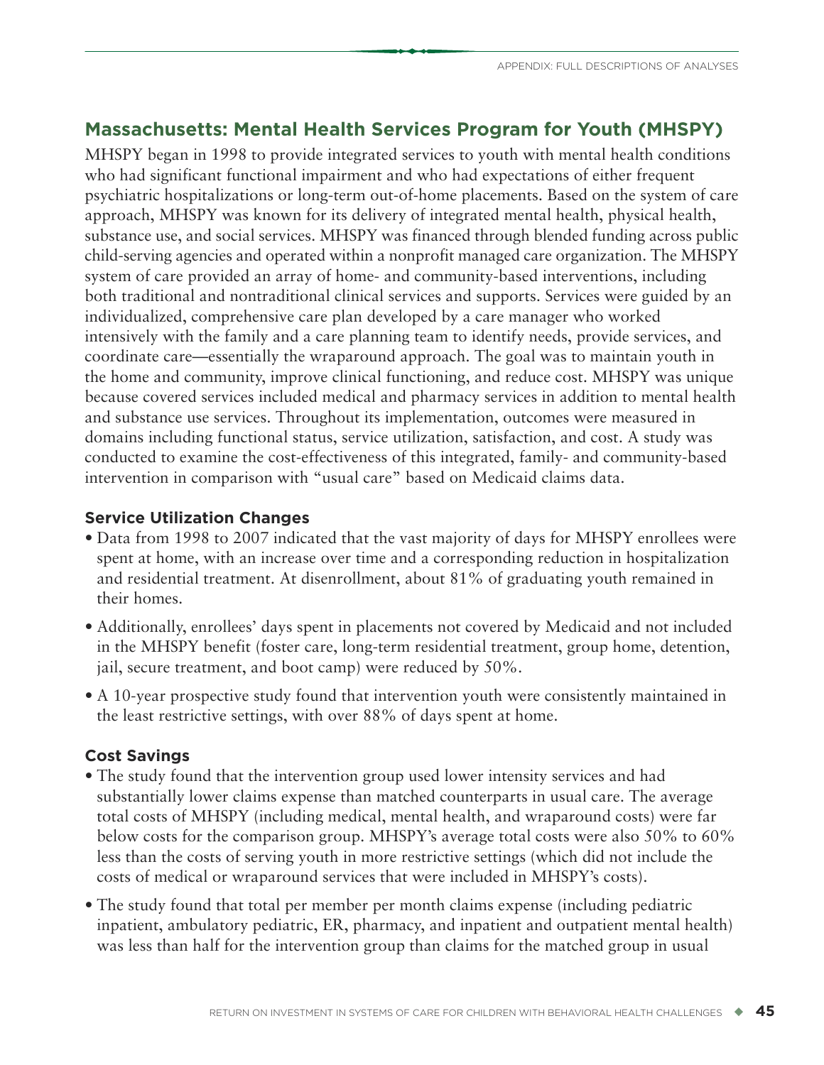# **Massachusetts: Mental Health Services Program for Youth (MHSPY)**

MHSPY began in 1998 to provide integrated services to youth with mental health conditions who had significant functional impairment and who had expectations of either frequent psychiatric hospitalizations or long-term out-of-home placements. Based on the system of care approach, MHSPY was known for its delivery of integrated mental health, physical health, substance use, and social services. MHSPY was financed through blended funding across public child-serving agencies and operated within a nonprofit managed care organization. The MHSPY system of care provided an array of home- and community-based interventions, including both traditional and nontraditional clinical services and supports. Services were guided by an individualized, comprehensive care plan developed by a care manager who worked intensively with the family and a care planning team to identify needs, provide services, and coordinate care—essentially the wraparound approach. The goal was to maintain youth in the home and community, improve clinical functioning, and reduce cost. MHSPY was unique because covered services included medical and pharmacy services in addition to mental health and substance use services. Throughout its implementation, outcomes were measured in domains including functional status, service utilization, satisfaction, and cost. A study was conducted to examine the cost-effectiveness of this integrated, family- and community-based intervention in comparison with "usual care" based on Medicaid claims data.

### **Service Utilization Changes**

- Data from 1998 to 2007 indicated that the vast majority of days for MHSPY enrollees were spent at home, with an increase over time and a corresponding reduction in hospitalization and residential treatment. At disenrollment, about 81% of graduating youth remained in their homes.
- Additionally, enrollees' days spent in placements not covered by Medicaid and not included in the MHSPY benefit (foster care, long-term residential treatment, group home, detention, jail, secure treatment, and boot camp) were reduced by 50%.
- A 10-year prospective study found that intervention youth were consistently maintained in the least restrictive settings, with over 88% of days spent at home.

# **Cost Savings**

- The study found that the intervention group used lower intensity services and had substantially lower claims expense than matched counterparts in usual care. The average total costs of MHSPY (including medical, mental health, and wraparound costs) were far below costs for the comparison group. MHSPY's average total costs were also 50% to 60% less than the costs of serving youth in more restrictive settings (which did not include the costs of medical or wraparound services that were included in MHSPY's costs).
- The study found that total per member per month claims expense (including pediatric inpatient, ambulatory pediatric, ER, pharmacy, and inpatient and outpatient mental health) was less than half for the intervention group than claims for the matched group in usual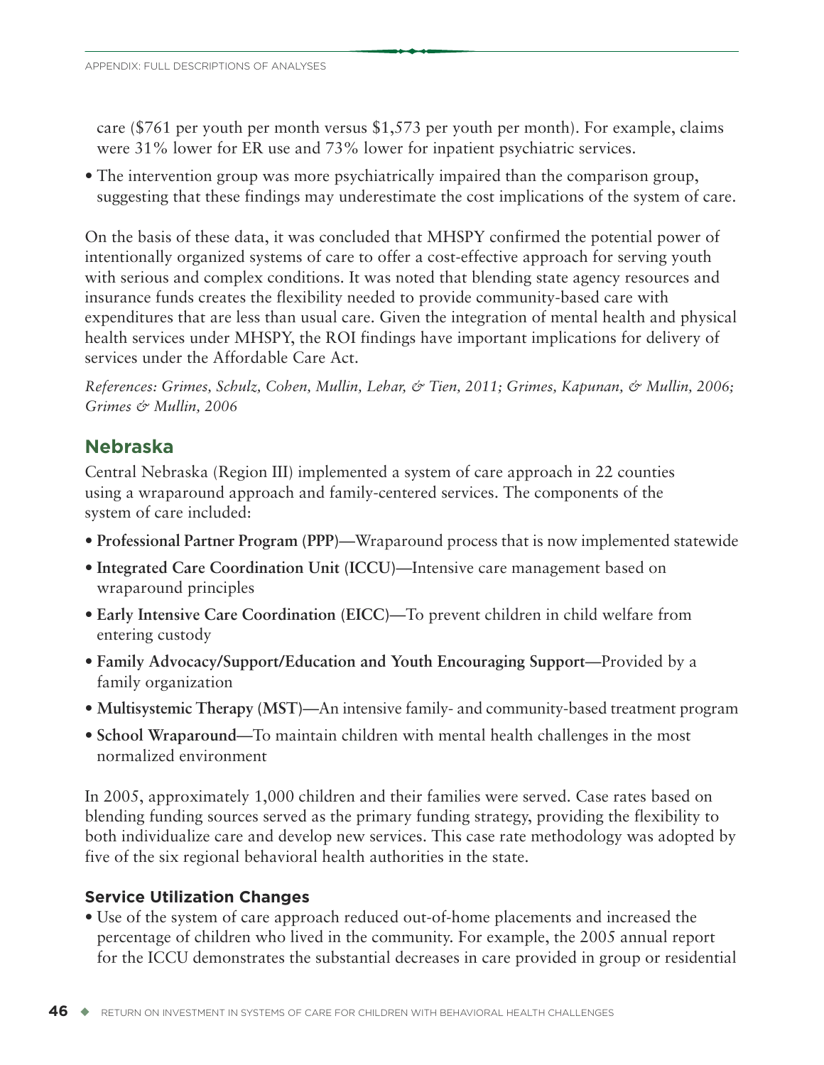care (\$761 per youth per month versus \$1,573 per youth per month). For example, claims were 31% lower for ER use and 73% lower for inpatient psychiatric services.

• The intervention group was more psychiatrically impaired than the comparison group, suggesting that these findings may underestimate the cost implications of the system of care.

On the basis of these data, it was concluded that MHSPY confirmed the potential power of intentionally organized systems of care to offer a cost-effective approach for serving youth with serious and complex conditions. It was noted that blending state agency resources and insurance funds creates the flexibility needed to provide community-based care with expenditures that are less than usual care. Given the integration of mental health and physical health services under MHSPY, the ROI findings have important implications for delivery of services under the Affordable Care Act.

*References: Grimes, Schulz, Cohen, Mullin, Lehar, & Tien, 2011; Grimes, Kapunan, & Mullin, 2006; Grimes & Mullin, 2006*

# **Nebraska**

Central Nebraska (Region III) implemented a system of care approach in 22 counties using a wraparound approach and family-centered services. The components of the system of care included:

- **Professional Partner Program (PPP)**—Wraparound process that is now implemented statewide
- **Integrated Care Coordination Unit (ICCU)**—Intensive care management based on wraparound principles
- **Early Intensive Care Coordination (EICC)**—To prevent children in child welfare from entering custody
- **Family Advocacy/Support/Education and Youth Encouraging Support**—Provided by a family organization
- **Multisystemic Therapy (MST)**—An intensive family- and community-based treatment program
- **School Wraparound**—To maintain children with mental health challenges in the most normalized environment

In 2005, approximately 1,000 children and their families were served. Case rates based on blending funding sources served as the primary funding strategy, providing the flexibility to both individualize care and develop new services. This case rate methodology was adopted by five of the six regional behavioral health authorities in the state.

# **Service Utilization Changes**

• Use of the system of care approach reduced out-of-home placements and increased the percentage of children who lived in the community. For example, the 2005 annual report for the ICCU demonstrates the substantial decreases in care provided in group or residential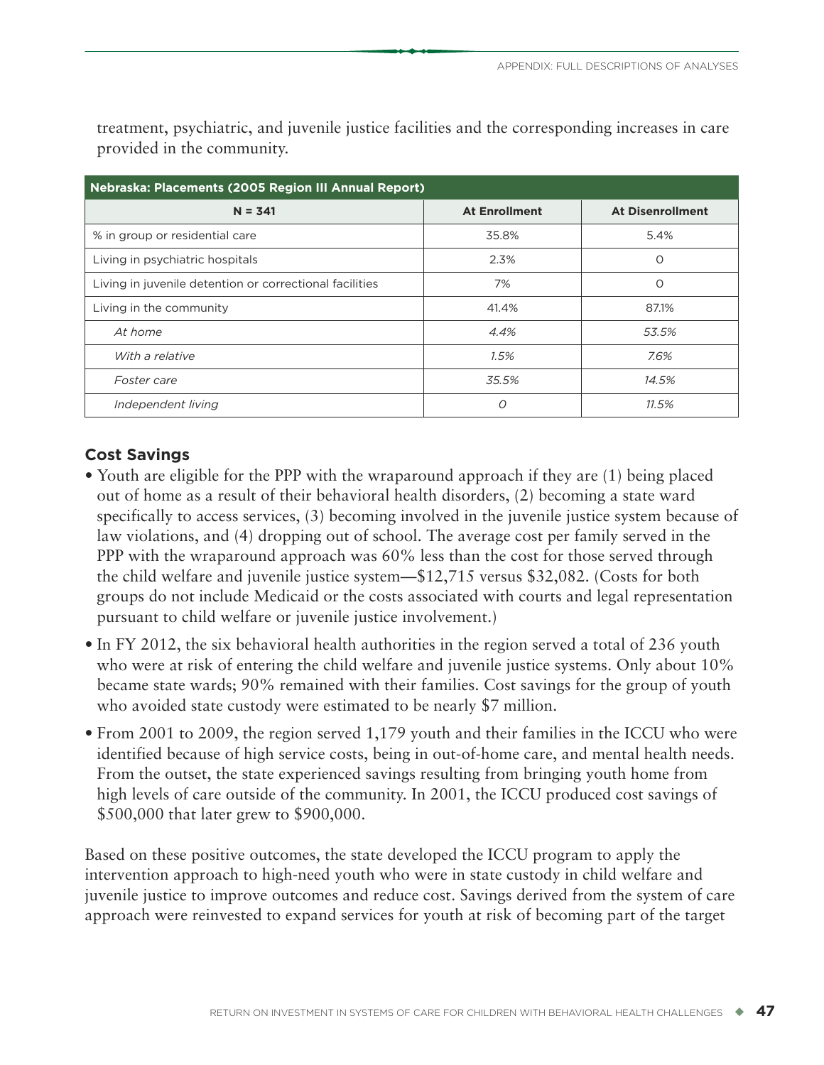| Nebraska: Placements (2005 Region III Annual Report)    |                      |                         |  |  |  |  |
|---------------------------------------------------------|----------------------|-------------------------|--|--|--|--|
| $N = 341$                                               | <b>At Enrollment</b> | <b>At Disenrollment</b> |  |  |  |  |
| % in group or residential care                          | 35.8%                | 5.4%                    |  |  |  |  |
| Living in psychiatric hospitals                         | 2.3%                 | $\circ$                 |  |  |  |  |
| Living in juvenile detention or correctional facilities | 7%                   | O                       |  |  |  |  |
| Living in the community                                 | 41.4%                | 87.1%                   |  |  |  |  |
| At home                                                 | 4.4%                 | 53.5%                   |  |  |  |  |
| With a relative                                         | 1.5%                 | 7.6%                    |  |  |  |  |
| Foster care                                             | 35.5%                | 14.5%                   |  |  |  |  |
| Independent living                                      | 0                    | 11.5%                   |  |  |  |  |

treatment, psychiatric, and juvenile justice facilities and the corresponding increases in care provided in the community.

### **Cost Savings**

- Youth are eligible for the PPP with the wraparound approach if they are (1) being placed out of home as a result of their behavioral health disorders, (2) becoming a state ward specifically to access services, (3) becoming involved in the juvenile justice system because of law violations, and (4) dropping out of school. The average cost per family served in the PPP with the wraparound approach was 60% less than the cost for those served through the child welfare and juvenile justice system—\$12,715 versus \$32,082. (Costs for both groups do not include Medicaid or the costs associated with courts and legal representation pursuant to child welfare or juvenile justice involvement.)
- In FY 2012, the six behavioral health authorities in the region served a total of 236 youth who were at risk of entering the child welfare and juvenile justice systems. Only about 10% became state wards; 90% remained with their families. Cost savings for the group of youth who avoided state custody were estimated to be nearly \$7 million.
- From 2001 to 2009, the region served 1,179 youth and their families in the ICCU who were identified because of high service costs, being in out-of-home care, and mental health needs. From the outset, the state experienced savings resulting from bringing youth home from high levels of care outside of the community. In 2001, the ICCU produced cost savings of \$500,000 that later grew to \$900,000.

Based on these positive outcomes, the state developed the ICCU program to apply the intervention approach to high-need youth who were in state custody in child welfare and juvenile justice to improve outcomes and reduce cost. Savings derived from the system of care approach were reinvested to expand services for youth at risk of becoming part of the target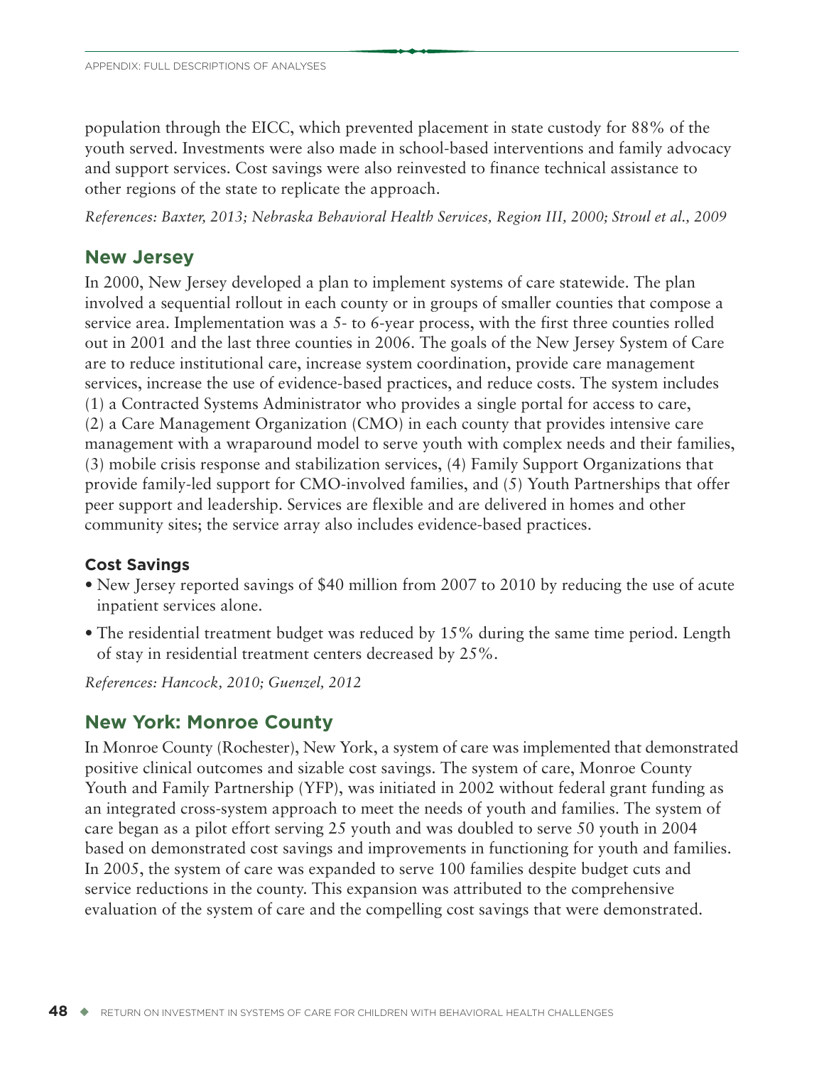population through the EICC, which prevented placement in state custody for 88% of the youth served. Investments were also made in school-based interventions and family advocacy and support services. Cost savings were also reinvested to finance technical assistance to other regions of the state to replicate the approach.

*References: Baxter, 2013; Nebraska Behavioral Health Services, Region III, 2000; Stroul et al., 2009*

# **New Jersey**

In 2000, New Jersey developed a plan to implement systems of care statewide. The plan involved a sequential rollout in each county or in groups of smaller counties that compose a service area. Implementation was a 5- to 6-year process, with the first three counties rolled out in 2001 and the last three counties in 2006. The goals of the New Jersey System of Care are to reduce institutional care, increase system coordination, provide care management services, increase the use of evidence-based practices, and reduce costs. The system includes (1) a Contracted Systems Administrator who provides a single portal for access to care, (2) a Care Management Organization (CMO) in each county that provides intensive care management with a wraparound model to serve youth with complex needs and their families, (3) mobile crisis response and stabilization services, (4) Family Support Organizations that provide family-led support for CMO-involved families, and (5) Youth Partnerships that offer peer support and leadership. Services are flexible and are delivered in homes and other community sites; the service array also includes evidence-based practices.

# **Cost Savings**

- New Jersey reported savings of \$40 million from 2007 to 2010 by reducing the use of acute inpatient services alone.
- The residential treatment budget was reduced by 15% during the same time period. Length of stay in residential treatment centers decreased by 25%.

*References: Hancock, 2010; Guenzel, 2012*

# **New York: Monroe County**

In Monroe County (Rochester), New York, a system of care was implemented that demonstrated positive clinical outcomes and sizable cost savings. The system of care, Monroe County Youth and Family Partnership (YFP), was initiated in 2002 without federal grant funding as an integrated cross-system approach to meet the needs of youth and families. The system of care began as a pilot effort serving 25 youth and was doubled to serve 50 youth in 2004 based on demonstrated cost savings and improvements in functioning for youth and families. In 2005, the system of care was expanded to serve 100 families despite budget cuts and service reductions in the county. This expansion was attributed to the comprehensive evaluation of the system of care and the compelling cost savings that were demonstrated.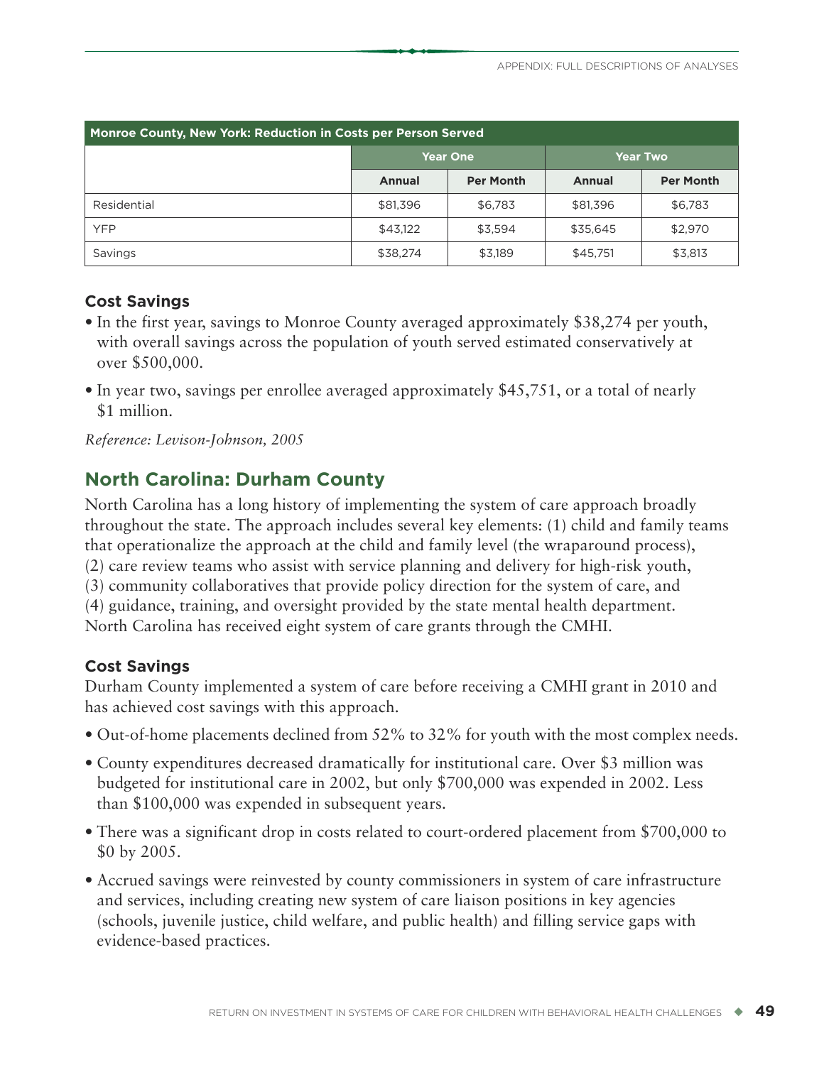| Monroe County, New York: Reduction in Costs per Person Served |               |                  |                 |                  |  |  |  |
|---------------------------------------------------------------|---------------|------------------|-----------------|------------------|--|--|--|
|                                                               |               | <b>Year One</b>  | <b>Year Two</b> |                  |  |  |  |
|                                                               | <b>Annual</b> | <b>Per Month</b> | <b>Annual</b>   | <b>Per Month</b> |  |  |  |
| Residential                                                   | \$81,396      | \$6,783          | \$81,396        | \$6,783          |  |  |  |
| <b>YFP</b>                                                    | \$43,122      | \$3,594          | \$35,645        | \$2,970          |  |  |  |
| Savings                                                       | \$38,274      | \$3,189          | \$45,751        | \$3,813          |  |  |  |

### **Cost Savings**

- In the first year, savings to Monroe County averaged approximately \$38,274 per youth, with overall savings across the population of youth served estimated conservatively at over \$500,000.
- In year two, savings per enrollee averaged approximately \$45,751, or a total of nearly \$1 million.

*Reference: Levison-Johnson, 2005*

# **North Carolina: Durham County**

North Carolina has a long history of implementing the system of care approach broadly throughout the state. The approach includes several key elements: (1) child and family teams that operationalize the approach at the child and family level (the wraparound process), (2) care review teams who assist with service planning and delivery for high-risk youth, (3) community collaboratives that provide policy direction for the system of care, and (4) guidance, training, and oversight provided by the state mental health department. North Carolina has received eight system of care grants through the CMHI.

# **Cost Savings**

Durham County implemented a system of care before receiving a CMHI grant in 2010 and has achieved cost savings with this approach.

- Out-of-home placements declined from 52% to 32% for youth with the most complex needs.
- County expenditures decreased dramatically for institutional care. Over \$3 million was budgeted for institutional care in 2002, but only \$700,000 was expended in 2002. Less than \$100,000 was expended in subsequent years.
- There was a significant drop in costs related to court-ordered placement from \$700,000 to \$0 by 2005.
- Accrued savings were reinvested by county commissioners in system of care infrastructure and services, including creating new system of care liaison positions in key agencies (schools, juvenile justice, child welfare, and public health) and filling service gaps with evidence-based practices.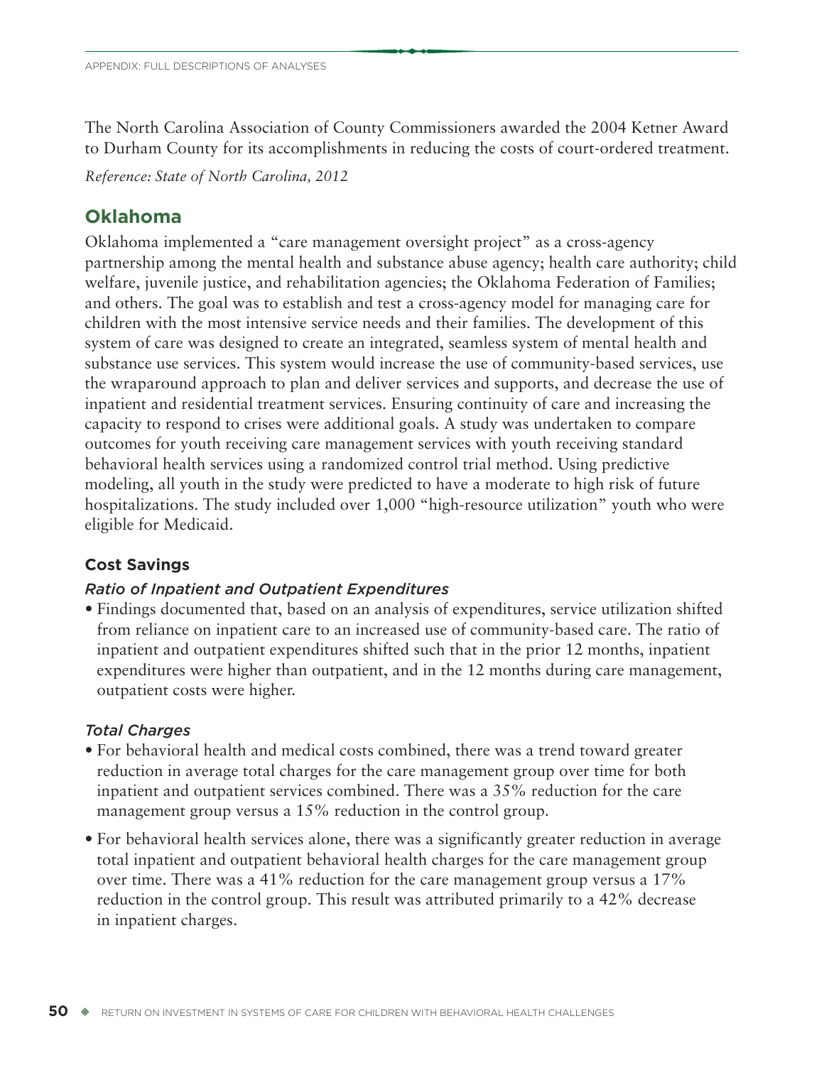The North Carolina Association of County Commissioners awarded the 2004 Ketner Award to Durham County for its accomplishments in reducing the costs of court-ordered treatment.

*Reference: State of North Carolina, 2012*

# **Oklahoma**

Oklahoma implemented a "care management oversight project" as a cross-agency partnership among the mental health and substance abuse agency; health care authority; child welfare, juvenile justice, and rehabilitation agencies; the Oklahoma Federation of Families; and others. The goal was to establish and test a cross-agency model for managing care for children with the most intensive service needs and their families. The development of this system of care was designed to create an integrated, seamless system of mental health and substance use services. This system would increase the use of community-based services, use the wraparound approach to plan and deliver services and supports, and decrease the use of inpatient and residential treatment services. Ensuring continuity of care and increasing the capacity to respond to crises were additional goals. A study was undertaken to compare outcomes for youth receiving care management services with youth receiving standard behavioral health services using a randomized control trial method. Using predictive modeling, all youth in the study were predicted to have a moderate to high risk of future hospitalizations. The study included over 1,000 "high-resource utilization" youth who were eligible for Medicaid.

# **Cost Savings**

# *Ratio of Inpatient and Outpatient Expenditures*

• Findings documented that, based on an analysis of expenditures, service utilization shifted from reliance on inpatient care to an increased use of community-based care. The ratio of inpatient and outpatient expenditures shifted such that in the prior 12 months, inpatient expenditures were higher than outpatient, and in the 12 months during care management, outpatient costs were higher.

# *Total Charges*

- For behavioral health and medical costs combined, there was a trend toward greater reduction in average total charges for the care management group over time for both inpatient and outpatient services combined. There was a 35% reduction for the care management group versus a 15% reduction in the control group.
- For behavioral health services alone, there was a significantly greater reduction in average total inpatient and outpatient behavioral health charges for the care management group over time. There was a 41% reduction for the care management group versus a 17% reduction in the control group. This result was attributed primarily to a 42% decrease in inpatient charges.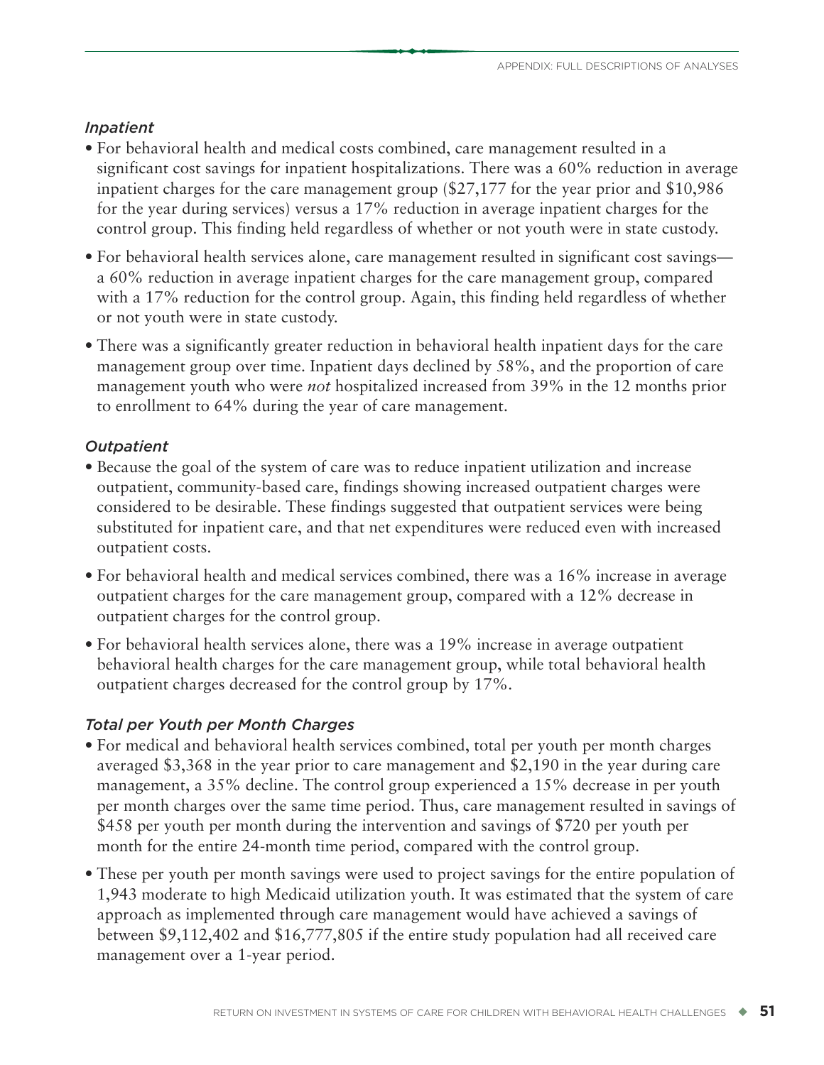#### *Inpatient*

- For behavioral health and medical costs combined, care management resulted in a significant cost savings for inpatient hospitalizations. There was a 60% reduction in average inpatient charges for the care management group (\$27,177 for the year prior and \$10,986 for the year during services) versus a 17% reduction in average inpatient charges for the control group. This finding held regardless of whether or not youth were in state custody.
- For behavioral health services alone, care management resulted in significant cost savings a 60% reduction in average inpatient charges for the care management group, compared with a 17% reduction for the control group. Again, this finding held regardless of whether or not youth were in state custody.
- There was a significantly greater reduction in behavioral health inpatient days for the care management group over time. Inpatient days declined by 58%, and the proportion of care management youth who were *not* hospitalized increased from 39% in the 12 months prior to enrollment to 64% during the year of care management.

### *Outpatient*

- Because the goal of the system of care was to reduce inpatient utilization and increase outpatient, community-based care, findings showing increased outpatient charges were considered to be desirable. These findings suggested that outpatient services were being substituted for inpatient care, and that net expenditures were reduced even with increased outpatient costs.
- For behavioral health and medical services combined, there was a 16% increase in average outpatient charges for the care management group, compared with a 12% decrease in outpatient charges for the control group.
- For behavioral health services alone, there was a 19% increase in average outpatient behavioral health charges for the care management group, while total behavioral health outpatient charges decreased for the control group by 17%.

### *Total per Youth per Month Charges*

- For medical and behavioral health services combined, total per youth per month charges averaged \$3,368 in the year prior to care management and \$2,190 in the year during care management, a 35% decline. The control group experienced a 15% decrease in per youth per month charges over the same time period. Thus, care management resulted in savings of \$458 per youth per month during the intervention and savings of \$720 per youth per month for the entire 24-month time period, compared with the control group.
- These per youth per month savings were used to project savings for the entire population of 1,943 moderate to high Medicaid utilization youth. It was estimated that the system of care approach as implemented through care management would have achieved a savings of between \$9,112,402 and \$16,777,805 if the entire study population had all received care management over a 1-year period.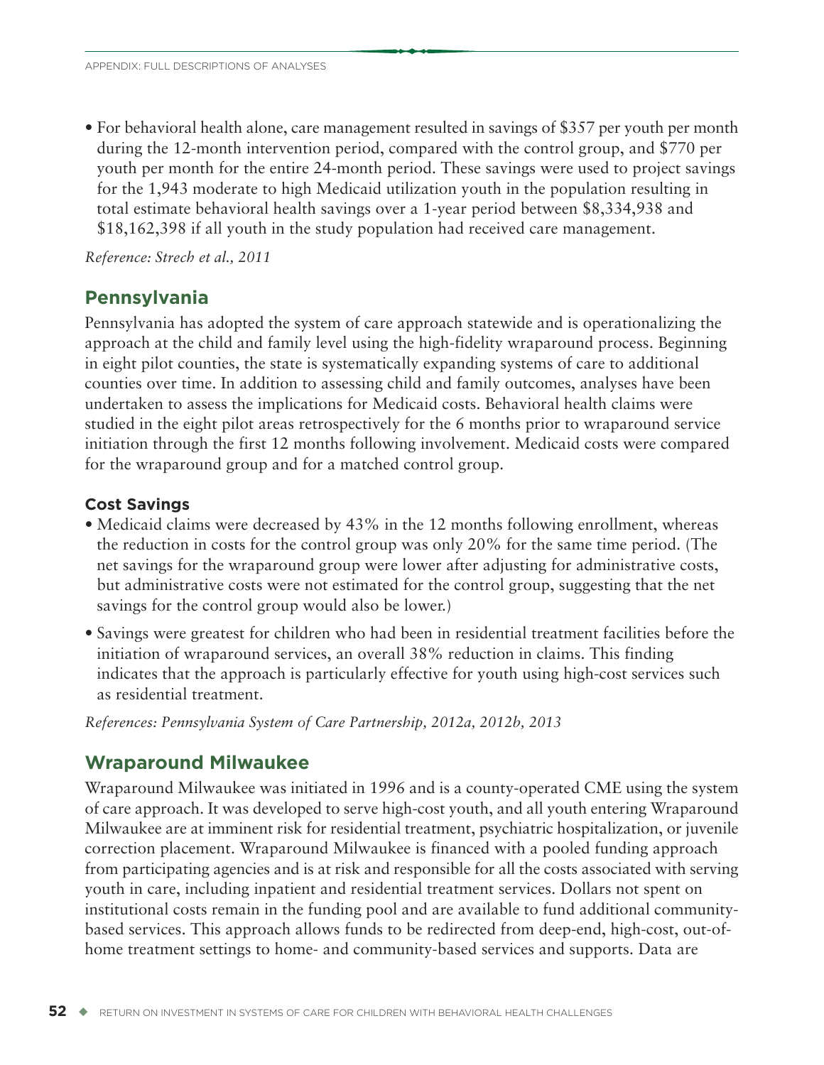• For behavioral health alone, care management resulted in savings of \$357 per youth per month during the 12-month intervention period, compared with the control group, and \$770 per youth per month for the entire 24-month period. These savings were used to project savings for the 1,943 moderate to high Medicaid utilization youth in the population resulting in total estimate behavioral health savings over a 1-year period between \$8,334,938 and \$18,162,398 if all youth in the study population had received care management.

*Reference: Strech et al., 2011*

# **Pennsylvania**

Pennsylvania has adopted the system of care approach statewide and is operationalizing the approach at the child and family level using the high-fidelity wraparound process. Beginning in eight pilot counties, the state is systematically expanding systems of care to additional counties over time. In addition to assessing child and family outcomes, analyses have been undertaken to assess the implications for Medicaid costs. Behavioral health claims were studied in the eight pilot areas retrospectively for the 6 months prior to wraparound service initiation through the first 12 months following involvement. Medicaid costs were compared for the wraparound group and for a matched control group.

### **Cost Savings**

- Medicaid claims were decreased by 43% in the 12 months following enrollment, whereas the reduction in costs for the control group was only 20% for the same time period. (The net savings for the wraparound group were lower after adjusting for administrative costs, but administrative costs were not estimated for the control group, suggesting that the net savings for the control group would also be lower.)
- Savings were greatest for children who had been in residential treatment facilities before the initiation of wraparound services, an overall 38% reduction in claims. This finding indicates that the approach is particularly effective for youth using high-cost services such as residential treatment.

*References: Pennsylvania System of Care Partnership, 2012a, 2012b, 2013*

# **Wraparound Milwaukee**

Wraparound Milwaukee was initiated in 1996 and is a county-operated CME using the system of care approach. It was developed to serve high-cost youth, and all youth entering Wraparound Milwaukee are at imminent risk for residential treatment, psychiatric hospitalization, or juvenile correction placement. Wraparound Milwaukee is financed with a pooled funding approach from participating agencies and is at risk and responsible for all the costs associated with serving youth in care, including inpatient and residential treatment services. Dollars not spent on institutional costs remain in the funding pool and are available to fund additional communitybased services. This approach allows funds to be redirected from deep-end, high-cost, out-ofhome treatment settings to home- and community-based services and supports. Data are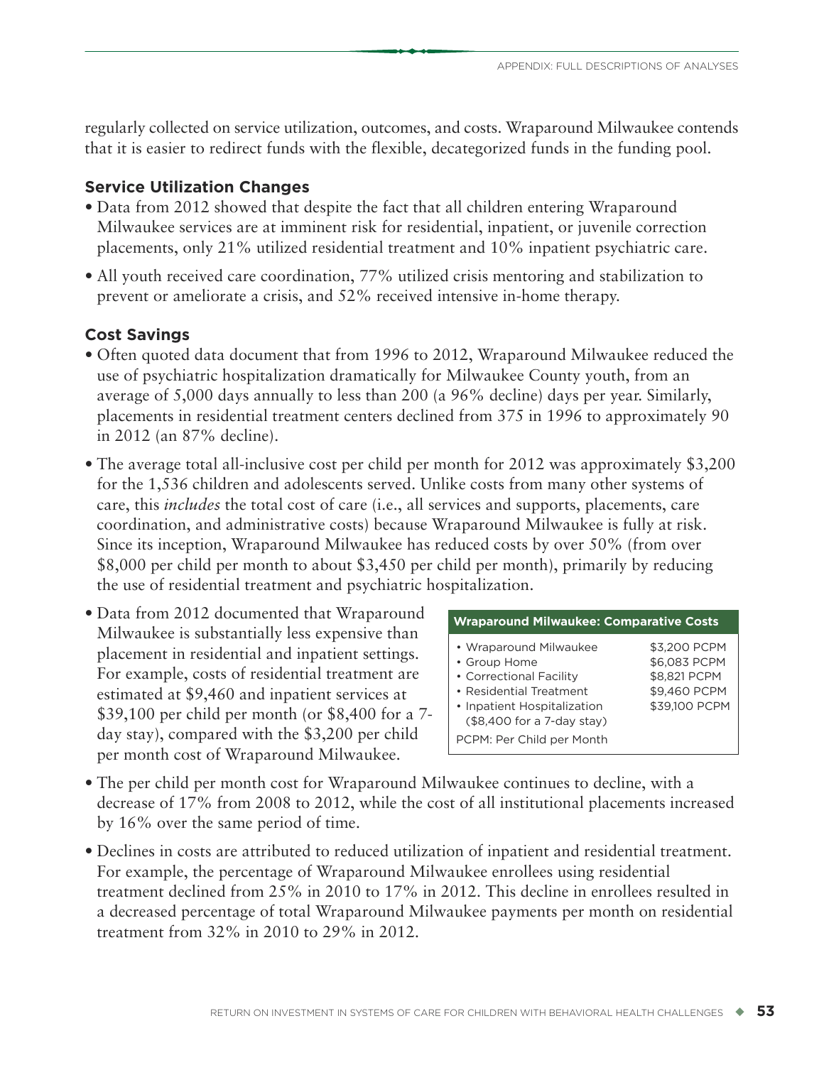regularly collected on service utilization, outcomes, and costs. Wraparound Milwaukee contends that it is easier to redirect funds with the flexible, decategorized funds in the funding pool.

# **Service Utilization Changes**

- Data from 2012 showed that despite the fact that all children entering Wraparound Milwaukee services are at imminent risk for residential, inpatient, or juvenile correction placements, only 21% utilized residential treatment and 10% inpatient psychiatric care.
- All youth received care coordination, 77% utilized crisis mentoring and stabilization to prevent or ameliorate a crisis, and 52% received intensive in-home therapy.

# **Cost Savings**

- Often quoted data document that from 1996 to 2012, Wraparound Milwaukee reduced the use of psychiatric hospitalization dramatically for Milwaukee County youth, from an average of 5,000 days annually to less than 200 (a 96% decline) days per year. Similarly, placements in residential treatment centers declined from 375 in 1996 to approximately 90 in 2012 (an 87% decline).
- The average total all-inclusive cost per child per month for 2012 was approximately \$3,200 for the 1,536 children and adolescents served. Unlike costs from many other systems of care, this *includes* the total cost of care (i.e., all services and supports, placements, care coordination, and administrative costs) because Wraparound Milwaukee is fully at risk. Since its inception, Wraparound Milwaukee has reduced costs by over 50% (from over \$8,000 per child per month to about \$3,450 per child per month), primarily by reducing the use of residential treatment and psychiatric hospitalization.
- Data from 2012 documented that Wraparound Milwaukee is substantially less expensive than placement in residential and inpatient settings. For example, costs of residential treatment are estimated at \$9,460 and inpatient services at \$39,100 per child per month (or \$8,400 for a 7 day stay), compared with the \$3,200 per child per month cost of Wraparound Milwaukee.

| <b>Wraparound Milwaukee: Comparative Costs</b>                                                                                                                                         |                                                                               |
|----------------------------------------------------------------------------------------------------------------------------------------------------------------------------------------|-------------------------------------------------------------------------------|
| • Wraparound Milwaukee<br>• Group Home<br>• Correctional Facility<br>• Residential Treatment<br>• Inpatient Hospitalization<br>(\$8,400 for a 7-day stay)<br>PCPM: Per Child per Month | \$3,200 PCPM<br>\$6,083 PCPM<br>\$8,821 PCPM<br>\$9,460 PCPM<br>\$39,100 PCPM |

- The per child per month cost for Wraparound Milwaukee continues to decline, with a decrease of 17% from 2008 to 2012, while the cost of all institutional placements increased by 16% over the same period of time.
- Declines in costs are attributed to reduced utilization of inpatient and residential treatment. For example, the percentage of Wraparound Milwaukee enrollees using residential treatment declined from 25% in 2010 to 17% in 2012. This decline in enrollees resulted in a decreased percentage of total Wraparound Milwaukee payments per month on residential treatment from 32% in 2010 to 29% in 2012.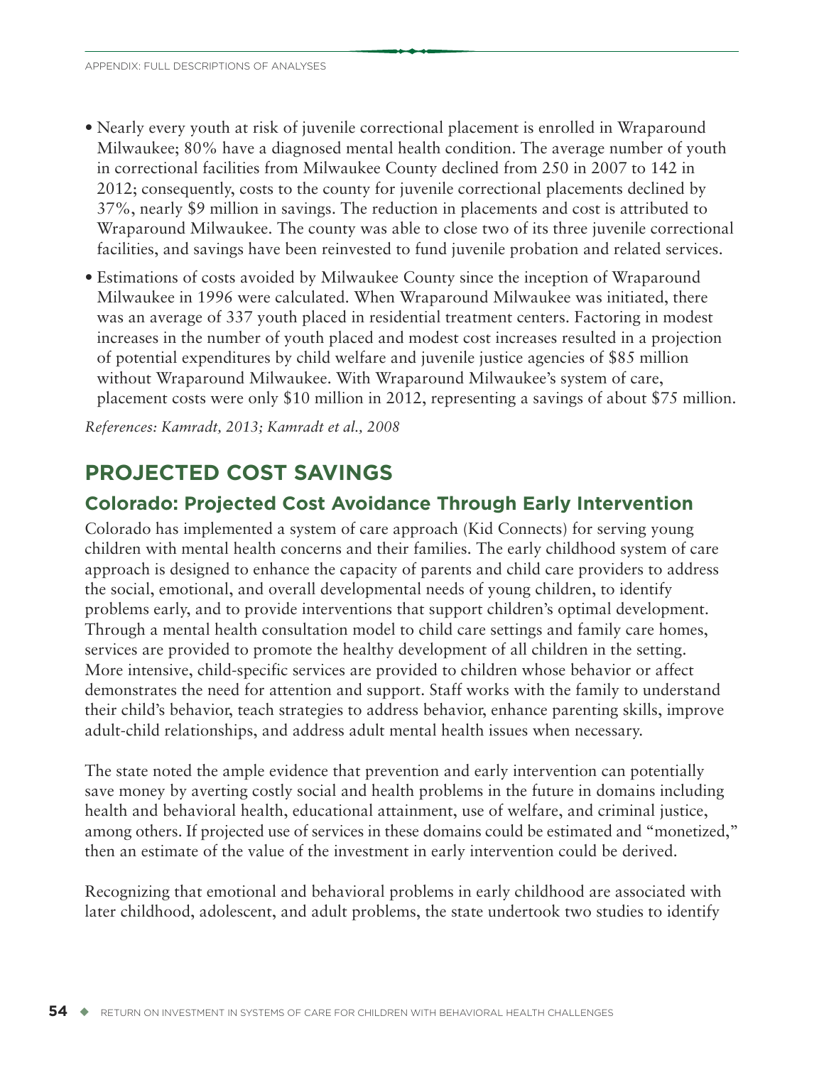- Nearly every youth at risk of juvenile correctional placement is enrolled in Wraparound Milwaukee; 80% have a diagnosed mental health condition. The average number of youth in correctional facilities from Milwaukee County declined from 250 in 2007 to 142 in 2012; consequently, costs to the county for juvenile correctional placements declined by 37%, nearly \$9 million in savings. The reduction in placements and cost is attributed to Wraparound Milwaukee. The county was able to close two of its three juvenile correctional facilities, and savings have been reinvested to fund juvenile probation and related services.
- Estimations of costs avoided by Milwaukee County since the inception of Wraparound Milwaukee in 1996 were calculated. When Wraparound Milwaukee was initiated, there was an average of 337 youth placed in residential treatment centers. Factoring in modest increases in the number of youth placed and modest cost increases resulted in a projection of potential expenditures by child welfare and juvenile justice agencies of \$85 million without Wraparound Milwaukee. With Wraparound Milwaukee's system of care, placement costs were only \$10 million in 2012, representing a savings of about \$75 million.

*References: Kamradt, 2013; Kamradt et al., 2008*

# **PROJECTED COST SAVINGS**

# **Colorado: Projected Cost Avoidance Through Early Intervention**

Colorado has implemented a system of care approach (Kid Connects) for serving young children with mental health concerns and their families. The early childhood system of care approach is designed to enhance the capacity of parents and child care providers to address the social, emotional, and overall developmental needs of young children, to identify problems early, and to provide interventions that support children's optimal development. Through a mental health consultation model to child care settings and family care homes, services are provided to promote the healthy development of all children in the setting. More intensive, child-specific services are provided to children whose behavior or affect demonstrates the need for attention and support. Staff works with the family to understand their child's behavior, teach strategies to address behavior, enhance parenting skills, improve adult-child relationships, and address adult mental health issues when necessary.

The state noted the ample evidence that prevention and early intervention can potentially save money by averting costly social and health problems in the future in domains including health and behavioral health, educational attainment, use of welfare, and criminal justice, among others. If projected use of services in these domains could be estimated and "monetized," then an estimate of the value of the investment in early intervention could be derived.

Recognizing that emotional and behavioral problems in early childhood are associated with later childhood, adolescent, and adult problems, the state undertook two studies to identify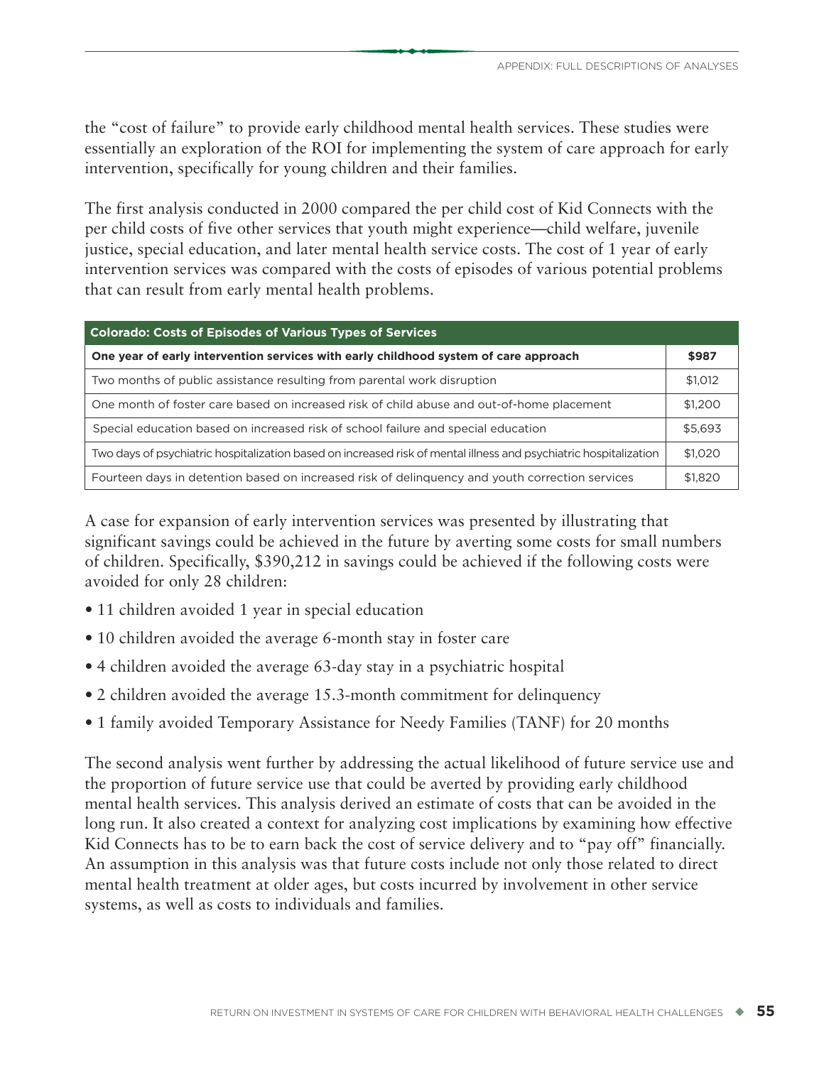the "cost of failure" to provide early childhood mental health services. These studies were essentially an exploration of the ROI for implementing the system of care approach for early intervention, specifically for young children and their families.

The first analysis conducted in 2000 compared the per child cost of Kid Connects with the per child costs of five other services that youth might experience—child welfare, juvenile justice, special education, and later mental health service costs. The cost of 1 year of early intervention services was compared with the costs of episodes of various potential problems that can result from early mental health problems.

| <b>Colorado: Costs of Episodes of Various Types of Services</b>                                                   |         |  |  |  |
|-------------------------------------------------------------------------------------------------------------------|---------|--|--|--|
| One year of early intervention services with early childhood system of care approach                              | \$987   |  |  |  |
| Two months of public assistance resulting from parental work disruption                                           | \$1,012 |  |  |  |
| One month of foster care based on increased risk of child abuse and out-of-home placement                         | \$1,200 |  |  |  |
| Special education based on increased risk of school failure and special education                                 | \$5,693 |  |  |  |
| Two days of psychiatric hospitalization based on increased risk of mental illness and psychiatric hospitalization | \$1,020 |  |  |  |
| Fourteen days in detention based on increased risk of delinguency and youth correction services                   | \$1,820 |  |  |  |

A case for expansion of early intervention services was presented by illustrating that significant savings could be achieved in the future by averting some costs for small numbers of children. Specifically, \$390,212 in savings could be achieved if the following costs were avoided for only 28 children:

- 11 children avoided 1 year in special education
- 10 children avoided the average 6-month stay in foster care
- 4 children avoided the average 63-day stay in a psychiatric hospital
- 2 children avoided the average 15.3-month commitment for delinquency
- 1 family avoided Temporary Assistance for Needy Families (TANF) for 20 months

The second analysis went further by addressing the actual likelihood of future service use and the proportion of future service use that could be averted by providing early childhood mental health services. This analysis derived an estimate of costs that can be avoided in the long run. It also created a context for analyzing cost implications by examining how effective Kid Connects has to be to earn back the cost of service delivery and to "pay off" financially. An assumption in this analysis was that future costs include not only those related to direct mental health treatment at older ages, but costs incurred by involvement in other service systems, as well as costs to individuals and families.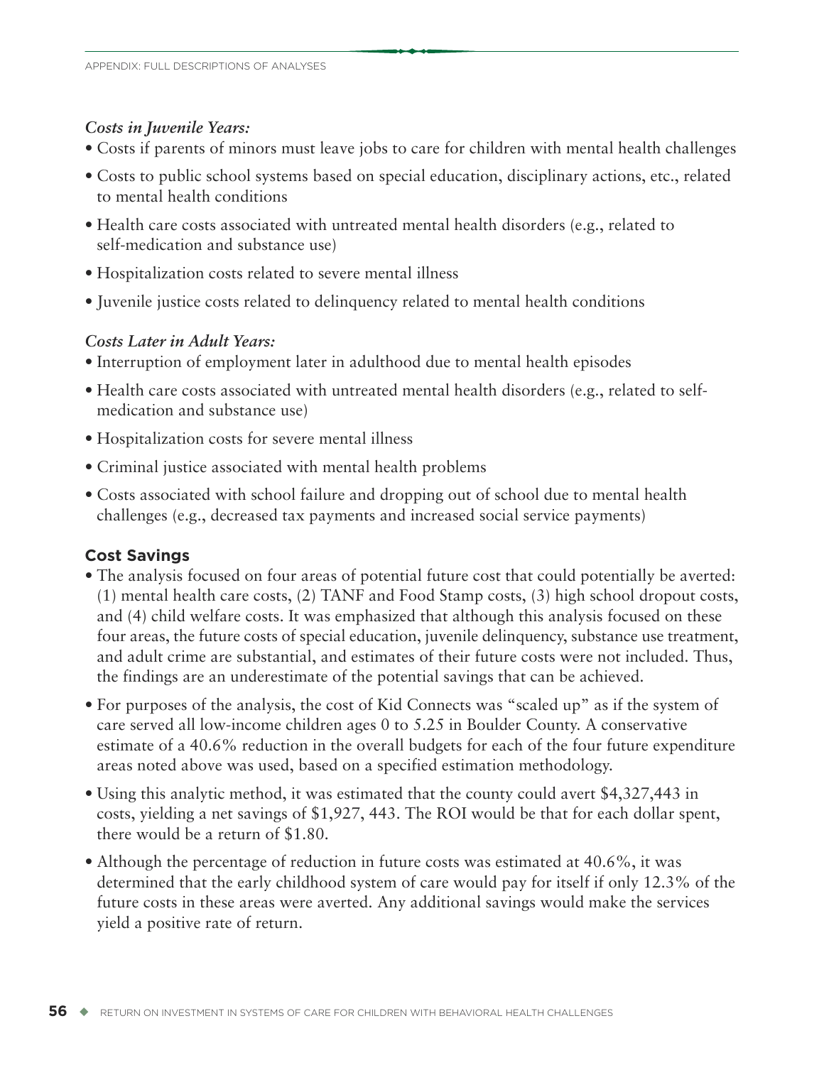#### *Costs in Juvenile Years:*

- Costs if parents of minors must leave jobs to care for children with mental health challenges
- Costs to public school systems based on special education, disciplinary actions, etc., related to mental health conditions
- Health care costs associated with untreated mental health disorders (e.g., related to self-medication and substance use)
- Hospitalization costs related to severe mental illness
- Juvenile justice costs related to delinquency related to mental health conditions

### *Costs Later in Adult Years:*

- Interruption of employment later in adulthood due to mental health episodes
- Health care costs associated with untreated mental health disorders (e.g., related to selfmedication and substance use)
- Hospitalization costs for severe mental illness
- Criminal justice associated with mental health problems
- Costs associated with school failure and dropping out of school due to mental health challenges (e.g., decreased tax payments and increased social service payments)

# **Cost Savings**

- The analysis focused on four areas of potential future cost that could potentially be averted: (1) mental health care costs, (2) TANF and Food Stamp costs, (3) high school dropout costs, and (4) child welfare costs. It was emphasized that although this analysis focused on these four areas, the future costs of special education, juvenile delinquency, substance use treatment, and adult crime are substantial, and estimates of their future costs were not included. Thus, the findings are an underestimate of the potential savings that can be achieved.
- For purposes of the analysis, the cost of Kid Connects was "scaled up" as if the system of care served all low-income children ages 0 to 5.25 in Boulder County. A conservative estimate of a 40.6% reduction in the overall budgets for each of the four future expenditure areas noted above was used, based on a specified estimation methodology.
- Using this analytic method, it was estimated that the county could avert \$4,327,443 in costs, yielding a net savings of \$1,927, 443. The ROI would be that for each dollar spent, there would be a return of \$1.80.
- Although the percentage of reduction in future costs was estimated at 40.6%, it was determined that the early childhood system of care would pay for itself if only 12.3% of the future costs in these areas were averted. Any additional savings would make the services yield a positive rate of return.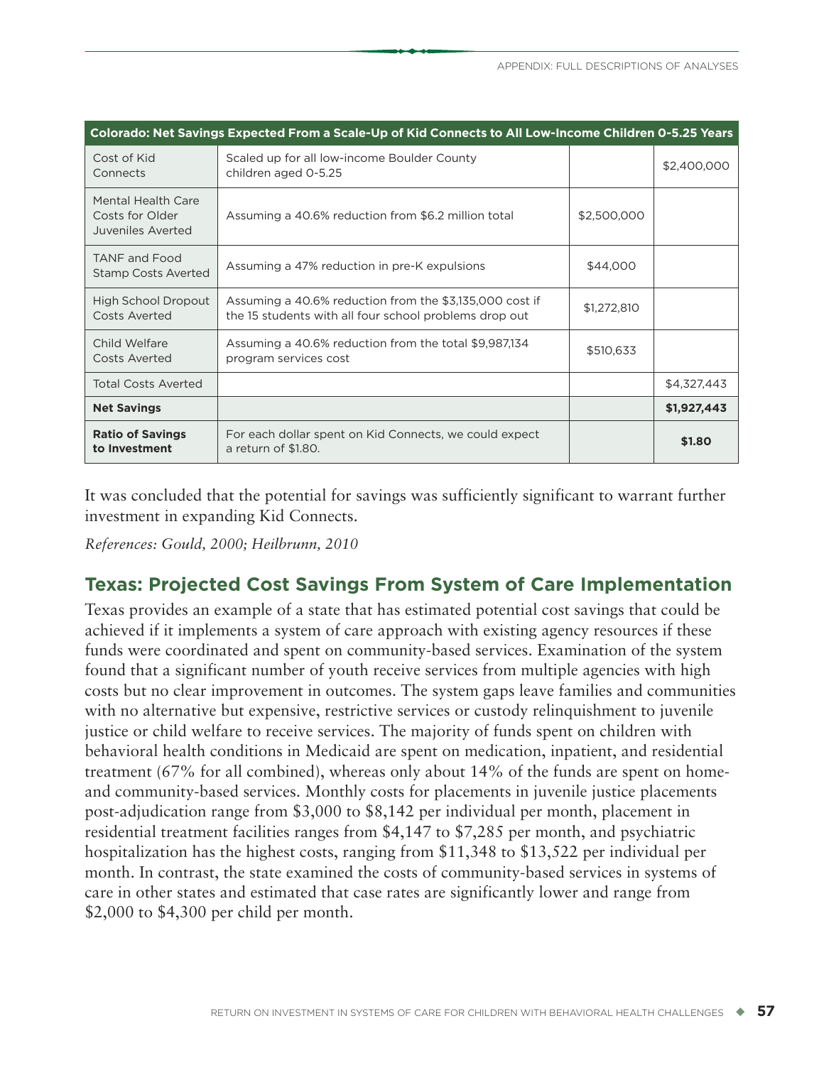| Colorado: Net Savings Expected From a Scale-Up of Kid Connects to All Low-Income Children 0-5.25 Years |                                                                                                                   |             |             |  |  |  |
|--------------------------------------------------------------------------------------------------------|-------------------------------------------------------------------------------------------------------------------|-------------|-------------|--|--|--|
| Cost of Kid<br>Connects                                                                                | Scaled up for all low-income Boulder County<br>children aged 0-5.25                                               |             | \$2,400,000 |  |  |  |
| Mental Health Care<br>Costs for Older<br>Juveniles Averted                                             | Assuming a 40.6% reduction from \$6.2 million total                                                               | \$2,500,000 |             |  |  |  |
| <b>TANF and Food</b><br><b>Stamp Costs Averted</b>                                                     | Assuming a 47% reduction in pre-K expulsions                                                                      | \$44,000    |             |  |  |  |
| High School Dropout<br><b>Costs Averted</b>                                                            | Assuming a 40.6% reduction from the \$3,135,000 cost if<br>the 15 students with all four school problems drop out | \$1,272,810 |             |  |  |  |
| Child Welfare<br>Costs Averted                                                                         | Assuming a 40.6% reduction from the total \$9,987,134<br>program services cost                                    | \$510,633   |             |  |  |  |
| <b>Total Costs Averted</b>                                                                             |                                                                                                                   |             | \$4,327,443 |  |  |  |
| <b>Net Savings</b>                                                                                     |                                                                                                                   |             | \$1,927,443 |  |  |  |
| <b>Ratio of Savings</b><br>to Investment                                                               | For each dollar spent on Kid Connects, we could expect<br>a return of \$1.80.                                     |             | \$1.80      |  |  |  |

It was concluded that the potential for savings was sufficiently significant to warrant further investment in expanding Kid Connects.

*References: Gould, 2000; Heilbrunn, 2010*

# **Texas: Projected Cost Savings From System of Care Implementation**

Texas provides an example of a state that has estimated potential cost savings that could be achieved if it implements a system of care approach with existing agency resources if these funds were coordinated and spent on community-based services. Examination of the system found that a significant number of youth receive services from multiple agencies with high costs but no clear improvement in outcomes. The system gaps leave families and communities with no alternative but expensive, restrictive services or custody relinquishment to juvenile justice or child welfare to receive services. The majority of funds spent on children with behavioral health conditions in Medicaid are spent on medication, inpatient, and residential treatment (67% for all combined), whereas only about 14% of the funds are spent on homeand community-based services. Monthly costs for placements in juvenile justice placements post-adjudication range from \$3,000 to \$8,142 per individual per month, placement in residential treatment facilities ranges from \$4,147 to \$7,285 per month, and psychiatric hospitalization has the highest costs, ranging from \$11,348 to \$13,522 per individual per month. In contrast, the state examined the costs of community-based services in systems of care in other states and estimated that case rates are significantly lower and range from \$2,000 to \$4,300 per child per month.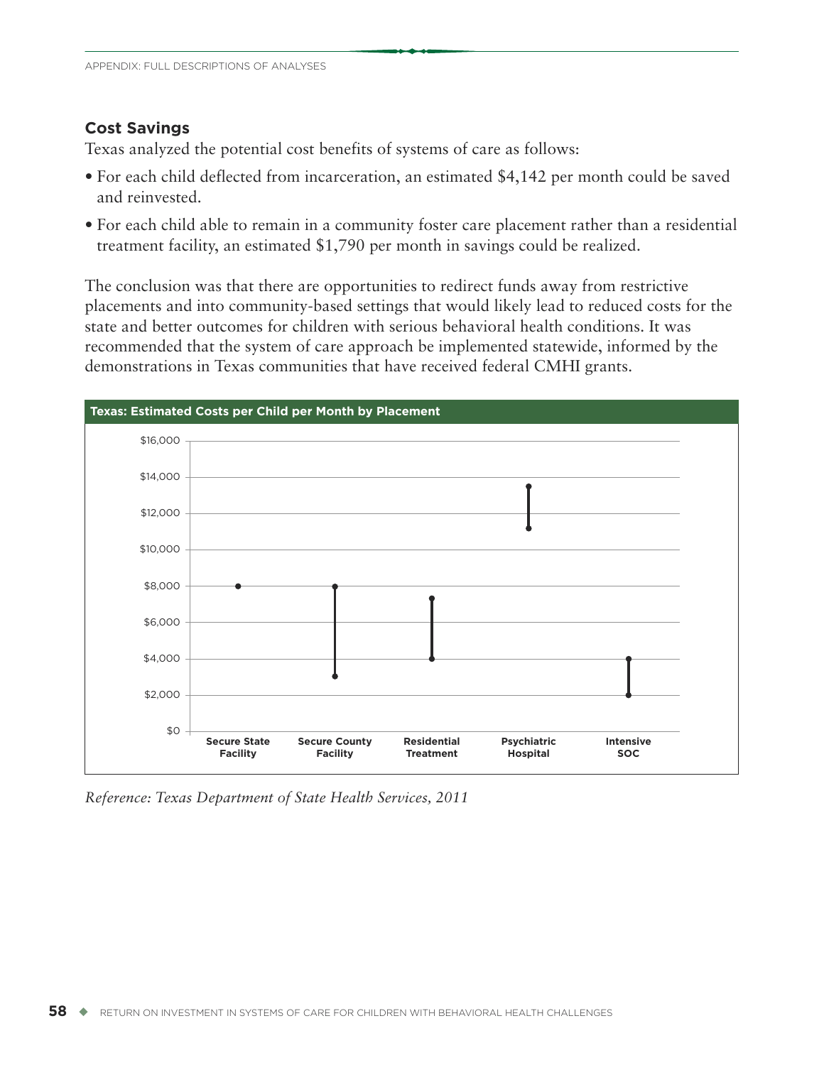#### **Cost Savings**

Texas analyzed the potential cost benefits of systems of care as follows:

- For each child deflected from incarceration, an estimated \$4,142 per month could be saved and reinvested.
- For each child able to remain in a community foster care placement rather than a residential treatment facility, an estimated \$1,790 per month in savings could be realized.

The conclusion was that there are opportunities to redirect funds away from restrictive placements and into community-based settings that would likely lead to reduced costs for the state and better outcomes for children with serious behavioral health conditions. It was recommended that the system of care approach be implemented statewide, informed by the demonstrations in Texas communities that have received federal CMHI grants.



*Reference: Texas Department of State Health Services, 2011*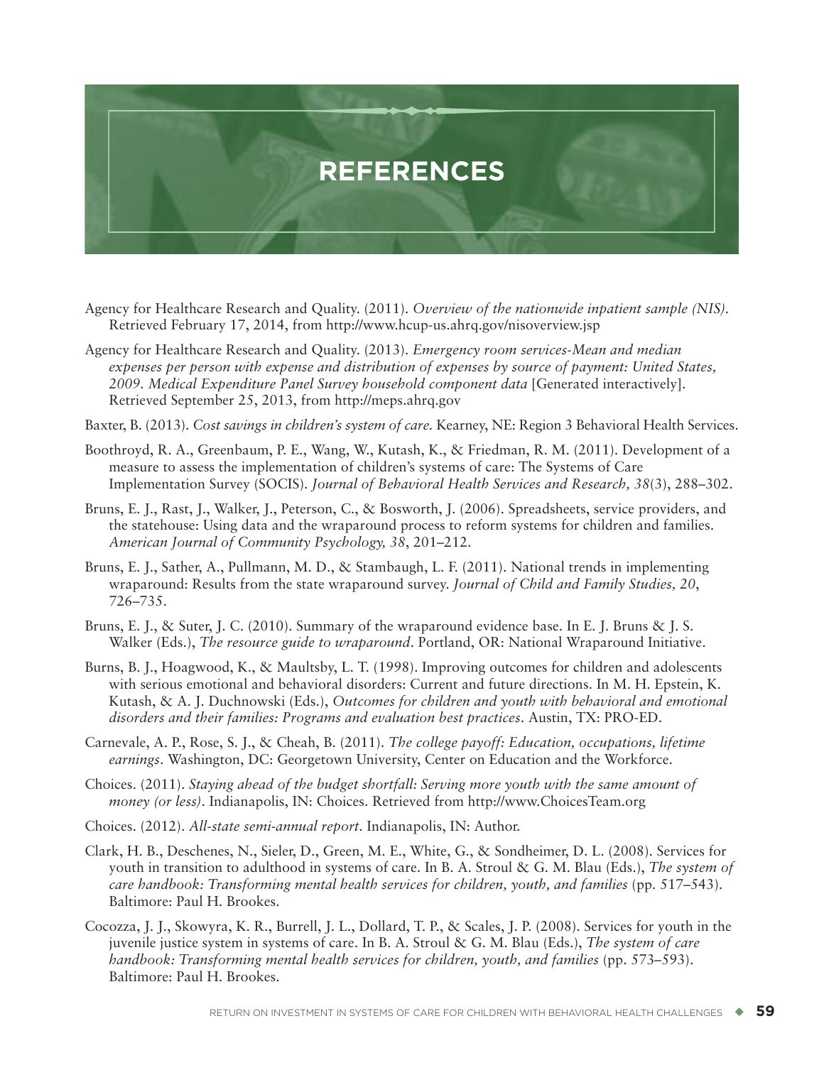

- Agency for Healthcare Research and Quality. (2011). *Overview of the nationwide inpatient sample (NIS).* Retrieved February 17, 2014, from <http://www.hcup-us.ahrq.gov/nisoverview.jsp>
- Agency for Healthcare Research and Quality. (2013). *Emergency room services-Mean and median expenses per person with expense and distribution of expenses by source of payment: United States, 2009. Medical Expenditure Panel Survey household component data* [Generated interactively]. Retrieved September 25, 2013, from <http://meps.ahrq.gov>
- Baxter, B. (2013). *Cost savings in children's system of care.* Kearney, NE: Region 3 Behavioral Health Services.
- Boothroyd, R. A., Greenbaum, P. E., Wang, W., Kutash, K., & Friedman, R. M. (2011). Development of a measure to assess the implementation of children's systems of care: The Systems of Care Implementation Survey (SOCIS). *Journal of Behavioral Health Services and Research, 38*(3), 288–302.
- Bruns, E. J., Rast, J., Walker, J., Peterson, C., & Bosworth, J. (2006). Spreadsheets, service providers, and the statehouse: Using data and the wraparound process to reform systems for children and families. *American Journal of Community Psychology, 38*, 201–212.
- Bruns, E. J., Sather, A., Pullmann, M. D., & Stambaugh, L. F. (2011). National trends in implementing wraparound: Results from the state wraparound survey. *Journal of Child and Family Studies, 20*, 726–735.
- Bruns, E. J., & Suter, J. C. (2010). Summary of the wraparound evidence base. In E. J. Bruns & J. S. Walker (Eds.), *The resource guide to wraparound*. Portland, OR: National Wraparound Initiative.
- Burns, B. J., Hoagwood, K., & Maultsby, L. T. (1998). Improving outcomes for children and adolescents with serious emotional and behavioral disorders: Current and future directions. In M. H. Epstein, K. Kutash, & A. J. Duchnowski (Eds.), *Outcomes for children and youth with behavioral and emotional disorders and their families: Programs and evaluation best practices*. Austin, TX: PRO-ED.
- Carnevale, A. P., Rose, S. J., & Cheah, B. (2011). *The college payoff: Education, occupations, lifetime earnings*. Washington, DC: Georgetown University, Center on Education and the Workforce.
- Choices. (2011). *Staying ahead of the budget shortfall: Serving more youth with the same amount of money (or less)*. Indianapolis, IN: Choices. Retrieved from <http://www.ChoicesTeam.org>
- Choices. (2012). *All-state semi-annual report*. Indianapolis, IN: Author.
- Clark, H. B., Deschenes, N., Sieler, D., Green, M. E., White, G., & Sondheimer, D. L. (2008). Services for youth in transition to adulthood in systems of care. In B. A. Stroul & G. M. Blau (Eds.), *The system of care handbook: Transforming mental health services for children, youth, and families* (pp. 517–543). Baltimore: Paul H. Brookes.
- Cocozza, J. J., Skowyra, K. R., Burrell, J. L., Dollard, T. P., & Scales, J. P. (2008). Services for youth in the juvenile justice system in systems of care. In B. A. Stroul & G. M. Blau (Eds.), *The system of care handbook: Transforming mental health services for children, youth, and families* (pp. 573–593). Baltimore: Paul H. Brookes.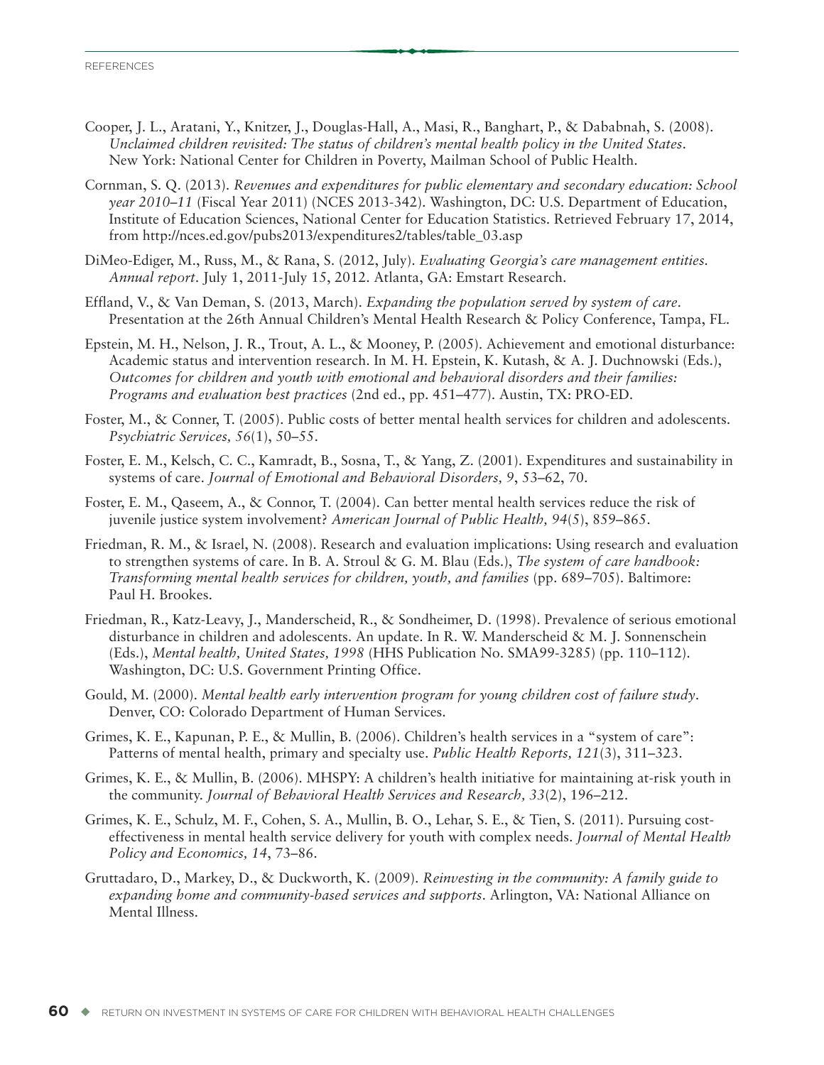- Cooper, J. L., Aratani, Y., Knitzer, J., Douglas-Hall, A., Masi, R., Banghart, P., & Dababnah, S. (2008). *Unclaimed children revisited: The status of children's mental health policy in the United States*. New York: National Center for Children in Poverty, Mailman School of Public Health.
- Cornman, S. Q. (2013). *Revenues and expenditures for public elementary and secondary education: School year 2010–11* (Fiscal Year 2011) (NCES 2013-342). Washington, DC: U.S. Department of Education, Institute of Education Sciences, National Center for Education Statistics. Retrieved February 17, 2014, from [http://nces.ed.gov/pubs2013/expenditures2/tables/table\\_03.](http://nces.ed.gov/pubs2013/expenditures2/tables/table_03)asp
- DiMeo-Ediger, M., Russ, M., & Rana, S. (2012, July). *Evaluating Georgia's care management entities. Annual report*. July 1, 2011-July 15, 2012. Atlanta, GA: Emstart Research.
- Effland, V., & Van Deman, S. (2013, March). *Expanding the population served by system of care*. Presentation at the 26th Annual Children's Mental Health Research & Policy Conference, Tampa, FL.
- Epstein, M. H., Nelson, J. R., Trout, A. L., & Mooney, P. (2005). Achievement and emotional disturbance: Academic status and intervention research. In M. H. Epstein, K. Kutash, & A. J. Duchnowski (Eds.), *Outcomes for children and youth with emotional and behavioral disorders and their families: Programs and evaluation best practices* (2nd ed., pp. 451–477). Austin, TX: PRO-ED.
- Foster, M., & Conner, T. (2005). Public costs of better mental health services for children and adolescents. *Psychiatric Services, 56*(1), 50–55.
- Foster, E. M., Kelsch, C. C., Kamradt, B., Sosna, T., & Yang, Z. (2001). Expenditures and sustainability in systems of care. *Journal of Emotional and Behavioral Disorders, 9*, 53–62, 70.
- Foster, E. M., Qaseem, A., & Connor, T. (2004). Can better mental health services reduce the risk of juvenile justice system involvement? *American Journal of Public Health, 94*(5), 859–865.
- Friedman, R. M., & Israel, N. (2008). Research and evaluation implications: Using research and evaluation to strengthen systems of care. In B. A. Stroul & G. M. Blau (Eds.), *The system of care handbook: Transforming mental health services for children, youth, and families* (pp. 689–705). Baltimore: Paul H. Brookes.
- Friedman, R., Katz-Leavy, J., Manderscheid, R., & Sondheimer, D. (1998). Prevalence of serious emotional disturbance in children and adolescents. An update. In R. W. Manderscheid & M. J. Sonnenschein (Eds.), *Mental health, United States, 1998* (HHS Publication No. SMA99-3285) (pp. 110–112). Washington, DC: U.S. Government Printing Office.
- Gould, M. (2000). *Mental health early intervention program for young children cost of failure study*. Denver, CO: Colorado Department of Human Services.
- Grimes, K. E., Kapunan, P. E., & Mullin, B. (2006). Children's health services in a "system of care": Patterns of mental health, primary and specialty use. *Public Health Reports, 121*(3), 311–323.
- Grimes, K. E., & Mullin, B. (2006). MHSPY: A children's health initiative for maintaining at-risk youth in the community. *Journal of Behavioral Health Services and Research, 33*(2), 196–212.
- Grimes, K. E., Schulz, M. F., Cohen, S. A., Mullin, B. O., Lehar, S. E., & Tien, S. (2011). Pursuing costeffectiveness in mental health service delivery for youth with complex needs. *Journal of Mental Health Policy and Economics, 14*, 73–86.
- Gruttadaro, D., Markey, D., & Duckworth, K. (2009). *Reinvesting in the community: A family guide to expanding home and community-based services and supports*. Arlington, VA: National Alliance on Mental Illness.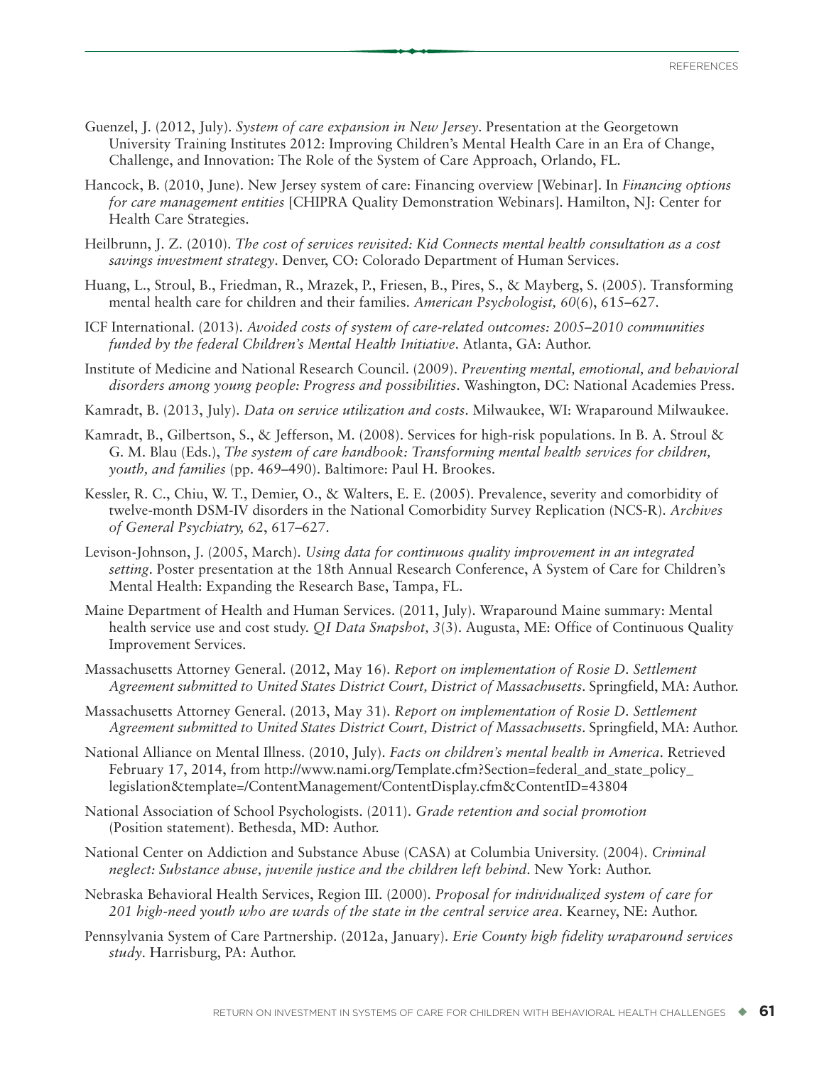- Guenzel, J. (2012, July). *System of care expansion in New Jersey*. Presentation at the Georgetown University Training Institutes 2012: Improving Children's Mental Health Care in an Era of Change, Challenge, and Innovation: The Role of the System of Care Approach, Orlando, FL.
- Hancock, B. (2010, June). New Jersey system of care: Financing overview [Webinar]. In *Financing options for care management entities* [CHIPRA Quality Demonstration Webinars]. Hamilton, NJ: Center for Health Care Strategies.
- Heilbrunn, J. Z. (2010). *The cost of services revisited: Kid Connects mental health consultation as a cost savings investment strategy*. Denver, CO: Colorado Department of Human Services.
- Huang, L., Stroul, B., Friedman, R., Mrazek, P., Friesen, B., Pires, S., & Mayberg, S. (2005). Transforming mental health care for children and their families. *American Psychologist, 60*(6), 615–627.
- ICF International. (2013). *Avoided costs of system of care-related outcomes: 2005–2010 communities funded by the federal Children's Mental Health Initiative*. Atlanta, GA: Author.
- Institute of Medicine and National Research Council. (2009). *Preventing mental, emotional, and behavioral disorders among young people: Progress and possibilities*. Washington, DC: National Academies Press.
- Kamradt, B. (2013, July). *Data on service utilization and costs*. Milwaukee, WI: Wraparound Milwaukee.
- Kamradt, B., Gilbertson, S., & Jefferson, M. (2008). Services for high-risk populations. In B. A. Stroul & G. M. Blau (Eds.), *The system of care handbook: Transforming mental health services for children, youth, and families* (pp. 469–490). Baltimore: Paul H. Brookes.
- Kessler, R. C., Chiu, W. T., Demier, O., & Walters, E. E. (2005). Prevalence, severity and comorbidity of twelve-month DSM-IV disorders in the National Comorbidity Survey Replication (NCS-R). *Archives of General Psychiatry, 62*, 617–627.
- Levison-Johnson, J. (2005, March). *Using data for continuous quality improvement in an integrated setting*. Poster presentation at the 18th Annual Research Conference, A System of Care for Children's Mental Health: Expanding the Research Base, Tampa, FL.
- Maine Department of Health and Human Services. (2011, July). Wraparound Maine summary: Mental health service use and cost study. *QI Data Snapshot, 3*(3). Augusta, ME: Office of Continuous Quality Improvement Services.
- Massachusetts Attorney General. (2012, May 16). *Report on implementation of Rosie D. Settlement Agreement submitted to United States District Court, District of Massachusetts*. Springfield, MA: Author.
- Massachusetts Attorney General. (2013, May 31). *Report on implementation of Rosie D. Settlement Agreement submitted to United States District Court, District of Massachusetts*. Springfield, MA: Author.
- National Alliance on Mental Illness. (2010, July). *Facts on children's mental health in America*. Retrieved February 17, 2014, from [http://www.nami.org/Template.cfm?Section=federal\\_and\\_state\\_policy\\_](http://www.nami.org/Template.cfm?Section=federal_and_state_policy_legislation&template=/ContentManagement/ContentDisplay.cfm&ContentID=43804) [legislation&template=/ContentManagement/ContentDisplay.cfm&ContentID=43804](http://www.nami.org/Template.cfm?Section=federal_and_state_policy_legislation&template=/ContentManagement/ContentDisplay.cfm&ContentID=43804)
- National Association of School Psychologists. (2011). *Grade retention and social promotion* (Position statement). Bethesda, MD: Author.
- National Center on Addiction and Substance Abuse (CASA) at Columbia University. (2004). *Criminal neglect: Substance abuse, juvenile justice and the children left behind*. New York: Author.
- Nebraska Behavioral Health Services, Region III. (2000). *Proposal for individualized system of care for 201 high-need youth who are wards of the state in the central service area*. Kearney, NE: Author.
- Pennsylvania System of Care Partnership. (2012a, January). *Erie County high fidelity wraparound services study*. Harrisburg, PA: Author.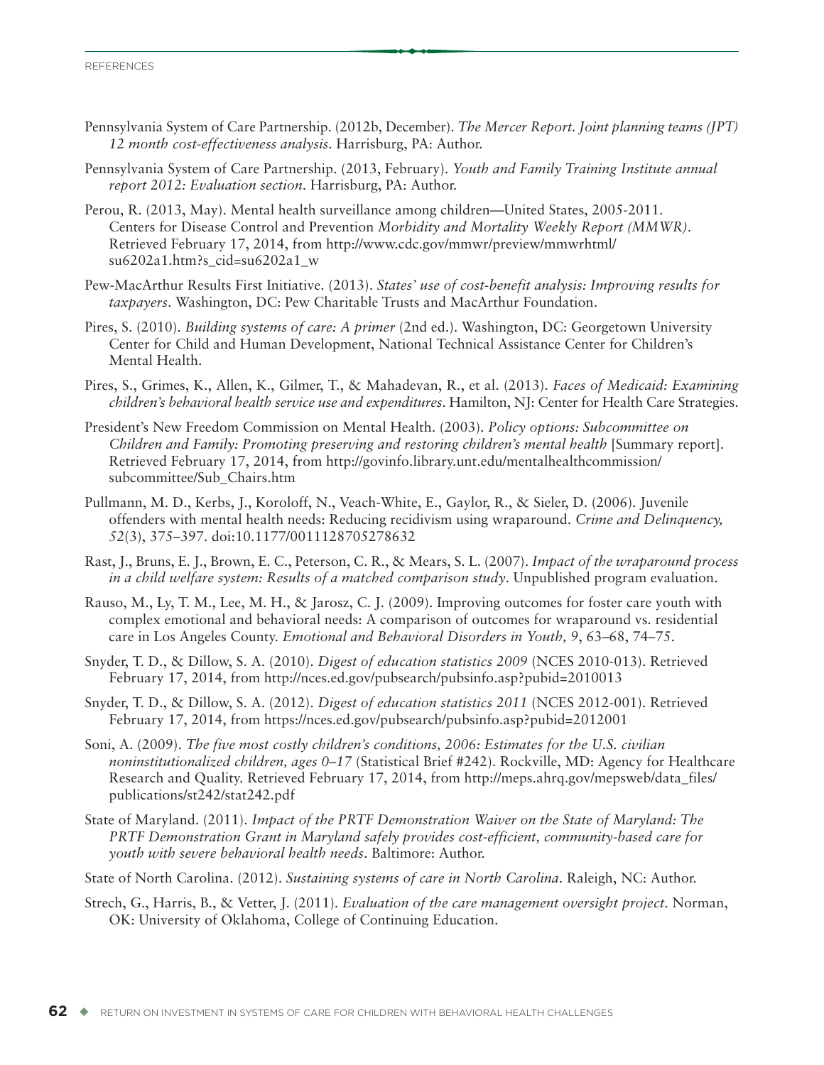- Pennsylvania System of Care Partnership. (2012b, December). *The Mercer Report. Joint planning teams (JPT) 12 month cost-effectiveness analysis*. Harrisburg, PA: Author.
- Pennsylvania System of Care Partnership. (2013, February). *Youth and Family Training Institute annual report 2012: Evaluation section*. Harrisburg, PA: Author.
- Perou, R. (2013, May). Mental health surveillance among children—United States, 2005-2011. Centers for Disease Control and Prevention *Morbidity and Mortality Weekly Report (MMWR)*. Retrieved February 17, 2014, from [http://www.cdc.gov/mmwr/preview/mmwrhtml/](http://www.cdc.gov/mmwr/preview/mmwrhtml/su6202a1.htm?s_cid=su6202a1_w) [su6202a1.htm?s\\_cid=su6202a1\\_w](http://www.cdc.gov/mmwr/preview/mmwrhtml/su6202a1.htm?s_cid=su6202a1_w)
- Pew-MacArthur Results First Initiative. (2013). *States' use of cost-benefit analysis: Improving results for taxpayers*. Washington, DC: Pew Charitable Trusts and MacArthur Foundation.
- Pires, S. (2010). *Building systems of care: A primer* (2nd ed.). Washington, DC: Georgetown University Center for Child and Human Development, National Technical Assistance Center for Children's Mental Health.
- Pires, S., Grimes, K., Allen, K., Gilmer, T., & Mahadevan, R., et al. (2013). *Faces of Medicaid: Examining children's behavioral health service use and expenditures*. Hamilton, NJ: Center for Health Care Strategies.
- President's New Freedom Commission on Mental Health. (2003). *Policy options: Subcommittee on Children and Family: Promoting preserving and restoring children's mental health* [Summary report]. Retrieved February 17, 2014, from [http://govinfo.library.unt.edu/mentalhealthcommission/](http://govinfo.library.unt.edu/mentalhealthcommission/subcommittee/Sub_Chairs.htm) [subcommittee/Sub\\_Chairs.htm](http://govinfo.library.unt.edu/mentalhealthcommission/subcommittee/Sub_Chairs.htm)
- Pullmann, M. D., Kerbs, J., Koroloff, N., Veach-White, E., Gaylor, R., & Sieler, D. (2006). Juvenile offenders with mental health needs: Reducing recidivism using wraparound. *Crime and Delinquency, 52*(3), 375–397. doi:10.1177/0011128705278632
- Rast, J., Bruns, E. J., Brown, E. C., Peterson, C. R., & Mears, S. L. (2007). *Impact of the wraparound process in a child welfare system: Results of a matched comparison study*. Unpublished program evaluation.
- Rauso, M., Ly, T. M., Lee, M. H., & Jarosz, C. J. (2009). Improving outcomes for foster care youth with complex emotional and behavioral needs: A comparison of outcomes for wraparound vs. residential care in Los Angeles County. *Emotional and Behavioral Disorders in Youth, 9*, 63–68, 74–75.
- Snyder, T. D., & Dillow, S. A. (2010). *Digest of education statistics 2009* (NCES 2010-013). Retrieved February 17, 2014, from <http://nces.ed.gov/pubsearch/pubsinfo.asp?pubid=2010013>
- Snyder, T. D., & Dillow, S. A. (2012). *Digest of education statistics 2011* (NCES 2012-001). Retrieved February 17, 2014, from <https://nces.ed.gov/pubsearch/pubsinfo.asp?pubid=2012001>
- Soni, A. (2009). *The five most costly children's conditions, 2006: Estimates for the U.S. civilian noninstitutionalized children, ages 0–17* (Statistical Brief #242). Rockville, MD: Agency for Healthcare Research and Quality. Retrieved February 17, 2014, from [http://meps.ahrq.gov/mepsweb/data\\_files/](http://meps.ahrq.gov/mepsweb/data_files/publications/st242/stat242.pdf) [publications/st242/stat242.pdf](http://meps.ahrq.gov/mepsweb/data_files/publications/st242/stat242.pdf)
- State of Maryland. (2011). *Impact of the PRTF Demonstration Waiver on the State of Maryland: The PRTF Demonstration Grant in Maryland safely provides cost-efficient, community-based care for youth with severe behavioral health needs*. Baltimore: Author.
- State of North Carolina. (2012). *Sustaining systems of care in North Carolina*. Raleigh, NC: Author.
- Strech, G., Harris, B., & Vetter, J. (2011). *Evaluation of the care management oversight project*. Norman, OK: University of Oklahoma, College of Continuing Education.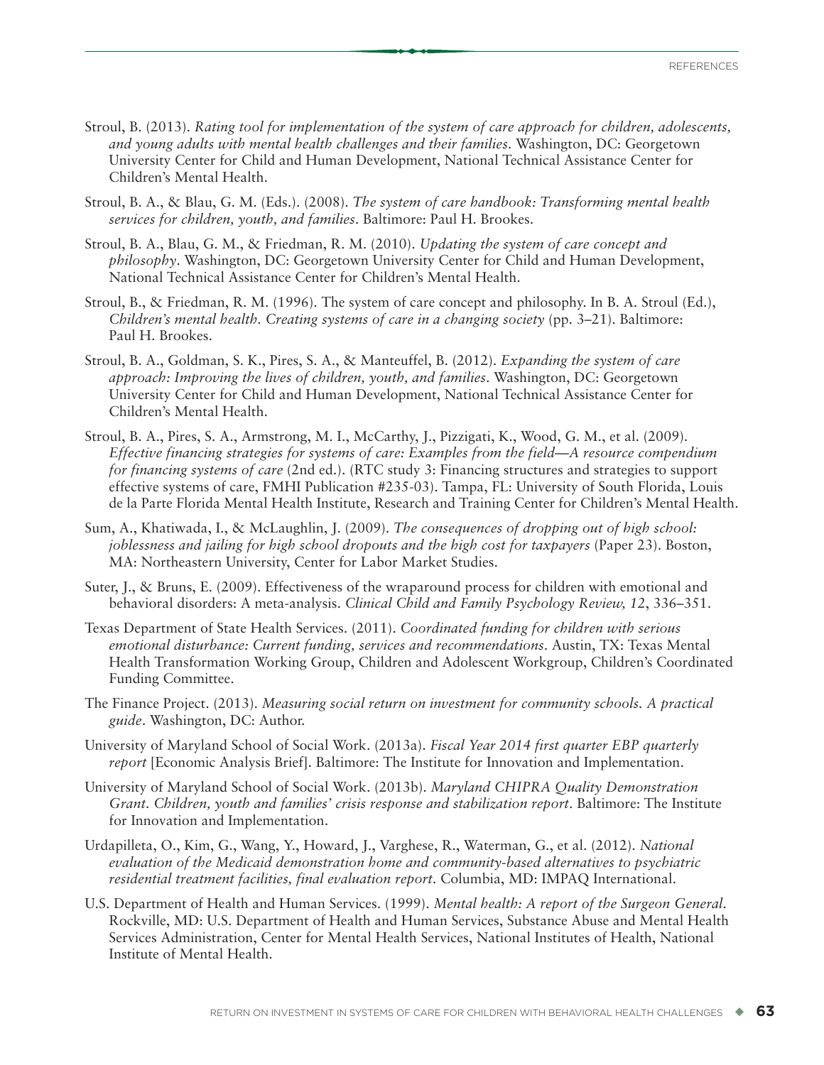- Stroul, B. (2013). *Rating tool for implementation of the system of care approach for children, adolescents, and young adults with mental health challenges and their families*. Washington, DC: Georgetown University Center for Child and Human Development, National Technical Assistance Center for Children's Mental Health.
- Stroul, B. A., & Blau, G. M. (Eds.). (2008). *The system of care handbook: Transforming mental health services for children, youth, and families*. Baltimore: Paul H. Brookes.
- Stroul, B. A., Blau, G. M., & Friedman, R. M. (2010). *Updating the system of care concept and philosophy*. Washington, DC: Georgetown University Center for Child and Human Development, National Technical Assistance Center for Children's Mental Health.
- Stroul, B., & Friedman, R. M. (1996). The system of care concept and philosophy. In B. A. Stroul (Ed.), *Children's mental health. Creating systems of care in a changing society* (pp. 3–21). Baltimore: Paul H. Brookes.
- Stroul, B. A., Goldman, S. K., Pires, S. A., & Manteuffel, B. (2012). *Expanding the system of care approach: Improving the lives of children, youth, and families*. Washington, DC: Georgetown University Center for Child and Human Development, National Technical Assistance Center for Children's Mental Health.
- Stroul, B. A., Pires, S. A., Armstrong, M. I., McCarthy, J., Pizzigati, K., Wood, G. M., et al. (2009). *Effective financing strategies for systems of care: Examples from the field—A resource compendium for financing systems of care* (2nd ed.). (RTC study 3: Financing structures and strategies to support effective systems of care, FMHI Publication #235-03). Tampa, FL: University of South Florida, Louis de la Parte Florida Mental Health Institute, Research and Training Center for Children's Mental Health.
- Sum, A., Khatiwada, I., & McLaughlin, J. (2009). *The consequences of dropping out of high school: joblessness and jailing for high school dropouts and the high cost for taxpayers* (Paper 23). Boston, MA: Northeastern University, Center for Labor Market Studies.
- Suter, J., & Bruns, E. (2009). Effectiveness of the wraparound process for children with emotional and behavioral disorders: A meta-analysis. *Clinical Child and Family Psychology Review, 12*, 336–351.
- Texas Department of State Health Services. (2011). *Coordinated funding for children with serious emotional disturbance: Current funding, services and recommendations*. Austin, TX: Texas Mental Health Transformation Working Group, Children and Adolescent Workgroup, Children's Coordinated Funding Committee.
- The Finance Project. (2013). *Measuring social return on investment for community schools. A practical guide*. Washington, DC: Author.
- University of Maryland School of Social Work. (2013a). *Fiscal Year 2014 first quarter EBP quarterly report* [Economic Analysis Brief]. Baltimore: The Institute for Innovation and Implementation.
- University of Maryland School of Social Work. (2013b). *Maryland CHIPRA Quality Demonstration Grant. Children, youth and families' crisis response and stabilization report*. Baltimore: The Institute for Innovation and Implementation.
- Urdapilleta, O., Kim, G., Wang, Y., Howard, J., Varghese, R., Waterman, G., et al. (2012). *National evaluation of the Medicaid demonstration home and community-based alternatives to psychiatric residential treatment facilities, final evaluation report*. Columbia, MD: IMPAQ International.
- U.S. Department of Health and Human Services. (1999). *Mental health: A report of the Surgeon General*. Rockville, MD: U.S. Department of Health and Human Services, Substance Abuse and Mental Health Services Administration, Center for Mental Health Services, National Institutes of Health, National Institute of Mental Health.